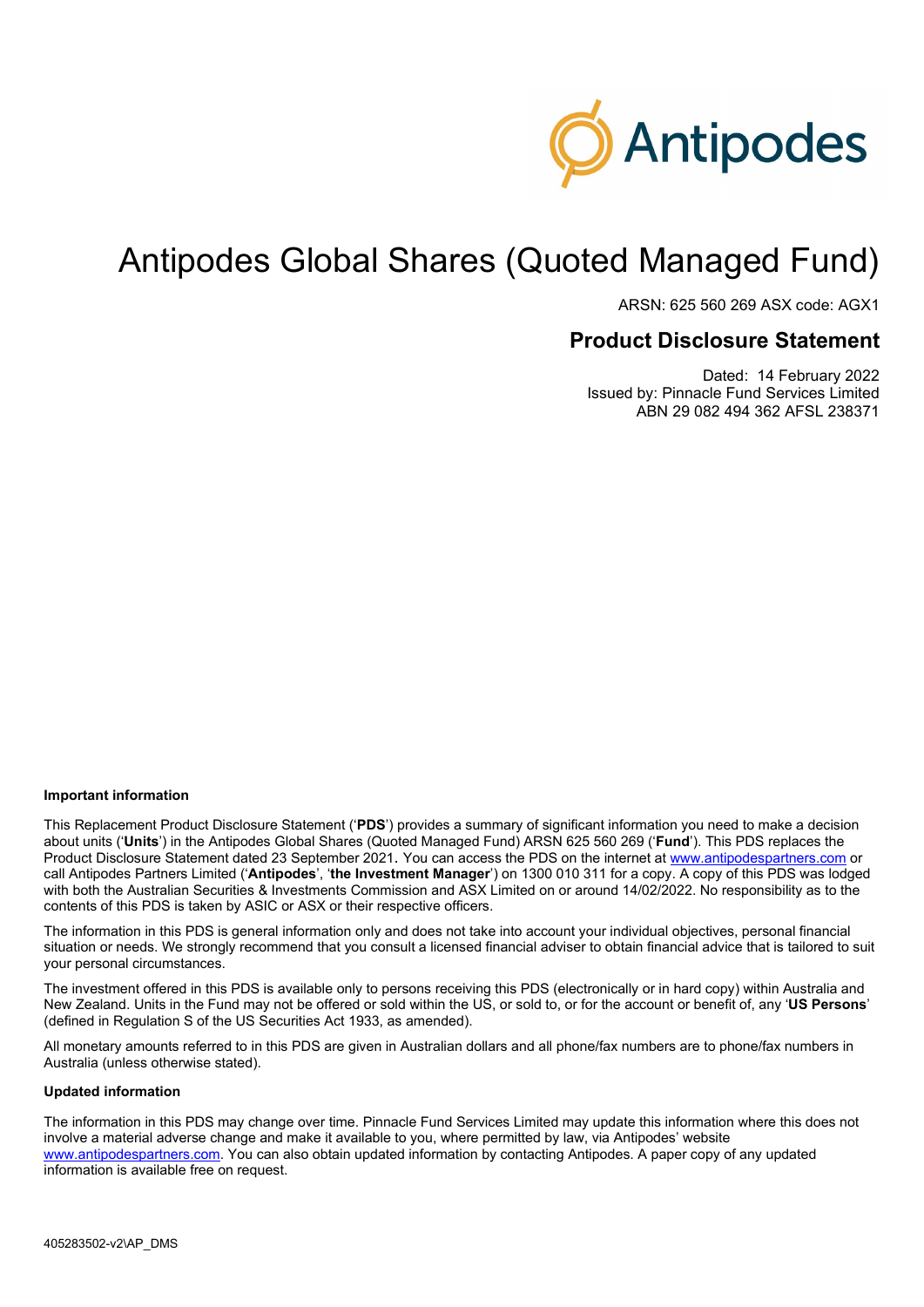

# Antipodes Global Shares (Quoted Managed Fund)

ARSN: 625 560 269 ASX code: AGX1

# **Product Disclosure Statement**

Dated: 14 February 2022 Issued by: Pinnacle Fund Services Limited ABN 29 082 494 362 AFSL 238371

#### **Important information**

This Replacement Product Disclosure Statement ('**PDS**') provides a summary of significant information you need to make a decision about units ('**Units**') in the Antipodes Global Shares (Quoted Managed Fund) ARSN 625 560 269 ('**Fund**'). This PDS replaces the Product Disclosure Statement dated 23 September 2021. You can access the PDS on the internet at [www.antipodespartners.com](https://antipodespartners.com/) or call Antipodes Partners Limited ('**Antipodes**', '**the Investment Manager**') on 1300 010 311 for a copy. A copy of this PDS was lodged with both the Australian Securities & Investments Commission and ASX Limited on or around 14/02/2022. No responsibility as to the contents of this PDS is taken by ASIC or ASX or their respective officers.

The information in this PDS is general information only and does not take into account your individual objectives, personal financial situation or needs. We strongly recommend that you consult a licensed financial adviser to obtain financial advice that is tailored to suit your personal circumstances.

The investment offered in this PDS is available only to persons receiving this PDS (electronically or in hard copy) within Australia and New Zealand. Units in the Fund may not be offered or sold within the US, or sold to, or for the account or benefit of, any '**US Persons**' (defined in Regulation S of the US Securities Act 1933, as amended).

All monetary amounts referred to in this PDS are given in Australian dollars and all phone/fax numbers are to phone/fax numbers in Australia (unless otherwise stated).

#### **Updated information**

The information in this PDS may change over time. Pinnacle Fund Services Limited may update this information where this does not involve a material adverse change and make it available to you, where permitted by law, via Antipodes' website [www.antipodespartners.com.](https://antipodespartners.com/) You can also obtain updated information by contacting Antipodes. A paper copy of any updated information is available free on request.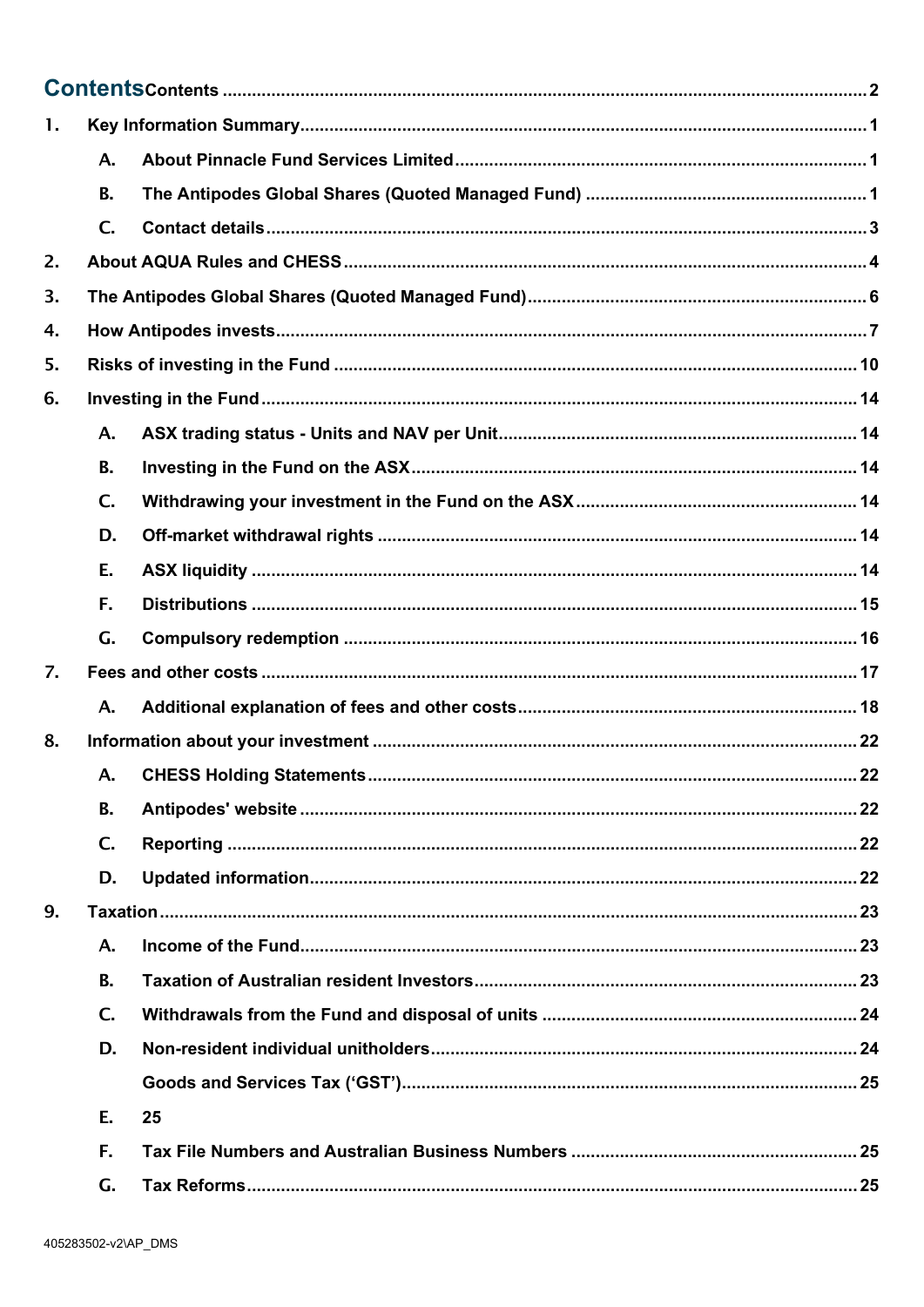<span id="page-1-0"></span>

| 1. |                |    |  |  |
|----|----------------|----|--|--|
|    | A.             |    |  |  |
|    | <b>B.</b>      |    |  |  |
|    | $\mathsf{C}$ . |    |  |  |
| 2. |                |    |  |  |
| 3. |                |    |  |  |
| 4. |                |    |  |  |
| 5. |                |    |  |  |
| 6. |                |    |  |  |
|    | A.             |    |  |  |
|    | <b>B.</b>      |    |  |  |
|    | $\mathsf{C}$ . |    |  |  |
|    | D.             |    |  |  |
|    | Ε.             |    |  |  |
|    | F.             |    |  |  |
|    | G.             |    |  |  |
| 7. |                |    |  |  |
|    | A.             |    |  |  |
| 8. |                |    |  |  |
|    |                |    |  |  |
|    | <b>B.</b>      |    |  |  |
|    | $C_{\cdot}$    |    |  |  |
|    | D.             |    |  |  |
| 9. |                |    |  |  |
|    | A.             |    |  |  |
|    | <b>B.</b>      |    |  |  |
|    | $C_{\cdot}$    |    |  |  |
|    | D.             |    |  |  |
|    |                |    |  |  |
|    | E.             | 25 |  |  |
|    | F.             |    |  |  |
|    | G.             |    |  |  |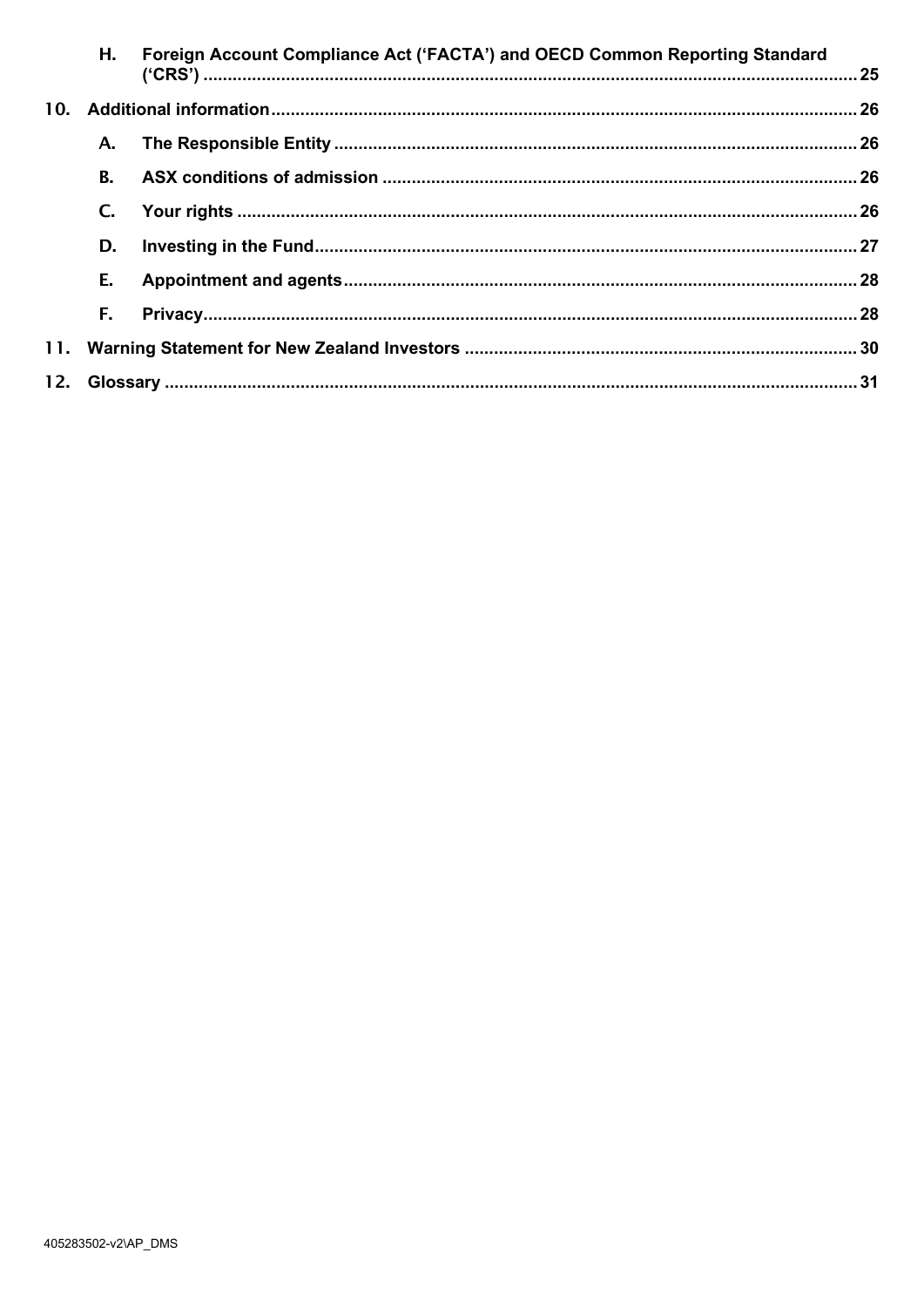| Н.        | Foreign Account Compliance Act ('FACTA') and OECD Common Reporting Standard |  |
|-----------|-----------------------------------------------------------------------------|--|
|           |                                                                             |  |
| А.        |                                                                             |  |
| <b>B.</b> |                                                                             |  |
| C.        |                                                                             |  |
| D.        |                                                                             |  |
| E.        |                                                                             |  |
| F.        |                                                                             |  |
|           |                                                                             |  |
|           |                                                                             |  |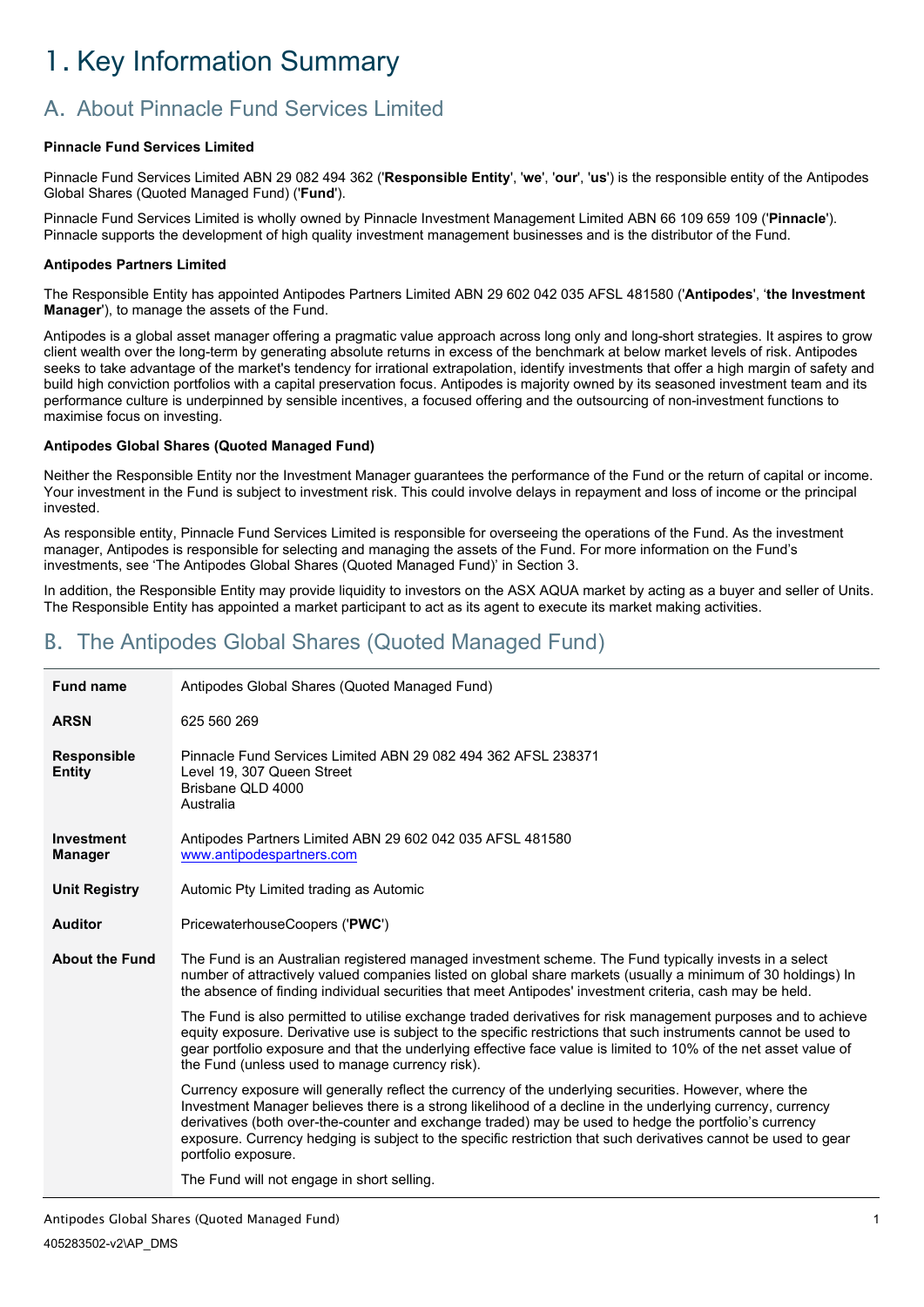# <span id="page-3-0"></span>1. Key Information Summary

# <span id="page-3-1"></span>A. About Pinnacle Fund Services Limited

## **Pinnacle Fund Services Limited**

Pinnacle Fund Services Limited ABN 29 082 494 362 ('**Responsible Entity**', '**we**', '**our**', '**us**') is the responsible entity of the Antipodes Global Shares (Quoted Managed Fund) ('**Fund**').

Pinnacle Fund Services Limited is wholly owned by Pinnacle Investment Management Limited ABN 66 109 659 109 ('**Pinnacle**'). Pinnacle supports the development of high quality investment management businesses and is the distributor of the Fund.

#### **Antipodes Partners Limited**

The Responsible Entity has appointed Antipodes Partners Limited ABN 29 602 042 035 AFSL 481580 ('**Antipodes**', '**the Investment Manager**'), to manage the assets of the Fund.

Antipodes is a global asset manager offering a pragmatic value approach across long only and long-short strategies. It aspires to grow client wealth over the long-term by generating absolute returns in excess of the benchmark at below market levels of risk. Antipodes seeks to take advantage of the market's tendency for irrational extrapolation, identify investments that offer a high margin of safety and build high conviction portfolios with a capital preservation focus. Antipodes is majority owned by its seasoned investment team and its performance culture is underpinned by sensible incentives, a focused offering and the outsourcing of non-investment functions to maximise focus on investing.

### **Antipodes Global Shares (Quoted Managed Fund)**

Neither the Responsible Entity nor the Investment Manager guarantees the performance of the Fund or the return of capital or income. Your investment in the Fund is subject to investment risk. This could involve delays in repayment and loss of income or the principal invested.

As responsible entity, Pinnacle Fund Services Limited is responsible for overseeing the operations of the Fund. As the investment manager, Antipodes is responsible for selecting and managing the assets of the Fund. For more information on the Fund's investments, see 'The Antipodes Global Shares (Quoted Managed Fund)' in Section 3.

In addition, the Responsible Entity may provide liquidity to investors on the ASX AQUA market by acting as a buyer and seller of Units. The Responsible Entity has appointed a market participant to act as its agent to execute its market making activities.

# <span id="page-3-2"></span>B. The Antipodes Global Shares (Quoted Managed Fund)

| Antipodes Global Shares (Quoted Managed Fund)<br><b>Fund name</b> |                                                                                                                                                                                                                                                                                                                                                                                                                                                                        |  |  |
|-------------------------------------------------------------------|------------------------------------------------------------------------------------------------------------------------------------------------------------------------------------------------------------------------------------------------------------------------------------------------------------------------------------------------------------------------------------------------------------------------------------------------------------------------|--|--|
| 625 560 269<br><b>ARSN</b>                                        |                                                                                                                                                                                                                                                                                                                                                                                                                                                                        |  |  |
| <b>Responsible</b><br><b>Entity</b>                               | Pinnacle Fund Services Limited ABN 29 082 494 362 AFSL 238371<br>Level 19, 307 Queen Street<br>Brisbane QLD 4000<br>Australia                                                                                                                                                                                                                                                                                                                                          |  |  |
| Investment<br><b>Manager</b>                                      | Antipodes Partners Limited ABN 29 602 042 035 AFSL 481580<br>www.antipodespartners.com                                                                                                                                                                                                                                                                                                                                                                                 |  |  |
| <b>Unit Registry</b>                                              | Automic Pty Limited trading as Automic                                                                                                                                                                                                                                                                                                                                                                                                                                 |  |  |
| <b>Auditor</b>                                                    | PricewaterhouseCoopers ('PWC')                                                                                                                                                                                                                                                                                                                                                                                                                                         |  |  |
| <b>About the Fund</b>                                             | The Fund is an Australian registered managed investment scheme. The Fund typically invests in a select<br>number of attractively valued companies listed on global share markets (usually a minimum of 30 holdings) In<br>the absence of finding individual securities that meet Antipodes' investment criteria, cash may be held.                                                                                                                                     |  |  |
|                                                                   | The Fund is also permitted to utilise exchange traded derivatives for risk management purposes and to achieve<br>equity exposure. Derivative use is subject to the specific restrictions that such instruments cannot be used to<br>gear portfolio exposure and that the underlying effective face value is limited to 10% of the net asset value of<br>the Fund (unless used to manage currency risk).                                                                |  |  |
|                                                                   | Currency exposure will generally reflect the currency of the underlying securities. However, where the<br>Investment Manager believes there is a strong likelihood of a decline in the underlying currency, currency<br>derivatives (both over-the-counter and exchange traded) may be used to hedge the portfolio's currency<br>exposure. Currency hedging is subject to the specific restriction that such derivatives cannot be used to gear<br>portfolio exposure. |  |  |
|                                                                   | The Fund will not engage in short selling.                                                                                                                                                                                                                                                                                                                                                                                                                             |  |  |

Antipodes Global Shares (Quoted Managed Fund) 405283502-v2\AP\_DMS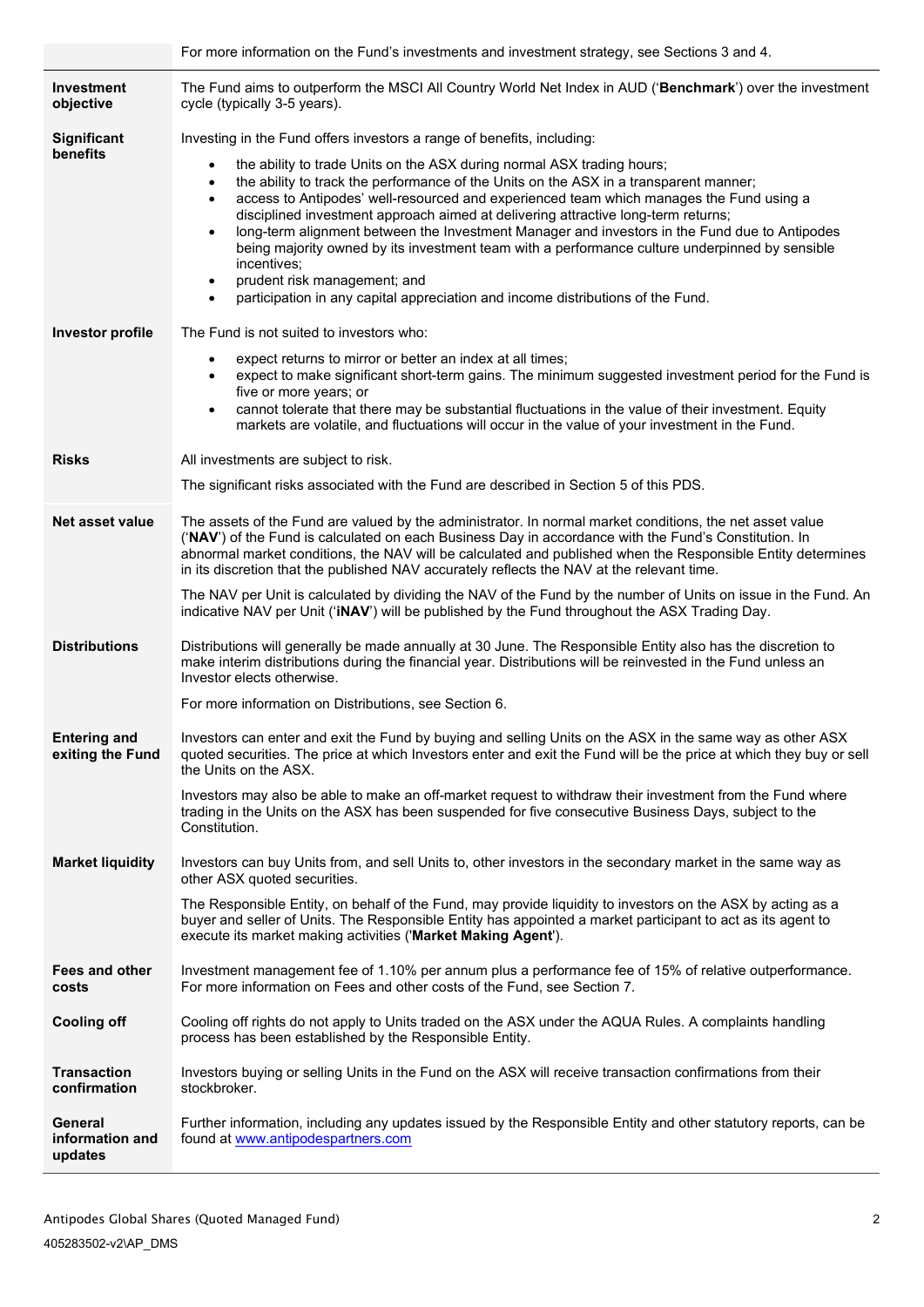|                                         | For more information on the Fund's investments and investment strategy, see Sections 3 and 4.                                                                                                                                                                                                                                                                                                                                                                                                                                                                                                                                                                                                                               |  |
|-----------------------------------------|-----------------------------------------------------------------------------------------------------------------------------------------------------------------------------------------------------------------------------------------------------------------------------------------------------------------------------------------------------------------------------------------------------------------------------------------------------------------------------------------------------------------------------------------------------------------------------------------------------------------------------------------------------------------------------------------------------------------------------|--|
| Investment<br>objective                 | The Fund aims to outperform the MSCI All Country World Net Index in AUD ('Benchmark') over the investment<br>cycle (typically 3-5 years).                                                                                                                                                                                                                                                                                                                                                                                                                                                                                                                                                                                   |  |
| <b>Significant</b>                      | Investing in the Fund offers investors a range of benefits, including:                                                                                                                                                                                                                                                                                                                                                                                                                                                                                                                                                                                                                                                      |  |
| benefits                                | the ability to trade Units on the ASX during normal ASX trading hours;<br>$\bullet$<br>the ability to track the performance of the Units on the ASX in a transparent manner;<br>$\bullet$<br>access to Antipodes' well-resourced and experienced team which manages the Fund using a<br>disciplined investment approach aimed at delivering attractive long-term returns;<br>long-term alignment between the Investment Manager and investors in the Fund due to Antipodes<br>being majority owned by its investment team with a performance culture underpinned by sensible<br>incentives;<br>prudent risk management; and<br>$\bullet$<br>participation in any capital appreciation and income distributions of the Fund. |  |
| <b>Investor profile</b>                 | The Fund is not suited to investors who:                                                                                                                                                                                                                                                                                                                                                                                                                                                                                                                                                                                                                                                                                    |  |
|                                         | expect returns to mirror or better an index at all times;<br>expect to make significant short-term gains. The minimum suggested investment period for the Fund is<br>$\bullet$<br>five or more years; or<br>cannot tolerate that there may be substantial fluctuations in the value of their investment. Equity<br>markets are volatile, and fluctuations will occur in the value of your investment in the Fund.                                                                                                                                                                                                                                                                                                           |  |
| <b>Risks</b>                            | All investments are subject to risk.                                                                                                                                                                                                                                                                                                                                                                                                                                                                                                                                                                                                                                                                                        |  |
|                                         | The significant risks associated with the Fund are described in Section 5 of this PDS.                                                                                                                                                                                                                                                                                                                                                                                                                                                                                                                                                                                                                                      |  |
| Net asset value                         | The assets of the Fund are valued by the administrator. In normal market conditions, the net asset value<br>('NAV') of the Fund is calculated on each Business Day in accordance with the Fund's Constitution. In<br>abnormal market conditions, the NAV will be calculated and published when the Responsible Entity determines<br>in its discretion that the published NAV accurately reflects the NAV at the relevant time.                                                                                                                                                                                                                                                                                              |  |
|                                         | The NAV per Unit is calculated by dividing the NAV of the Fund by the number of Units on issue in the Fund. An<br>indicative NAV per Unit ('iNAV') will be published by the Fund throughout the ASX Trading Day.                                                                                                                                                                                                                                                                                                                                                                                                                                                                                                            |  |
| <b>Distributions</b>                    | Distributions will generally be made annually at 30 June. The Responsible Entity also has the discretion to<br>make interim distributions during the financial year. Distributions will be reinvested in the Fund unless an<br>Investor elects otherwise.                                                                                                                                                                                                                                                                                                                                                                                                                                                                   |  |
|                                         | For more information on Distributions, see Section 6.                                                                                                                                                                                                                                                                                                                                                                                                                                                                                                                                                                                                                                                                       |  |
| <b>Entering and</b><br>exiting the Fund | Investors can enter and exit the Fund by buying and selling Units on the ASX in the same way as other ASX<br>quoted securities. The price at which Investors enter and exit the Fund will be the price at which they buy or sell<br>the Units on the ASX.                                                                                                                                                                                                                                                                                                                                                                                                                                                                   |  |
|                                         | Investors may also be able to make an off-market request to withdraw their investment from the Fund where<br>trading in the Units on the ASX has been suspended for five consecutive Business Days, subject to the<br>Constitution.                                                                                                                                                                                                                                                                                                                                                                                                                                                                                         |  |
| <b>Market liquidity</b>                 | Investors can buy Units from, and sell Units to, other investors in the secondary market in the same way as<br>other ASX quoted securities.                                                                                                                                                                                                                                                                                                                                                                                                                                                                                                                                                                                 |  |
|                                         | The Responsible Entity, on behalf of the Fund, may provide liquidity to investors on the ASX by acting as a<br>buyer and seller of Units. The Responsible Entity has appointed a market participant to act as its agent to<br>execute its market making activities ('Market Making Agent').                                                                                                                                                                                                                                                                                                                                                                                                                                 |  |
| Fees and other<br>costs                 | Investment management fee of 1.10% per annum plus a performance fee of 15% of relative outperformance.<br>For more information on Fees and other costs of the Fund, see Section 7.                                                                                                                                                                                                                                                                                                                                                                                                                                                                                                                                          |  |
| <b>Cooling off</b>                      | Cooling off rights do not apply to Units traded on the ASX under the AQUA Rules. A complaints handling<br>process has been established by the Responsible Entity.                                                                                                                                                                                                                                                                                                                                                                                                                                                                                                                                                           |  |
| <b>Transaction</b><br>confirmation      | Investors buying or selling Units in the Fund on the ASX will receive transaction confirmations from their<br>stockbroker.                                                                                                                                                                                                                                                                                                                                                                                                                                                                                                                                                                                                  |  |
| General<br>information and<br>updates   | Further information, including any updates issued by the Responsible Entity and other statutory reports, can be<br>found at www.antipodespartners.com                                                                                                                                                                                                                                                                                                                                                                                                                                                                                                                                                                       |  |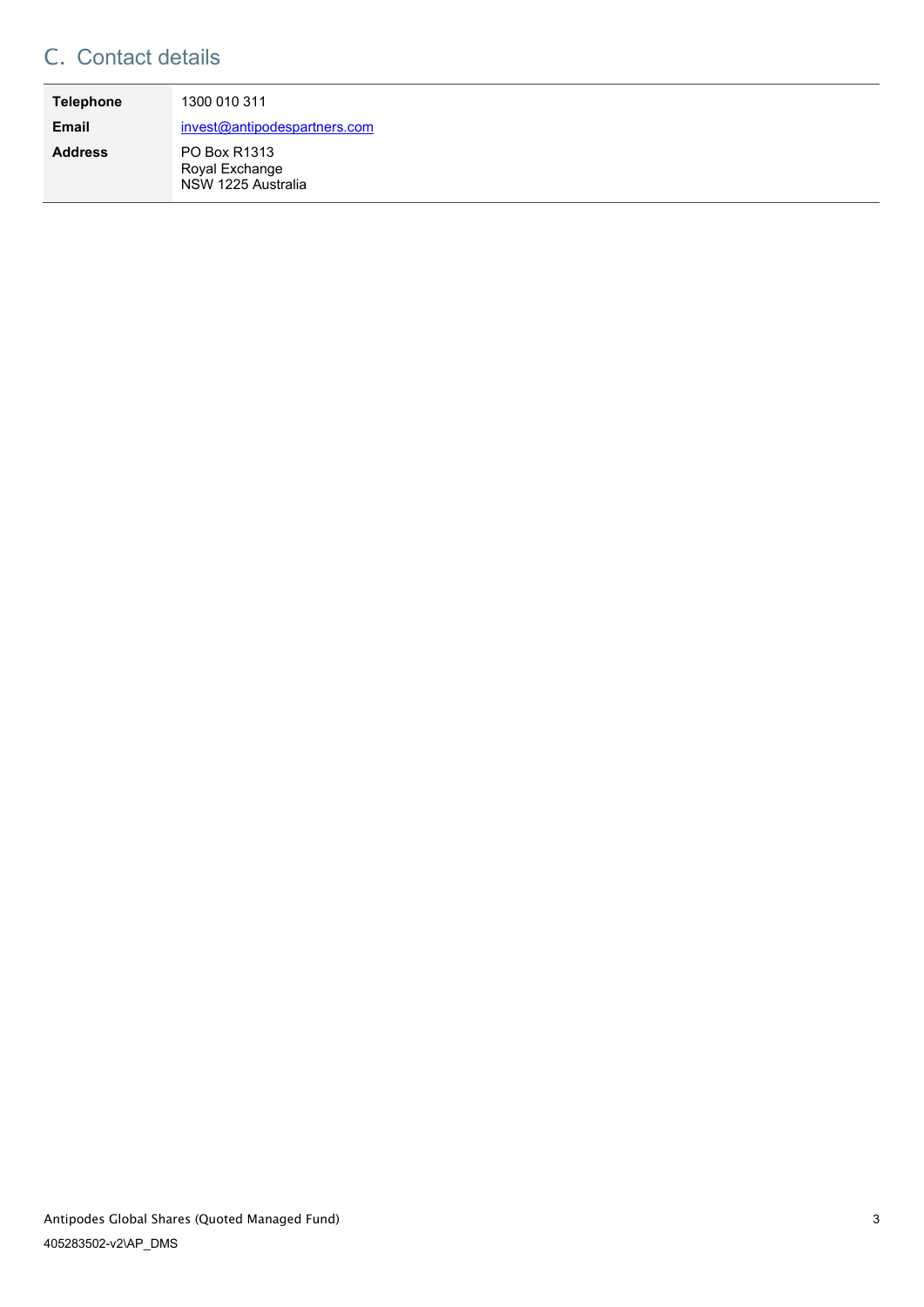# <span id="page-5-0"></span>C. Contact details

| <b>Telephone</b> | 1300 010 311                                         |
|------------------|------------------------------------------------------|
| <b>Email</b>     | invest@antipodespartners.com                         |
| <b>Address</b>   | PO Box R1313<br>Royal Exchange<br>NSW 1225 Australia |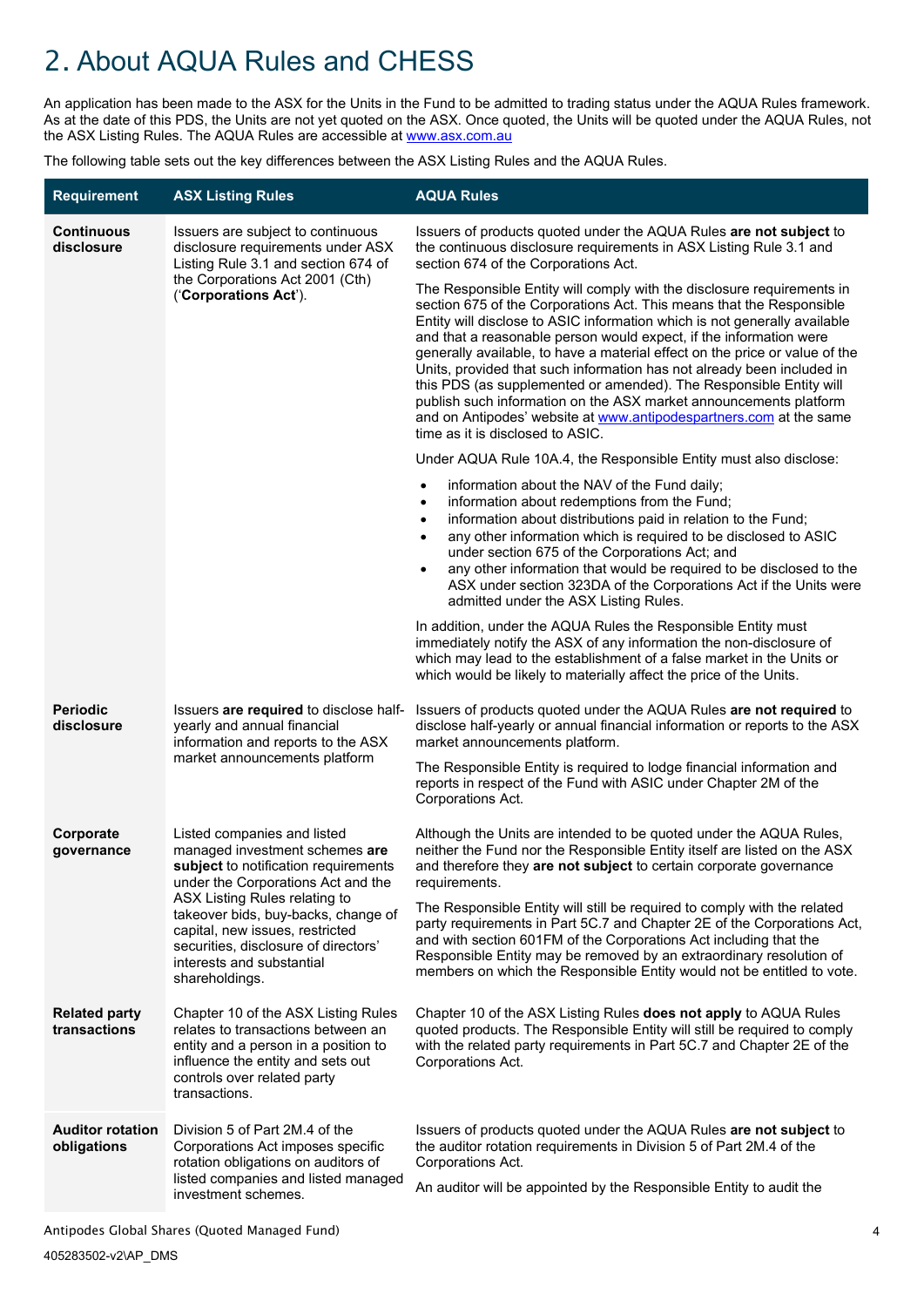# <span id="page-6-0"></span>2. About AQUA Rules and CHESS

An application has been made to the ASX for the Units in the Fund to be admitted to trading status under the AQUA Rules framework. As at the date of this PDS, the Units are not yet quoted on the ASX. Once quoted, the Units will be quoted under the AQUA Rules, not the ASX Listing Rules. The AQUA Rules are accessible at [www.asx.com.au](http://www.asx.com.au/)

The following table sets out the key differences between the ASX Listing Rules and the AQUA Rules.

| <b>Requirement</b>                     | <b>ASX Listing Rules</b>                                                                                                                                                                                                                                                                                                                      | <b>AQUA Rules</b>                                                                                                                                                                                                                                                                                                                                                                                                                                                                                                                                                                                                                                                                                               |
|----------------------------------------|-----------------------------------------------------------------------------------------------------------------------------------------------------------------------------------------------------------------------------------------------------------------------------------------------------------------------------------------------|-----------------------------------------------------------------------------------------------------------------------------------------------------------------------------------------------------------------------------------------------------------------------------------------------------------------------------------------------------------------------------------------------------------------------------------------------------------------------------------------------------------------------------------------------------------------------------------------------------------------------------------------------------------------------------------------------------------------|
| <b>Continuous</b><br>disclosure        | Issuers are subject to continuous<br>disclosure requirements under ASX<br>Listing Rule 3.1 and section 674 of<br>the Corporations Act 2001 (Cth)<br>('Corporations Act').                                                                                                                                                                     | Issuers of products quoted under the AQUA Rules are not subject to<br>the continuous disclosure requirements in ASX Listing Rule 3.1 and<br>section 674 of the Corporations Act.                                                                                                                                                                                                                                                                                                                                                                                                                                                                                                                                |
|                                        |                                                                                                                                                                                                                                                                                                                                               | The Responsible Entity will comply with the disclosure requirements in<br>section 675 of the Corporations Act. This means that the Responsible<br>Entity will disclose to ASIC information which is not generally available<br>and that a reasonable person would expect, if the information were<br>generally available, to have a material effect on the price or value of the<br>Units, provided that such information has not already been included in<br>this PDS (as supplemented or amended). The Responsible Entity will<br>publish such information on the ASX market announcements platform<br>and on Antipodes' website at www.antipodespartners.com at the same<br>time as it is disclosed to ASIC. |
|                                        |                                                                                                                                                                                                                                                                                                                                               | Under AQUA Rule 10A.4, the Responsible Entity must also disclose:                                                                                                                                                                                                                                                                                                                                                                                                                                                                                                                                                                                                                                               |
|                                        |                                                                                                                                                                                                                                                                                                                                               | information about the NAV of the Fund daily;<br>$\bullet$<br>information about redemptions from the Fund;<br>$\bullet$<br>information about distributions paid in relation to the Fund;<br>$\bullet$<br>any other information which is required to be disclosed to ASIC<br>$\bullet$<br>under section 675 of the Corporations Act; and<br>any other information that would be required to be disclosed to the<br>$\bullet$<br>ASX under section 323DA of the Corporations Act if the Units were<br>admitted under the ASX Listing Rules.                                                                                                                                                                        |
|                                        |                                                                                                                                                                                                                                                                                                                                               | In addition, under the AQUA Rules the Responsible Entity must<br>immediately notify the ASX of any information the non-disclosure of<br>which may lead to the establishment of a false market in the Units or<br>which would be likely to materially affect the price of the Units.                                                                                                                                                                                                                                                                                                                                                                                                                             |
| <b>Periodic</b><br>disclosure          | Issuers are required to disclose half-<br>yearly and annual financial<br>information and reports to the ASX<br>market announcements platform                                                                                                                                                                                                  | Issuers of products quoted under the AQUA Rules are not required to<br>disclose half-yearly or annual financial information or reports to the ASX<br>market announcements platform.                                                                                                                                                                                                                                                                                                                                                                                                                                                                                                                             |
|                                        |                                                                                                                                                                                                                                                                                                                                               | The Responsible Entity is required to lodge financial information and<br>reports in respect of the Fund with ASIC under Chapter 2M of the<br>Corporations Act.                                                                                                                                                                                                                                                                                                                                                                                                                                                                                                                                                  |
| Corporate<br>governance                | Listed companies and listed<br>managed investment schemes are<br>subject to notification requirements<br>under the Corporations Act and the<br>ASX Listing Rules relating to<br>takeover bids, buy-backs, change of<br>capital, new issues, restricted<br>securities, disclosure of directors'<br>interests and substantial<br>shareholdings. | Although the Units are intended to be quoted under the AQUA Rules,<br>neither the Fund nor the Responsible Entity itself are listed on the ASX<br>and therefore they are not subject to certain corporate governance<br>requirements.                                                                                                                                                                                                                                                                                                                                                                                                                                                                           |
|                                        |                                                                                                                                                                                                                                                                                                                                               | The Responsible Entity will still be required to comply with the related<br>party requirements in Part 5C.7 and Chapter 2E of the Corporations Act,<br>and with section 601FM of the Corporations Act including that the<br>Responsible Entity may be removed by an extraordinary resolution of<br>members on which the Responsible Entity would not be entitled to vote.                                                                                                                                                                                                                                                                                                                                       |
| <b>Related party</b><br>transactions   | Chapter 10 of the ASX Listing Rules<br>relates to transactions between an<br>entity and a person in a position to<br>influence the entity and sets out<br>controls over related party<br>transactions.                                                                                                                                        | Chapter 10 of the ASX Listing Rules does not apply to AQUA Rules<br>quoted products. The Responsible Entity will still be required to comply<br>with the related party requirements in Part 5C.7 and Chapter 2E of the<br>Corporations Act.                                                                                                                                                                                                                                                                                                                                                                                                                                                                     |
| <b>Auditor rotation</b><br>obligations | Division 5 of Part 2M.4 of the<br>Corporations Act imposes specific<br>rotation obligations on auditors of<br>listed companies and listed managed<br>investment schemes.                                                                                                                                                                      | Issuers of products quoted under the AQUA Rules are not subject to<br>the auditor rotation requirements in Division 5 of Part 2M.4 of the<br>Corporations Act.<br>An auditor will be appointed by the Responsible Entity to audit the                                                                                                                                                                                                                                                                                                                                                                                                                                                                           |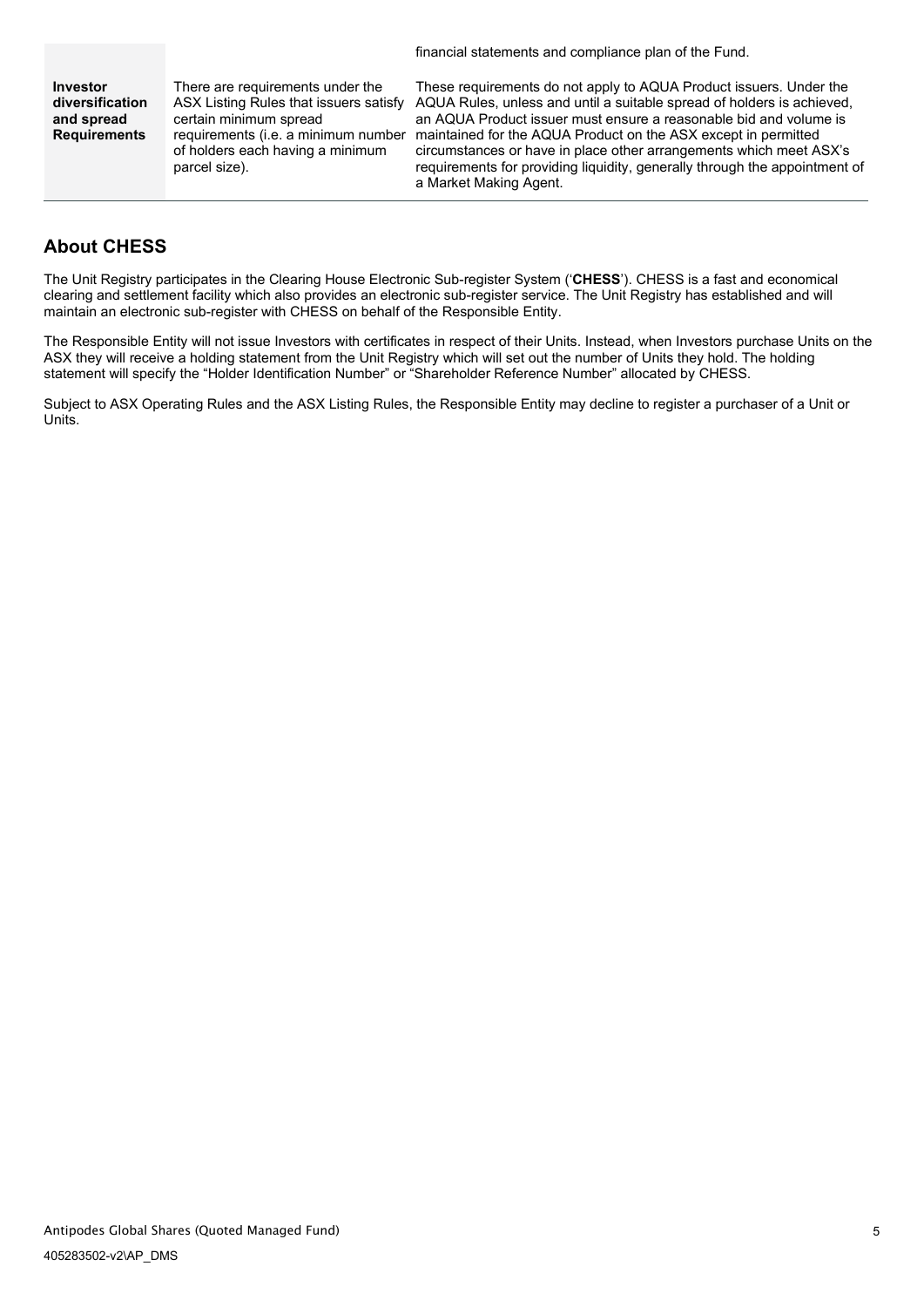financial statements and compliance plan of the Fund.

**Investor diversification and spread Requirements** There are requirements under the ASX Listing Rules that issuers satisfy certain minimum spread requirements (i.e. a minimum number of holders each having a minimum parcel size).

These requirements do not apply to AQUA Product issuers. Under the AQUA Rules, unless and until a suitable spread of holders is achieved, an AQUA Product issuer must ensure a reasonable bid and volume is maintained for the AQUA Product on the ASX except in permitted circumstances or have in place other arrangements which meet ASX's requirements for providing liquidity, generally through the appointment of a Market Making Agent.

# **About CHESS**

The Unit Registry participates in the Clearing House Electronic Sub-register System ('**CHESS**'). CHESS is a fast and economical clearing and settlement facility which also provides an electronic sub-register service. The Unit Registry has established and will maintain an electronic sub-register with CHESS on behalf of the Responsible Entity.

The Responsible Entity will not issue Investors with certificates in respect of their Units. Instead, when Investors purchase Units on the ASX they will receive a holding statement from the Unit Registry which will set out the number of Units they hold. The holding statement will specify the "Holder Identification Number" or "Shareholder Reference Number" allocated by CHESS.

Subject to ASX Operating Rules and the ASX Listing Rules, the Responsible Entity may decline to register a purchaser of a Unit or Units.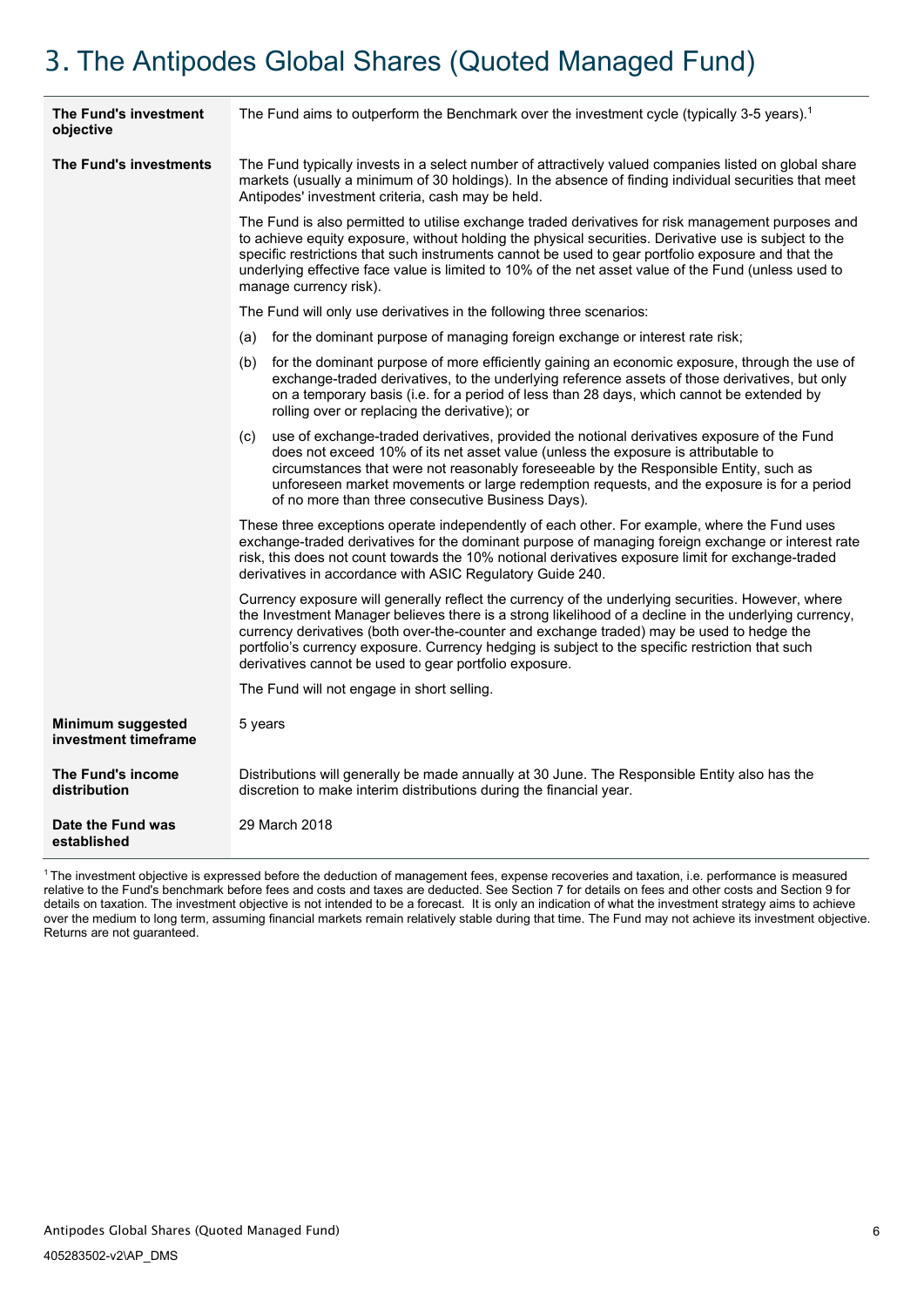# <span id="page-8-0"></span>3. The Antipodes Global Shares (Quoted Managed Fund)

| The Fund's investment<br>objective        | The Fund aims to outperform the Benchmark over the investment cycle (typically 3-5 years). <sup>1</sup>                                                                                                                                                                                                                                                                                                                                                                |  |  |
|-------------------------------------------|------------------------------------------------------------------------------------------------------------------------------------------------------------------------------------------------------------------------------------------------------------------------------------------------------------------------------------------------------------------------------------------------------------------------------------------------------------------------|--|--|
| The Fund's investments                    | The Fund typically invests in a select number of attractively valued companies listed on global share<br>markets (usually a minimum of 30 holdings). In the absence of finding individual securities that meet<br>Antipodes' investment criteria, cash may be held.                                                                                                                                                                                                    |  |  |
|                                           | The Fund is also permitted to utilise exchange traded derivatives for risk management purposes and<br>to achieve equity exposure, without holding the physical securities. Derivative use is subject to the<br>specific restrictions that such instruments cannot be used to gear portfolio exposure and that the<br>underlying effective face value is limited to 10% of the net asset value of the Fund (unless used to<br>manage currency risk).                    |  |  |
|                                           | The Fund will only use derivatives in the following three scenarios:                                                                                                                                                                                                                                                                                                                                                                                                   |  |  |
|                                           | (a) for the dominant purpose of managing foreign exchange or interest rate risk;                                                                                                                                                                                                                                                                                                                                                                                       |  |  |
|                                           | (b) for the dominant purpose of more efficiently gaining an economic exposure, through the use of<br>exchange-traded derivatives, to the underlying reference assets of those derivatives, but only<br>on a temporary basis (i.e. for a period of less than 28 days, which cannot be extended by<br>rolling over or replacing the derivative); or                                                                                                                      |  |  |
|                                           | use of exchange-traded derivatives, provided the notional derivatives exposure of the Fund<br>(c)<br>does not exceed 10% of its net asset value (unless the exposure is attributable to<br>circumstances that were not reasonably foreseeable by the Responsible Entity, such as<br>unforeseen market movements or large redemption requests, and the exposure is for a period<br>of no more than three consecutive Business Days).                                    |  |  |
|                                           | These three exceptions operate independently of each other. For example, where the Fund uses<br>exchange-traded derivatives for the dominant purpose of managing foreign exchange or interest rate<br>risk, this does not count towards the 10% notional derivatives exposure limit for exchange-traded<br>derivatives in accordance with ASIC Regulatory Guide 240.                                                                                                   |  |  |
|                                           | Currency exposure will generally reflect the currency of the underlying securities. However, where<br>the Investment Manager believes there is a strong likelihood of a decline in the underlying currency,<br>currency derivatives (both over-the-counter and exchange traded) may be used to hedge the<br>portfolio's currency exposure. Currency hedging is subject to the specific restriction that such<br>derivatives cannot be used to gear portfolio exposure. |  |  |
|                                           | The Fund will not engage in short selling.                                                                                                                                                                                                                                                                                                                                                                                                                             |  |  |
| Minimum suggested<br>investment timeframe | 5 years                                                                                                                                                                                                                                                                                                                                                                                                                                                                |  |  |
| The Fund's income<br>distribution         | Distributions will generally be made annually at 30 June. The Responsible Entity also has the<br>discretion to make interim distributions during the financial year.                                                                                                                                                                                                                                                                                                   |  |  |
| Date the Fund was<br>established          | 29 March 2018                                                                                                                                                                                                                                                                                                                                                                                                                                                          |  |  |

1 The investment objective is expressed before the deduction of management fees, expense recoveries and taxation, i.e. performance is measured relative to the Fund's benchmark before fees and costs and taxes are deducted. See Section 7 for details on fees and other costs and Section 9 for details on taxation. The investment objective is not intended to be a forecast. It is only an indication of what the investment strategy aims to achieve over the medium to long term, assuming financial markets remain relatively stable during that time. The Fund may not achieve its investment objective. Returns are not guaranteed.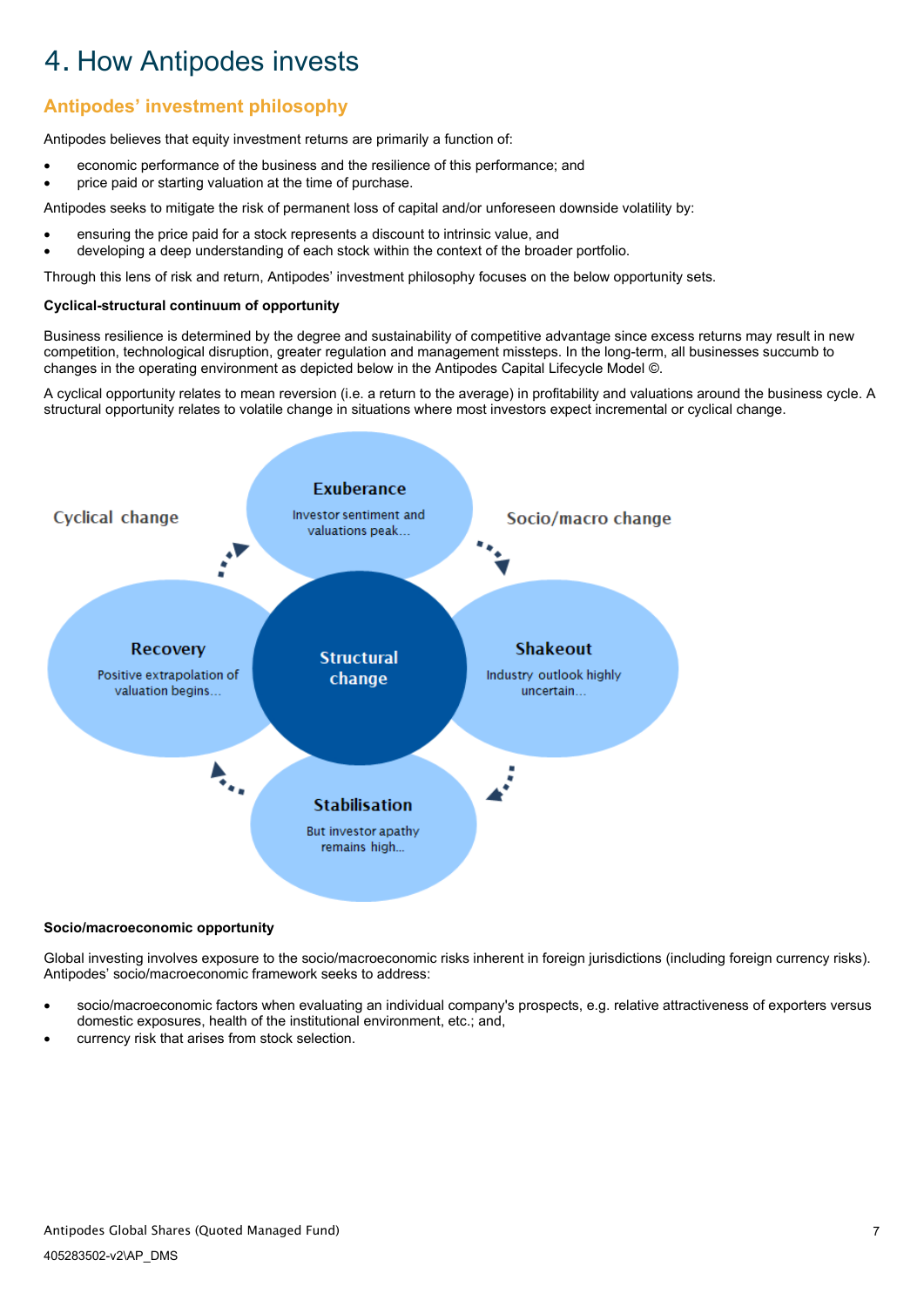# <span id="page-9-0"></span>4. How Antipodes invests

# **Antipodes' investment philosophy**

Antipodes believes that equity investment returns are primarily a function of:

- economic performance of the business and the resilience of this performance; and
- price paid or starting valuation at the time of purchase.

Antipodes seeks to mitigate the risk of permanent loss of capital and/or unforeseen downside volatility by:

- ensuring the price paid for a stock represents a discount to intrinsic value, and
- developing a deep understanding of each stock within the context of the broader portfolio.

Through this lens of risk and return, Antipodes' investment philosophy focuses on the below opportunity sets.

## **Cyclical-structural continuum of opportunity**

Business resilience is determined by the degree and sustainability of competitive advantage since excess returns may result in new competition, technological disruption, greater regulation and management missteps. In the long-term, all businesses succumb to changes in the operating environment as depicted below in the Antipodes Capital Lifecycle Model ©.

A cyclical opportunity relates to mean reversion (i.e. a return to the average) in profitability and valuations around the business cycle. A structural opportunity relates to volatile change in situations where most investors expect incremental or cyclical change.



#### **Socio/macroeconomic opportunity**

Global investing involves exposure to the socio/macroeconomic risks inherent in foreign jurisdictions (including foreign currency risks). Antipodes' socio/macroeconomic framework seeks to address:

- socio/macroeconomic factors when evaluating an individual company's prospects, e.g. relative attractiveness of exporters versus domestic exposures, health of the institutional environment, etc.; and,
- currency risk that arises from stock selection.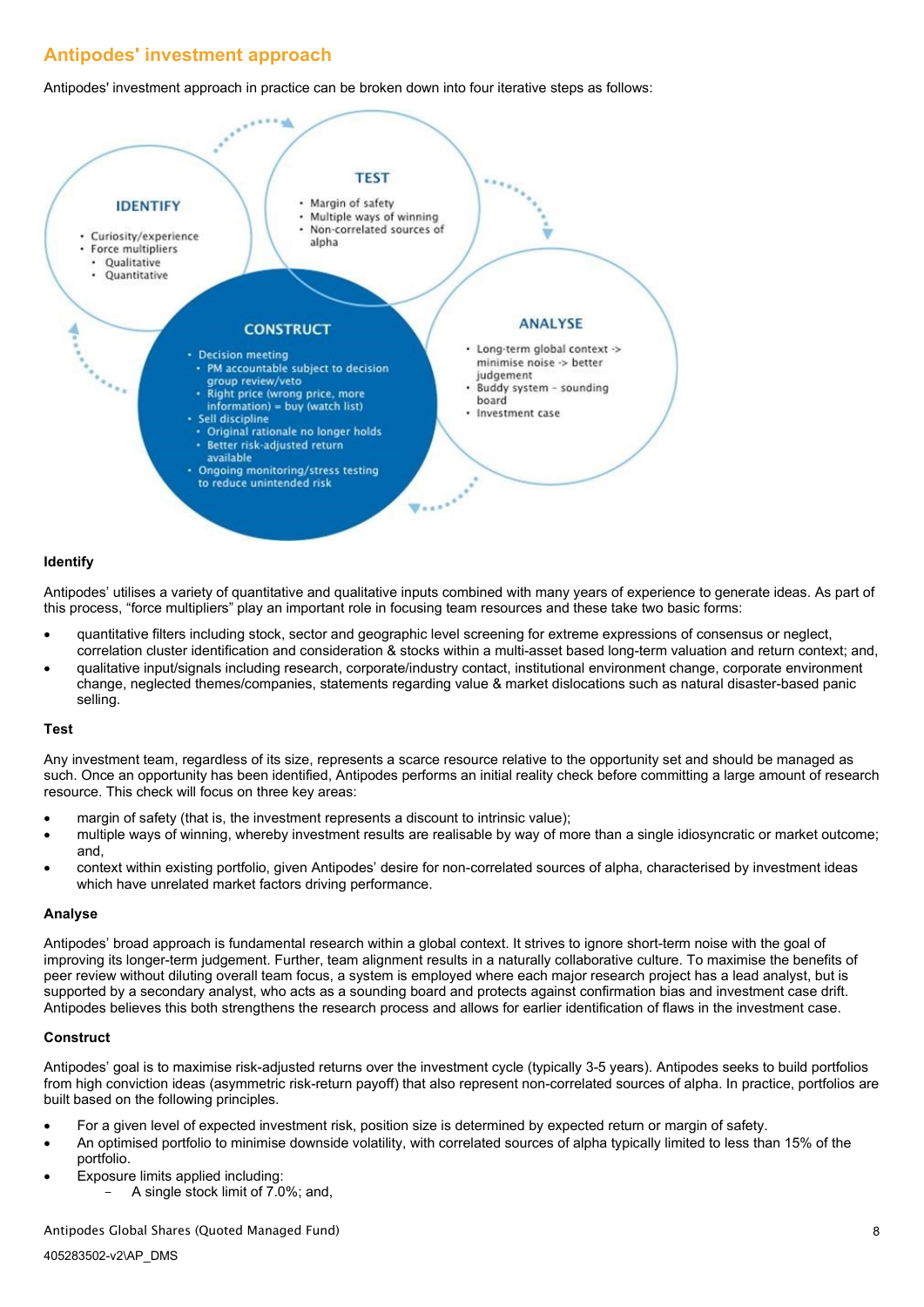# **Antipodes' investment approach**

Antipodes' investment approach in practice can be broken down into four iterative steps as follows:



#### **Identify**

Antipodes' utilises a variety of quantitative and qualitative inputs combined with many years of experience to generate ideas. As part of this process, "force multipliers" play an important role in focusing team resources and these take two basic forms:

- quantitative filters including stock, sector and geographic level screening for extreme expressions of consensus or neglect, correlation cluster identification and consideration & stocks within a multi-asset based long-term valuation and return context; and,
- qualitative input/signals including research, corporate/industry contact, institutional environment change, corporate environment change, neglected themes/companies, statements regarding value & market dislocations such as natural disaster-based panic selling.

#### **Test**

Any investment team, regardless of its size, represents a scarce resource relative to the opportunity set and should be managed as such. Once an opportunity has been identified, Antipodes performs an initial reality check before committing a large amount of research resource. This check will focus on three key areas:

- margin of safety (that is, the investment represents a discount to intrinsic value);
- multiple ways of winning, whereby investment results are realisable by way of more than a single idiosyncratic or market outcome; and,
- context within existing portfolio, given Antipodes' desire for non-correlated sources of alpha, characterised by investment ideas which have unrelated market factors driving performance.

### **Analyse**

Antipodes' broad approach is fundamental research within a global context. It strives to ignore short-term noise with the goal of improving its longer-term judgement. Further, team alignment results in a naturally collaborative culture. To maximise the benefits of peer review without diluting overall team focus, a system is employed where each major research project has a lead analyst, but is supported by a secondary analyst, who acts as a sounding board and protects against confirmation bias and investment case drift. Antipodes believes this both strengthens the research process and allows for earlier identification of flaws in the investment case.

### **Construct**

Antipodes' goal is to maximise risk-adjusted returns over the investment cycle (typically 3-5 years). Antipodes seeks to build portfolios from high conviction ideas (asymmetric risk-return payoff) that also represent non-correlated sources of alpha. In practice, portfolios are built based on the following principles.

- For a given level of expected investment risk, position size is determined by expected return or margin of safety.
- An optimised portfolio to minimise downside volatility, with correlated sources of alpha typically limited to less than 15% of the portfolio.
- Exposure limits applied including:
	- A single stock limit of 7.0%; and,

#### Antipodes Global Shares (Quoted Managed Fund)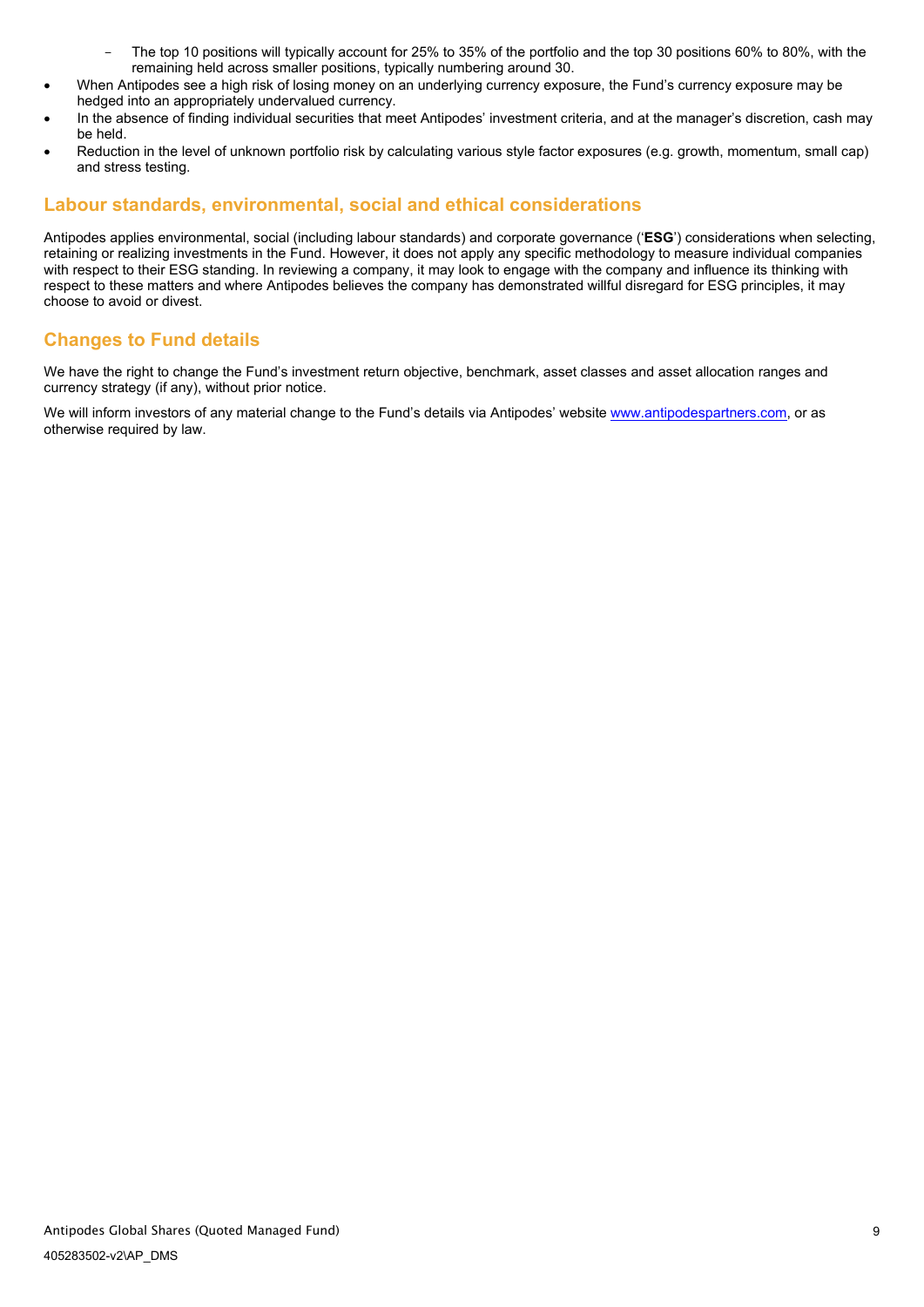- The top 10 positions will typically account for 25% to 35% of the portfolio and the top 30 positions 60% to 80%, with the remaining held across smaller positions, typically numbering around 30.
- When Antipodes see a high risk of losing money on an underlying currency exposure, the Fund's currency exposure may be hedged into an appropriately undervalued currency.
- In the absence of finding individual securities that meet Antipodes' investment criteria, and at the manager's discretion, cash may be held.
- Reduction in the level of unknown portfolio risk by calculating various style factor exposures (e.g. growth, momentum, small cap) and stress testing.

## **Labour standards, environmental, social and ethical considerations**

Antipodes applies environmental, social (including labour standards) and corporate governance ('**ESG**') considerations when selecting, retaining or realizing investments in the Fund. However, it does not apply any specific methodology to measure individual companies with respect to their ESG standing. In reviewing a company, it may look to engage with the company and influence its thinking with respect to these matters and where Antipodes believes the company has demonstrated willful disregard for ESG principles, it may choose to avoid or divest.

## **Changes to Fund details**

We have the right to change the Fund's investment return objective, benchmark, asset classes and asset allocation ranges and currency strategy (if any), without prior notice.

We will inform investors of any material change to the Fund's details via Antipodes' websit[e www.antipodespartners.com,](http://www.antipodespartners.com/) or as otherwise required by law.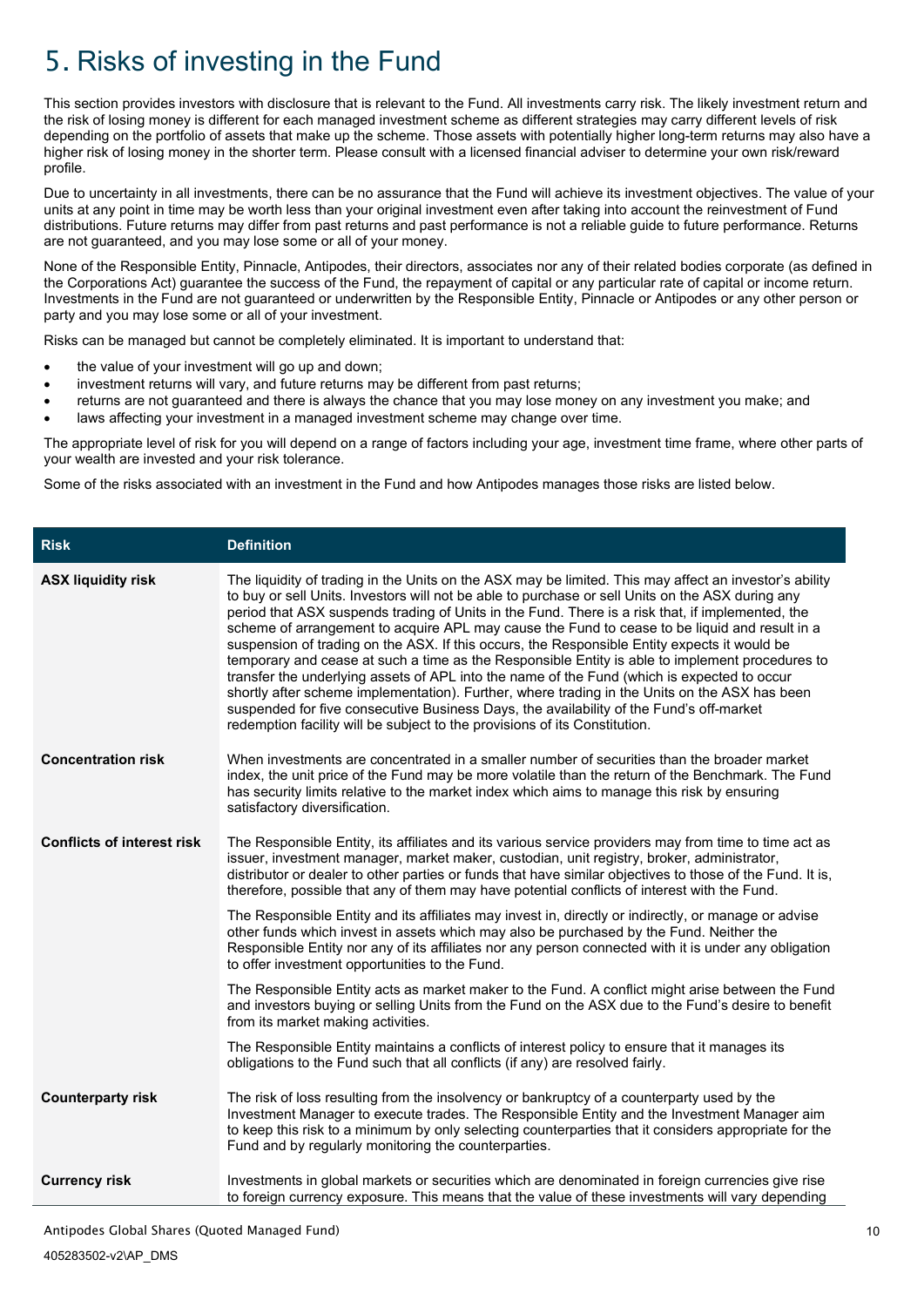# <span id="page-12-0"></span>5. Risks of investing in the Fund

This section provides investors with disclosure that is relevant to the Fund. All investments carry risk. The likely investment return and the risk of losing money is different for each managed investment scheme as different strategies may carry different levels of risk depending on the portfolio of assets that make up the scheme. Those assets with potentially higher long-term returns may also have a higher risk of losing money in the shorter term. Please consult with a licensed financial adviser to determine your own risk/reward profile.

Due to uncertainty in all investments, there can be no assurance that the Fund will achieve its investment objectives. The value of your units at any point in time may be worth less than your original investment even after taking into account the reinvestment of Fund distributions. Future returns may differ from past returns and past performance is not a reliable guide to future performance. Returns are not guaranteed, and you may lose some or all of your money.

None of the Responsible Entity, Pinnacle, Antipodes, their directors, associates nor any of their related bodies corporate (as defined in the Corporations Act) guarantee the success of the Fund, the repayment of capital or any particular rate of capital or income return. Investments in the Fund are not guaranteed or underwritten by the Responsible Entity, Pinnacle or Antipodes or any other person or party and you may lose some or all of your investment.

Risks can be managed but cannot be completely eliminated. It is important to understand that:

- the value of your investment will go up and down:
- investment returns will vary, and future returns may be different from past returns;
- returns are not guaranteed and there is always the chance that you may lose money on any investment you make; and
- laws affecting your investment in a managed investment scheme may change over time.

The appropriate level of risk for you will depend on a range of factors including your age, investment time frame, where other parts of your wealth are invested and your risk tolerance.

Some of the risks associated with an investment in the Fund and how Antipodes manages those risks are listed below.

| <b>Risk</b>                       | <b>Definition</b>                                                                                                                                                                                                                                                                                                                                                                                                                                                                                                                                                                                                                                                                                                                                                                                                                                                                                                                                                                           |  |
|-----------------------------------|---------------------------------------------------------------------------------------------------------------------------------------------------------------------------------------------------------------------------------------------------------------------------------------------------------------------------------------------------------------------------------------------------------------------------------------------------------------------------------------------------------------------------------------------------------------------------------------------------------------------------------------------------------------------------------------------------------------------------------------------------------------------------------------------------------------------------------------------------------------------------------------------------------------------------------------------------------------------------------------------|--|
| <b>ASX liquidity risk</b>         | The liquidity of trading in the Units on the ASX may be limited. This may affect an investor's ability<br>to buy or sell Units. Investors will not be able to purchase or sell Units on the ASX during any<br>period that ASX suspends trading of Units in the Fund. There is a risk that, if implemented, the<br>scheme of arrangement to acquire APL may cause the Fund to cease to be liquid and result in a<br>suspension of trading on the ASX. If this occurs, the Responsible Entity expects it would be<br>temporary and cease at such a time as the Responsible Entity is able to implement procedures to<br>transfer the underlying assets of APL into the name of the Fund (which is expected to occur<br>shortly after scheme implementation). Further, where trading in the Units on the ASX has been<br>suspended for five consecutive Business Days, the availability of the Fund's off-market<br>redemption facility will be subject to the provisions of its Constitution. |  |
| <b>Concentration risk</b>         | When investments are concentrated in a smaller number of securities than the broader market<br>index, the unit price of the Fund may be more volatile than the return of the Benchmark. The Fund<br>has security limits relative to the market index which aims to manage this risk by ensuring<br>satisfactory diversification.                                                                                                                                                                                                                                                                                                                                                                                                                                                                                                                                                                                                                                                            |  |
| <b>Conflicts of interest risk</b> | The Responsible Entity, its affiliates and its various service providers may from time to time act as<br>issuer, investment manager, market maker, custodian, unit registry, broker, administrator,<br>distributor or dealer to other parties or funds that have similar objectives to those of the Fund. It is,<br>therefore, possible that any of them may have potential conflicts of interest with the Fund.                                                                                                                                                                                                                                                                                                                                                                                                                                                                                                                                                                            |  |
|                                   | The Responsible Entity and its affiliates may invest in, directly or indirectly, or manage or advise<br>other funds which invest in assets which may also be purchased by the Fund. Neither the<br>Responsible Entity nor any of its affiliates nor any person connected with it is under any obligation<br>to offer investment opportunities to the Fund.                                                                                                                                                                                                                                                                                                                                                                                                                                                                                                                                                                                                                                  |  |
|                                   | The Responsible Entity acts as market maker to the Fund. A conflict might arise between the Fund<br>and investors buying or selling Units from the Fund on the ASX due to the Fund's desire to benefit<br>from its market making activities.                                                                                                                                                                                                                                                                                                                                                                                                                                                                                                                                                                                                                                                                                                                                                |  |
|                                   | The Responsible Entity maintains a conflicts of interest policy to ensure that it manages its<br>obligations to the Fund such that all conflicts (if any) are resolved fairly.                                                                                                                                                                                                                                                                                                                                                                                                                                                                                                                                                                                                                                                                                                                                                                                                              |  |
| <b>Counterparty risk</b>          | The risk of loss resulting from the insolvency or bankruptcy of a counterparty used by the<br>Investment Manager to execute trades. The Responsible Entity and the Investment Manager aim<br>to keep this risk to a minimum by only selecting counterparties that it considers appropriate for the<br>Fund and by regularly monitoring the counterparties.                                                                                                                                                                                                                                                                                                                                                                                                                                                                                                                                                                                                                                  |  |
| <b>Currency risk</b>              | Investments in global markets or securities which are denominated in foreign currencies give rise<br>to foreign currency exposure. This means that the value of these investments will vary depending                                                                                                                                                                                                                                                                                                                                                                                                                                                                                                                                                                                                                                                                                                                                                                                       |  |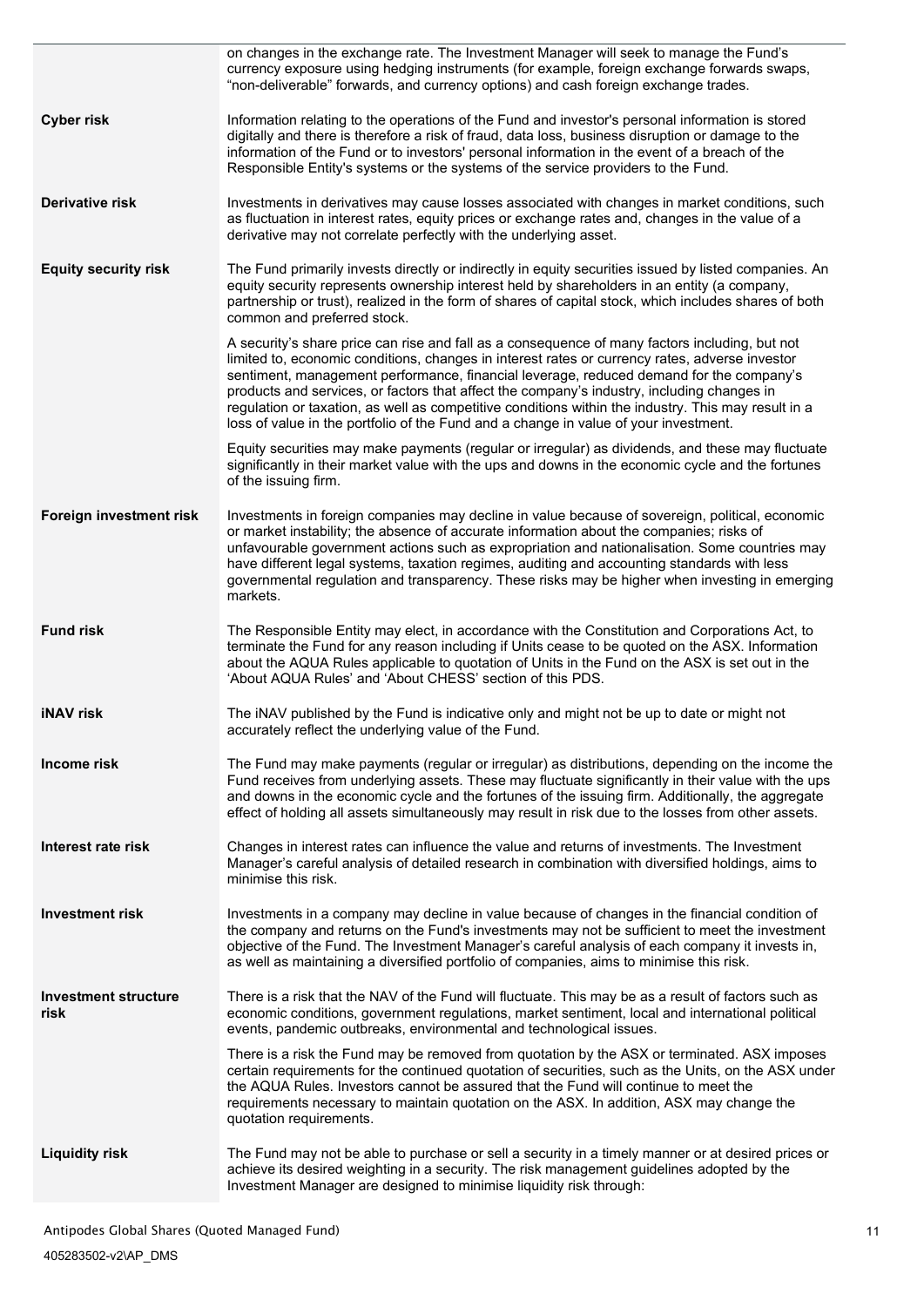|                                     | on changes in the exchange rate. The Investment Manager will seek to manage the Fund's<br>currency exposure using hedging instruments (for example, foreign exchange forwards swaps,<br>"non-deliverable" forwards, and currency options) and cash foreign exchange trades.                                                                                                                                                                                                                                                                                                              |  |  |
|-------------------------------------|------------------------------------------------------------------------------------------------------------------------------------------------------------------------------------------------------------------------------------------------------------------------------------------------------------------------------------------------------------------------------------------------------------------------------------------------------------------------------------------------------------------------------------------------------------------------------------------|--|--|
| <b>Cyber risk</b>                   | Information relating to the operations of the Fund and investor's personal information is stored<br>digitally and there is therefore a risk of fraud, data loss, business disruption or damage to the<br>information of the Fund or to investors' personal information in the event of a breach of the<br>Responsible Entity's systems or the systems of the service providers to the Fund.                                                                                                                                                                                              |  |  |
| Derivative risk                     | Investments in derivatives may cause losses associated with changes in market conditions, such<br>as fluctuation in interest rates, equity prices or exchange rates and, changes in the value of a<br>derivative may not correlate perfectly with the underlying asset.                                                                                                                                                                                                                                                                                                                  |  |  |
| <b>Equity security risk</b>         | The Fund primarily invests directly or indirectly in equity securities issued by listed companies. An<br>equity security represents ownership interest held by shareholders in an entity (a company,<br>partnership or trust), realized in the form of shares of capital stock, which includes shares of both<br>common and preferred stock.                                                                                                                                                                                                                                             |  |  |
|                                     | A security's share price can rise and fall as a consequence of many factors including, but not<br>limited to, economic conditions, changes in interest rates or currency rates, adverse investor<br>sentiment, management performance, financial leverage, reduced demand for the company's<br>products and services, or factors that affect the company's industry, including changes in<br>regulation or taxation, as well as competitive conditions within the industry. This may result in a<br>loss of value in the portfolio of the Fund and a change in value of your investment. |  |  |
|                                     | Equity securities may make payments (regular or irregular) as dividends, and these may fluctuate<br>significantly in their market value with the ups and downs in the economic cycle and the fortunes<br>of the issuing firm.                                                                                                                                                                                                                                                                                                                                                            |  |  |
| Foreign investment risk             | Investments in foreign companies may decline in value because of sovereign, political, economic<br>or market instability; the absence of accurate information about the companies; risks of<br>unfavourable government actions such as expropriation and nationalisation. Some countries may<br>have different legal systems, taxation regimes, auditing and accounting standards with less<br>governmental regulation and transparency. These risks may be higher when investing in emerging<br>markets.                                                                                |  |  |
| <b>Fund risk</b>                    | The Responsible Entity may elect, in accordance with the Constitution and Corporations Act, to<br>terminate the Fund for any reason including if Units cease to be quoted on the ASX. Information<br>about the AQUA Rules applicable to quotation of Units in the Fund on the ASX is set out in the<br>'About AQUA Rules' and 'About CHESS' section of this PDS.                                                                                                                                                                                                                         |  |  |
| <b>iNAV</b> risk                    | The iNAV published by the Fund is indicative only and might not be up to date or might not<br>accurately reflect the underlying value of the Fund.                                                                                                                                                                                                                                                                                                                                                                                                                                       |  |  |
| Income risk                         | The Fund may make payments (regular or irregular) as distributions, depending on the income the<br>Fund receives from underlying assets. These may fluctuate significantly in their value with the ups<br>and downs in the economic cycle and the fortunes of the issuing firm. Additionally, the aggregate<br>effect of holding all assets simultaneously may result in risk due to the losses from other assets.                                                                                                                                                                       |  |  |
| Interest rate risk                  | Changes in interest rates can influence the value and returns of investments. The Investment<br>Manager's careful analysis of detailed research in combination with diversified holdings, aims to<br>minimise this risk.                                                                                                                                                                                                                                                                                                                                                                 |  |  |
| <b>Investment risk</b>              | Investments in a company may decline in value because of changes in the financial condition of<br>the company and returns on the Fund's investments may not be sufficient to meet the investment<br>objective of the Fund. The Investment Manager's careful analysis of each company it invests in,<br>as well as maintaining a diversified portfolio of companies, aims to minimise this risk.                                                                                                                                                                                          |  |  |
| <b>Investment structure</b><br>risk | There is a risk that the NAV of the Fund will fluctuate. This may be as a result of factors such as<br>economic conditions, government regulations, market sentiment, local and international political<br>events, pandemic outbreaks, environmental and technological issues.                                                                                                                                                                                                                                                                                                           |  |  |
|                                     | There is a risk the Fund may be removed from quotation by the ASX or terminated. ASX imposes<br>certain requirements for the continued quotation of securities, such as the Units, on the ASX under<br>the AQUA Rules. Investors cannot be assured that the Fund will continue to meet the<br>requirements necessary to maintain quotation on the ASX. In addition, ASX may change the<br>quotation requirements.                                                                                                                                                                        |  |  |
| <b>Liquidity risk</b>               | The Fund may not be able to purchase or sell a security in a timely manner or at desired prices or<br>achieve its desired weighting in a security. The risk management guidelines adopted by the<br>Investment Manager are designed to minimise liquidity risk through:                                                                                                                                                                                                                                                                                                                  |  |  |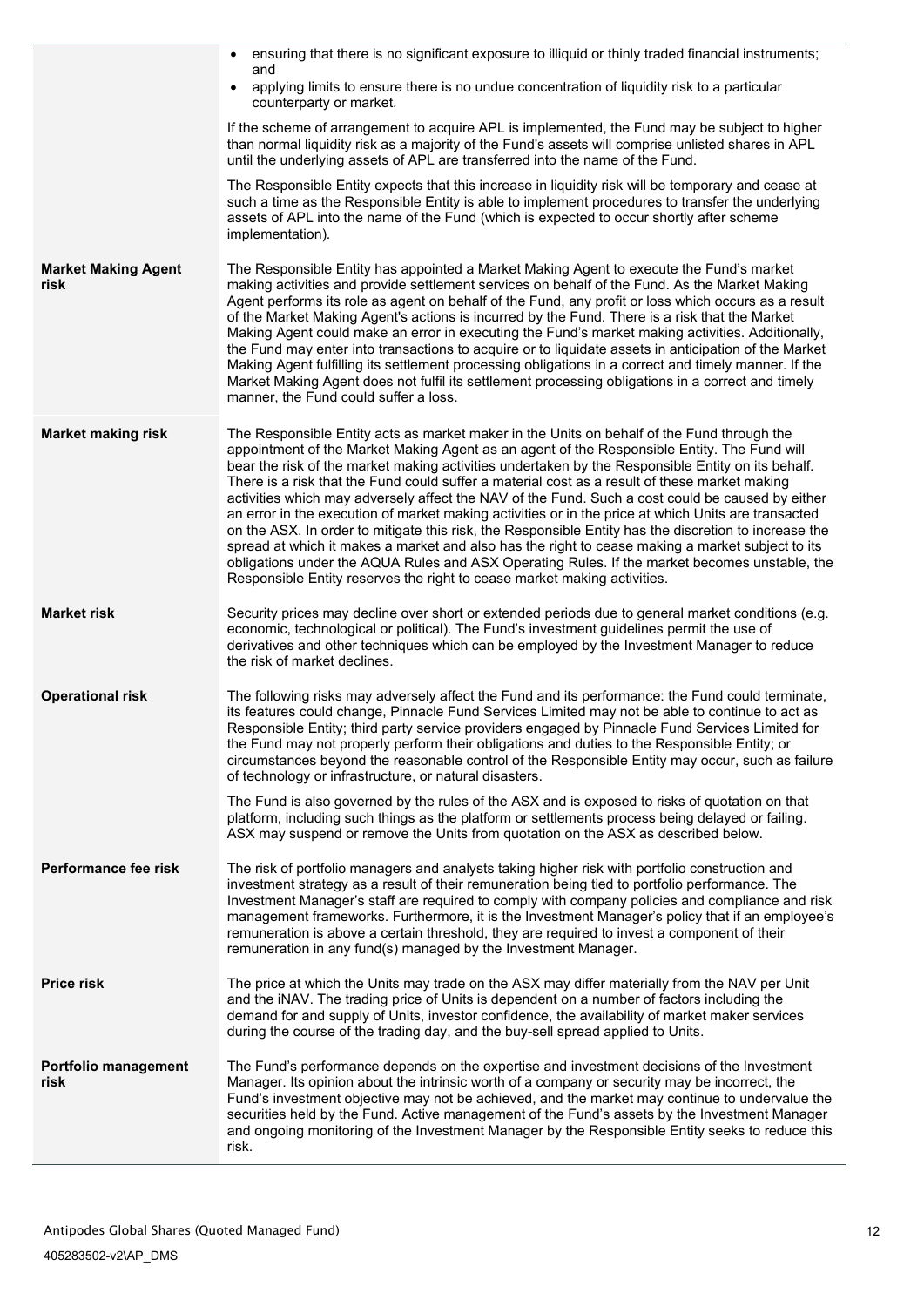|                                    | ensuring that there is no significant exposure to illiquid or thinly traded financial instruments;<br>$\bullet$                                                                                                                                                                                                                                                                                                                                                                                                                                                                                                                                                                                                                                                                                                                                                                                                                                                                                      |  |  |  |
|------------------------------------|------------------------------------------------------------------------------------------------------------------------------------------------------------------------------------------------------------------------------------------------------------------------------------------------------------------------------------------------------------------------------------------------------------------------------------------------------------------------------------------------------------------------------------------------------------------------------------------------------------------------------------------------------------------------------------------------------------------------------------------------------------------------------------------------------------------------------------------------------------------------------------------------------------------------------------------------------------------------------------------------------|--|--|--|
|                                    | and<br>applying limits to ensure there is no undue concentration of liquidity risk to a particular<br>$\bullet$<br>counterparty or market.                                                                                                                                                                                                                                                                                                                                                                                                                                                                                                                                                                                                                                                                                                                                                                                                                                                           |  |  |  |
|                                    | If the scheme of arrangement to acquire APL is implemented, the Fund may be subject to higher<br>than normal liquidity risk as a majority of the Fund's assets will comprise unlisted shares in APL<br>until the underlying assets of APL are transferred into the name of the Fund.                                                                                                                                                                                                                                                                                                                                                                                                                                                                                                                                                                                                                                                                                                                 |  |  |  |
|                                    | The Responsible Entity expects that this increase in liquidity risk will be temporary and cease at<br>such a time as the Responsible Entity is able to implement procedures to transfer the underlying<br>assets of APL into the name of the Fund (which is expected to occur shortly after scheme<br>implementation).                                                                                                                                                                                                                                                                                                                                                                                                                                                                                                                                                                                                                                                                               |  |  |  |
| <b>Market Making Agent</b><br>risk | The Responsible Entity has appointed a Market Making Agent to execute the Fund's market<br>making activities and provide settlement services on behalf of the Fund. As the Market Making<br>Agent performs its role as agent on behalf of the Fund, any profit or loss which occurs as a result<br>of the Market Making Agent's actions is incurred by the Fund. There is a risk that the Market<br>Making Agent could make an error in executing the Fund's market making activities. Additionally,<br>the Fund may enter into transactions to acquire or to liquidate assets in anticipation of the Market<br>Making Agent fulfilling its settlement processing obligations in a correct and timely manner. If the<br>Market Making Agent does not fulfil its settlement processing obligations in a correct and timely<br>manner, the Fund could suffer a loss.                                                                                                                                   |  |  |  |
| <b>Market making risk</b>          | The Responsible Entity acts as market maker in the Units on behalf of the Fund through the<br>appointment of the Market Making Agent as an agent of the Responsible Entity. The Fund will<br>bear the risk of the market making activities undertaken by the Responsible Entity on its behalf.<br>There is a risk that the Fund could suffer a material cost as a result of these market making<br>activities which may adversely affect the NAV of the Fund. Such a cost could be caused by either<br>an error in the execution of market making activities or in the price at which Units are transacted<br>on the ASX. In order to mitigate this risk, the Responsible Entity has the discretion to increase the<br>spread at which it makes a market and also has the right to cease making a market subject to its<br>obligations under the AQUA Rules and ASX Operating Rules. If the market becomes unstable, the<br>Responsible Entity reserves the right to cease market making activities. |  |  |  |
| <b>Market risk</b>                 | Security prices may decline over short or extended periods due to general market conditions (e.g.<br>economic, technological or political). The Fund's investment guidelines permit the use of<br>derivatives and other techniques which can be employed by the Investment Manager to reduce<br>the risk of market declines.                                                                                                                                                                                                                                                                                                                                                                                                                                                                                                                                                                                                                                                                         |  |  |  |
| <b>Operational risk</b>            | The following risks may adversely affect the Fund and its performance: the Fund could terminate,<br>its features could change, Pinnacle Fund Services Limited may not be able to continue to act as<br>Responsible Entity; third party service providers engaged by Pinnacle Fund Services Limited for<br>the Fund may not properly perform their obligations and duties to the Responsible Entity; or<br>circumstances beyond the reasonable control of the Responsible Entity may occur, such as failure<br>of technology or infrastructure, or natural disasters.                                                                                                                                                                                                                                                                                                                                                                                                                                 |  |  |  |
|                                    | The Fund is also governed by the rules of the ASX and is exposed to risks of quotation on that<br>platform, including such things as the platform or settlements process being delayed or failing.<br>ASX may suspend or remove the Units from quotation on the ASX as described below.                                                                                                                                                                                                                                                                                                                                                                                                                                                                                                                                                                                                                                                                                                              |  |  |  |
| Performance fee risk               | The risk of portfolio managers and analysts taking higher risk with portfolio construction and<br>investment strategy as a result of their remuneration being tied to portfolio performance. The<br>Investment Manager's staff are required to comply with company policies and compliance and risk<br>management frameworks. Furthermore, it is the Investment Manager's policy that if an employee's<br>remuneration is above a certain threshold, they are required to invest a component of their<br>remuneration in any fund(s) managed by the Investment Manager.                                                                                                                                                                                                                                                                                                                                                                                                                              |  |  |  |
| <b>Price risk</b>                  | The price at which the Units may trade on the ASX may differ materially from the NAV per Unit<br>and the iNAV. The trading price of Units is dependent on a number of factors including the<br>demand for and supply of Units, investor confidence, the availability of market maker services<br>during the course of the trading day, and the buy-sell spread applied to Units.                                                                                                                                                                                                                                                                                                                                                                                                                                                                                                                                                                                                                     |  |  |  |
| Portfolio management<br>risk       | The Fund's performance depends on the expertise and investment decisions of the Investment<br>Manager. Its opinion about the intrinsic worth of a company or security may be incorrect, the<br>Fund's investment objective may not be achieved, and the market may continue to undervalue the<br>securities held by the Fund. Active management of the Fund's assets by the Investment Manager<br>and ongoing monitoring of the Investment Manager by the Responsible Entity seeks to reduce this<br>risk.                                                                                                                                                                                                                                                                                                                                                                                                                                                                                           |  |  |  |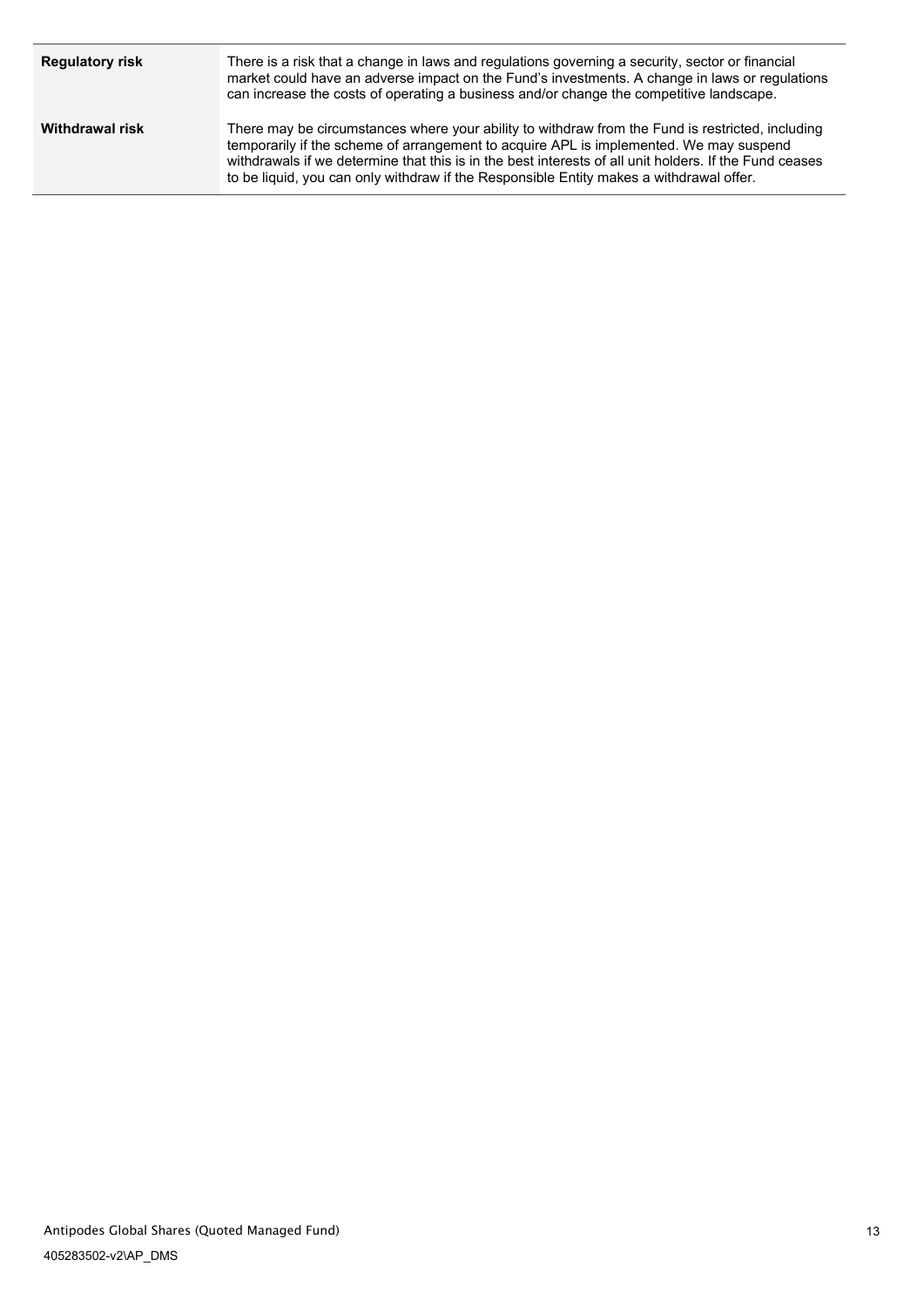| <b>Regulatory risk</b> | There is a risk that a change in laws and regulations governing a security, sector or financial<br>market could have an adverse impact on the Fund's investments. A change in laws or regulations<br>can increase the costs of operating a business and/or change the competitive landscape.                                                                                                    |
|------------------------|-------------------------------------------------------------------------------------------------------------------------------------------------------------------------------------------------------------------------------------------------------------------------------------------------------------------------------------------------------------------------------------------------|
| <b>Withdrawal risk</b> | There may be circumstances where your ability to withdraw from the Fund is restricted, including<br>temporarily if the scheme of arrangement to acquire APL is implemented. We may suspend<br>withdrawals if we determine that this is in the best interests of all unit holders. If the Fund ceases<br>to be liquid, you can only withdraw if the Responsible Entity makes a withdrawal offer. |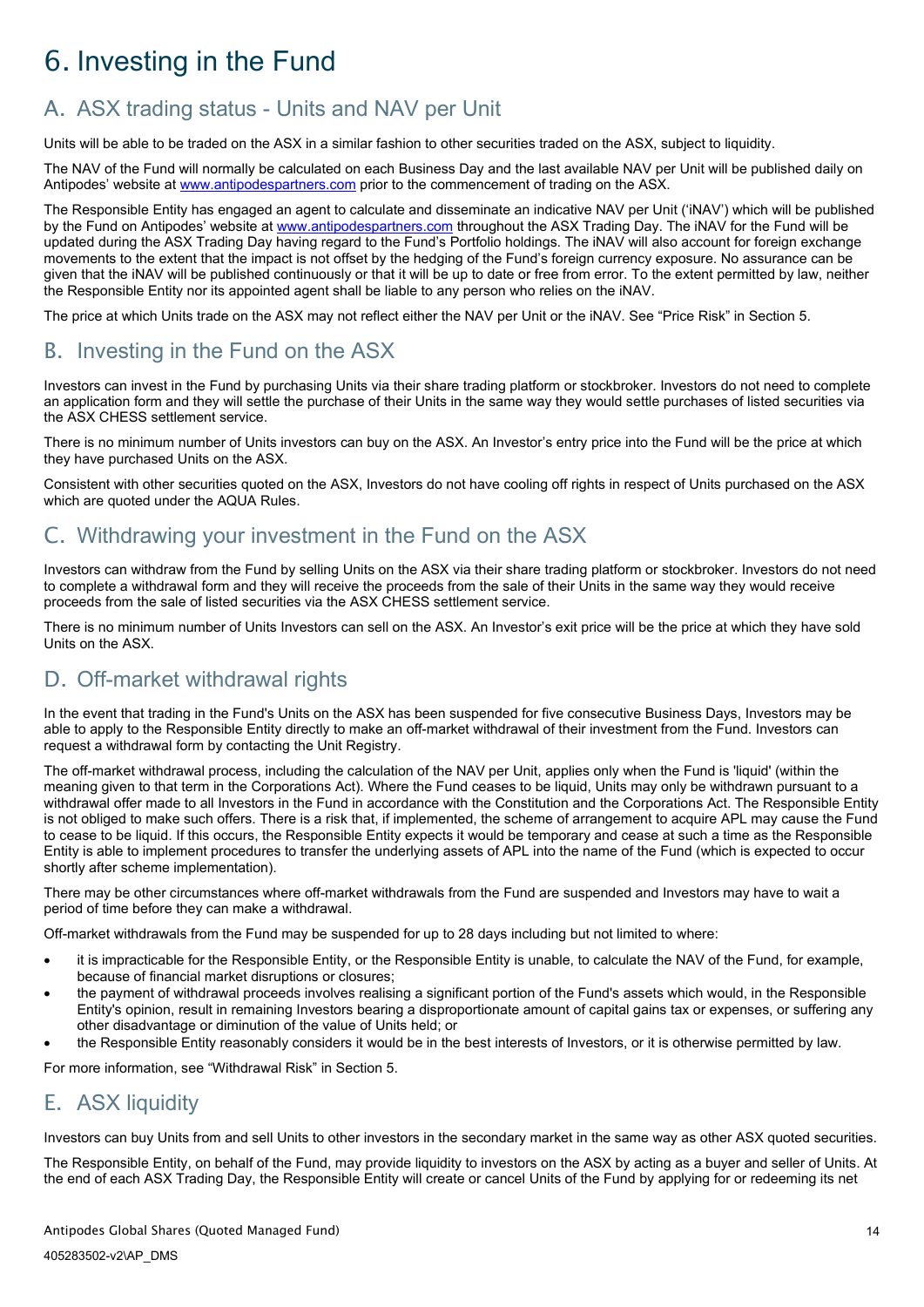# <span id="page-16-0"></span>6. Investing in the Fund

# <span id="page-16-1"></span>A. ASX trading status - Units and NAV per Unit

Units will be able to be traded on the ASX in a similar fashion to other securities traded on the ASX, subject to liquidity.

The NAV of the Fund will normally be calculated on each Business Day and the last available NAV per Unit will be published daily on Antipodes' website at [www.antipodespartners.com](https://antipodespartners.com/) prior to the commencement of trading on the ASX.

The Responsible Entity has engaged an agent to calculate and disseminate an indicative NAV per Unit ('iNAV') which will be published by the Fund on Antipodes' website a[t www.antipodespartners.com](https://antipodespartners.com/) throughout the ASX Trading Day. The iNAV for the Fund will be updated during the ASX Trading Day having regard to the Fund's Portfolio holdings. The iNAV will also account for foreign exchange movements to the extent that the impact is not offset by the hedging of the Fund's foreign currency exposure. No assurance can be given that the iNAV will be published continuously or that it will be up to date or free from error. To the extent permitted by law, neither the Responsible Entity nor its appointed agent shall be liable to any person who relies on the iNAV.

The price at which Units trade on the ASX may not reflect either the NAV per Unit or the iNAV. See "Price Risk" in Section 5.

# <span id="page-16-2"></span>B. Investing in the Fund on the ASX

Investors can invest in the Fund by purchasing Units via their share trading platform or stockbroker. Investors do not need to complete an application form and they will settle the purchase of their Units in the same way they would settle purchases of listed securities via the ASX CHESS settlement service.

There is no minimum number of Units investors can buy on the ASX. An Investor's entry price into the Fund will be the price at which they have purchased Units on the ASX.

Consistent with other securities quoted on the ASX, Investors do not have cooling off rights in respect of Units purchased on the ASX which are quoted under the AQUA Rules.

# <span id="page-16-3"></span>C. Withdrawing your investment in the Fund on the ASX

Investors can withdraw from the Fund by selling Units on the ASX via their share trading platform or stockbroker. Investors do not need to complete a withdrawal form and they will receive the proceeds from the sale of their Units in the same way they would receive proceeds from the sale of listed securities via the ASX CHESS settlement service.

There is no minimum number of Units Investors can sell on the ASX. An Investor's exit price will be the price at which they have sold Units on the ASX.

# <span id="page-16-4"></span>D. Off-market withdrawal rights

In the event that trading in the Fund's Units on the ASX has been suspended for five consecutive Business Days, Investors may be able to apply to the Responsible Entity directly to make an off-market withdrawal of their investment from the Fund. Investors can request a withdrawal form by contacting the Unit Registry.

The off-market withdrawal process, including the calculation of the NAV per Unit, applies only when the Fund is 'liquid' (within the meaning given to that term in the Corporations Act). Where the Fund ceases to be liquid, Units may only be withdrawn pursuant to a withdrawal offer made to all Investors in the Fund in accordance with the Constitution and the Corporations Act. The Responsible Entity is not obliged to make such offers. There is a risk that, if implemented, the scheme of arrangement to acquire APL may cause the Fund to cease to be liquid. If this occurs, the Responsible Entity expects it would be temporary and cease at such a time as the Responsible Entity is able to implement procedures to transfer the underlying assets of APL into the name of the Fund (which is expected to occur shortly after scheme implementation).

There may be other circumstances where off-market withdrawals from the Fund are suspended and Investors may have to wait a period of time before they can make a withdrawal.

Off-market withdrawals from the Fund may be suspended for up to 28 days including but not limited to where:

- it is impracticable for the Responsible Entity, or the Responsible Entity is unable, to calculate the NAV of the Fund, for example, because of financial market disruptions or closures;
- the payment of withdrawal proceeds involves realising a significant portion of the Fund's assets which would, in the Responsible Entity's opinion, result in remaining Investors bearing a disproportionate amount of capital gains tax or expenses, or suffering any other disadvantage or diminution of the value of Units held; or
- the Responsible Entity reasonably considers it would be in the best interests of Investors, or it is otherwise permitted by law.

For more information, see "Withdrawal Risk" in Section 5.

# <span id="page-16-5"></span>E. ASX liquidity

Investors can buy Units from and sell Units to other investors in the secondary market in the same way as other ASX quoted securities.

The Responsible Entity, on behalf of the Fund, may provide liquidity to investors on the ASX by acting as a buyer and seller of Units. At the end of each ASX Trading Day, the Responsible Entity will create or cancel Units of the Fund by applying for or redeeming its net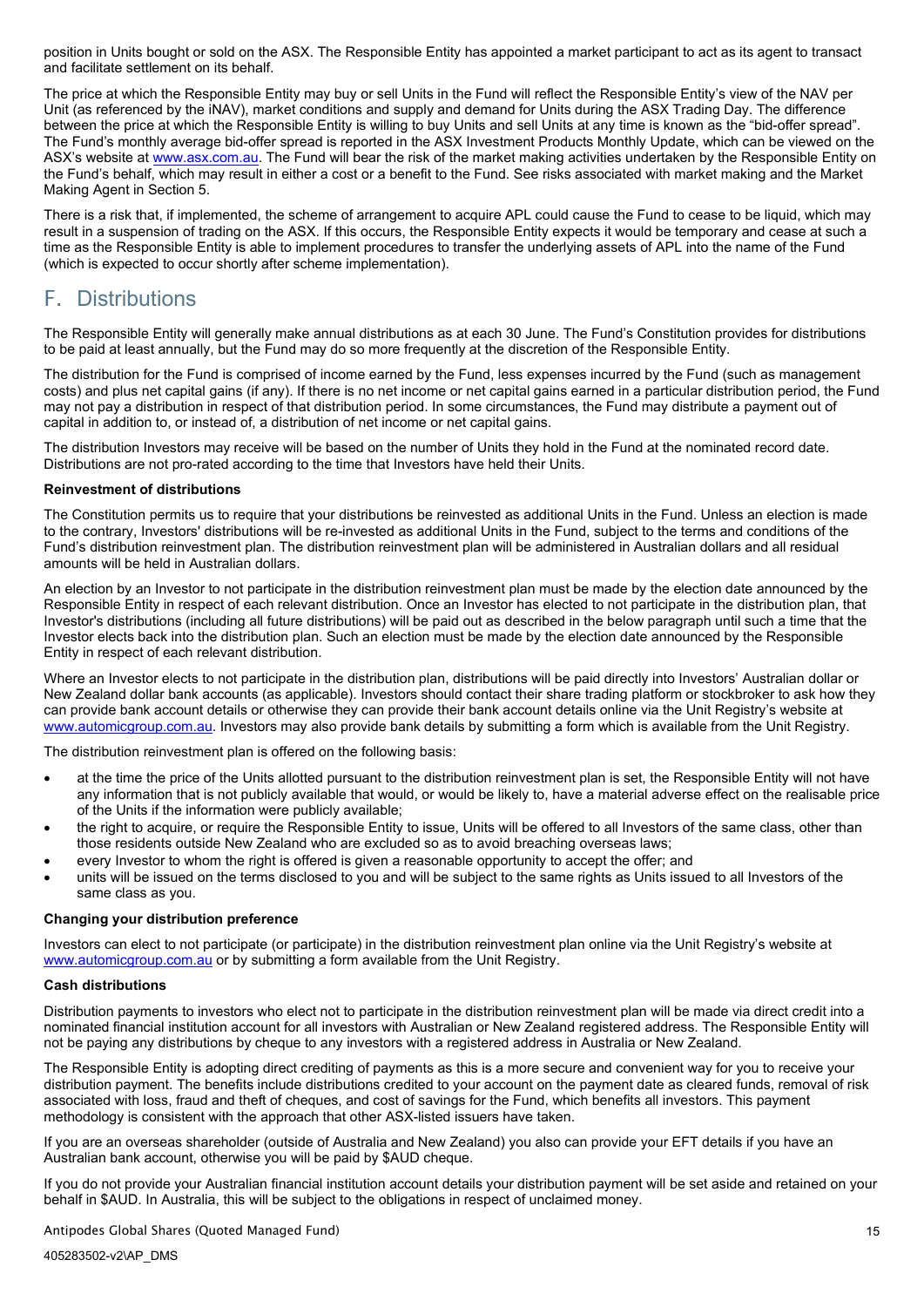position in Units bought or sold on the ASX. The Responsible Entity has appointed a market participant to act as its agent to transact and facilitate settlement on its behalf.

The price at which the Responsible Entity may buy or sell Units in the Fund will reflect the Responsible Entity's view of the NAV per Unit (as referenced by the iNAV), market conditions and supply and demand for Units during the ASX Trading Day. The difference between the price at which the Responsible Entity is willing to buy Units and sell Units at any time is known as the "bid-offer spread". The Fund's monthly average bid-offer spread is reported in the ASX Investment Products Monthly Update, which can be viewed on the ASX's website a[t www.asx.com.au.](http://www.asx.com.au/) The Fund will bear the risk of the market making activities undertaken by the Responsible Entity on the Fund's behalf, which may result in either a cost or a benefit to the Fund. See risks associated with market making and the Market Making Agent in Section 5.

There is a risk that, if implemented, the scheme of arrangement to acquire APL could cause the Fund to cease to be liquid, which may result in a suspension of trading on the ASX. If this occurs, the Responsible Entity expects it would be temporary and cease at such a time as the Responsible Entity is able to implement procedures to transfer the underlying assets of APL into the name of the Fund (which is expected to occur shortly after scheme implementation).

# <span id="page-17-0"></span>F. Distributions

The Responsible Entity will generally make annual distributions as at each 30 June. The Fund's Constitution provides for distributions to be paid at least annually, but the Fund may do so more frequently at the discretion of the Responsible Entity.

The distribution for the Fund is comprised of income earned by the Fund, less expenses incurred by the Fund (such as management costs) and plus net capital gains (if any). If there is no net income or net capital gains earned in a particular distribution period, the Fund may not pay a distribution in respect of that distribution period. In some circumstances, the Fund may distribute a payment out of capital in addition to, or instead of, a distribution of net income or net capital gains.

The distribution Investors may receive will be based on the number of Units they hold in the Fund at the nominated record date. Distributions are not pro-rated according to the time that Investors have held their Units.

#### **Reinvestment of distributions**

The Constitution permits us to require that your distributions be reinvested as additional Units in the Fund. Unless an election is made to the contrary, Investors' distributions will be re-invested as additional Units in the Fund, subject to the terms and conditions of the Fund's distribution reinvestment plan. The distribution reinvestment plan will be administered in Australian dollars and all residual amounts will be held in Australian dollars.

An election by an Investor to not participate in the distribution reinvestment plan must be made by the election date announced by the Responsible Entity in respect of each relevant distribution. Once an Investor has elected to not participate in the distribution plan, that Investor's distributions (including all future distributions) will be paid out as described in the below paragraph until such a time that the Investor elects back into the distribution plan. Such an election must be made by the election date announced by the Responsible Entity in respect of each relevant distribution.

Where an Investor elects to not participate in the distribution plan, distributions will be paid directly into Investors' Australian dollar or New Zealand dollar bank accounts (as applicable). Investors should contact their share trading platform or stockbroker to ask how they can provide bank account details or otherwise they can provide their bank account details online via the Unit Registry's website at [www.automicgroup.com.au.](https://www.automicgroup.com.au/) Investors may also provide bank details by submitting a form which is available from the Unit Registry.

The distribution reinvestment plan is offered on the following basis:

- at the time the price of the Units allotted pursuant to the distribution reinvestment plan is set, the Responsible Entity will not have any information that is not publicly available that would, or would be likely to, have a material adverse effect on the realisable price of the Units if the information were publicly available;
- the right to acquire, or require the Responsible Entity to issue, Units will be offered to all Investors of the same class, other than those residents outside New Zealand who are excluded so as to avoid breaching overseas laws;
- every Investor to whom the right is offered is given a reasonable opportunity to accept the offer; and
- units will be issued on the terms disclosed to you and will be subject to the same rights as Units issued to all Investors of the same class as you.

#### **Changing your distribution preference**

Investors can elect to not participate (or participate) in the distribution reinvestment plan online via the Unit Registry's website at [www.automicgroup.com.au](https://www.automicgroup.com.au/) or by submitting a form available from the Unit Registry.

#### **Cash distributions**

Distribution payments to investors who elect not to participate in the distribution reinvestment plan will be made via direct credit into a nominated financial institution account for all investors with Australian or New Zealand registered address. The Responsible Entity will not be paying any distributions by cheque to any investors with a registered address in Australia or New Zealand.

The Responsible Entity is adopting direct crediting of payments as this is a more secure and convenient way for you to receive your distribution payment. The benefits include distributions credited to your account on the payment date as cleared funds, removal of risk associated with loss, fraud and theft of cheques, and cost of savings for the Fund, which benefits all investors. This payment methodology is consistent with the approach that other ASX-listed issuers have taken.

If you are an overseas shareholder (outside of Australia and New Zealand) you also can provide your EFT details if you have an Australian bank account, otherwise you will be paid by \$AUD cheque.

If you do not provide your Australian financial institution account details your distribution payment will be set aside and retained on your behalf in \$AUD. In Australia, this will be subject to the obligations in respect of unclaimed money.

Antipodes Global Shares (Quoted Managed Fund)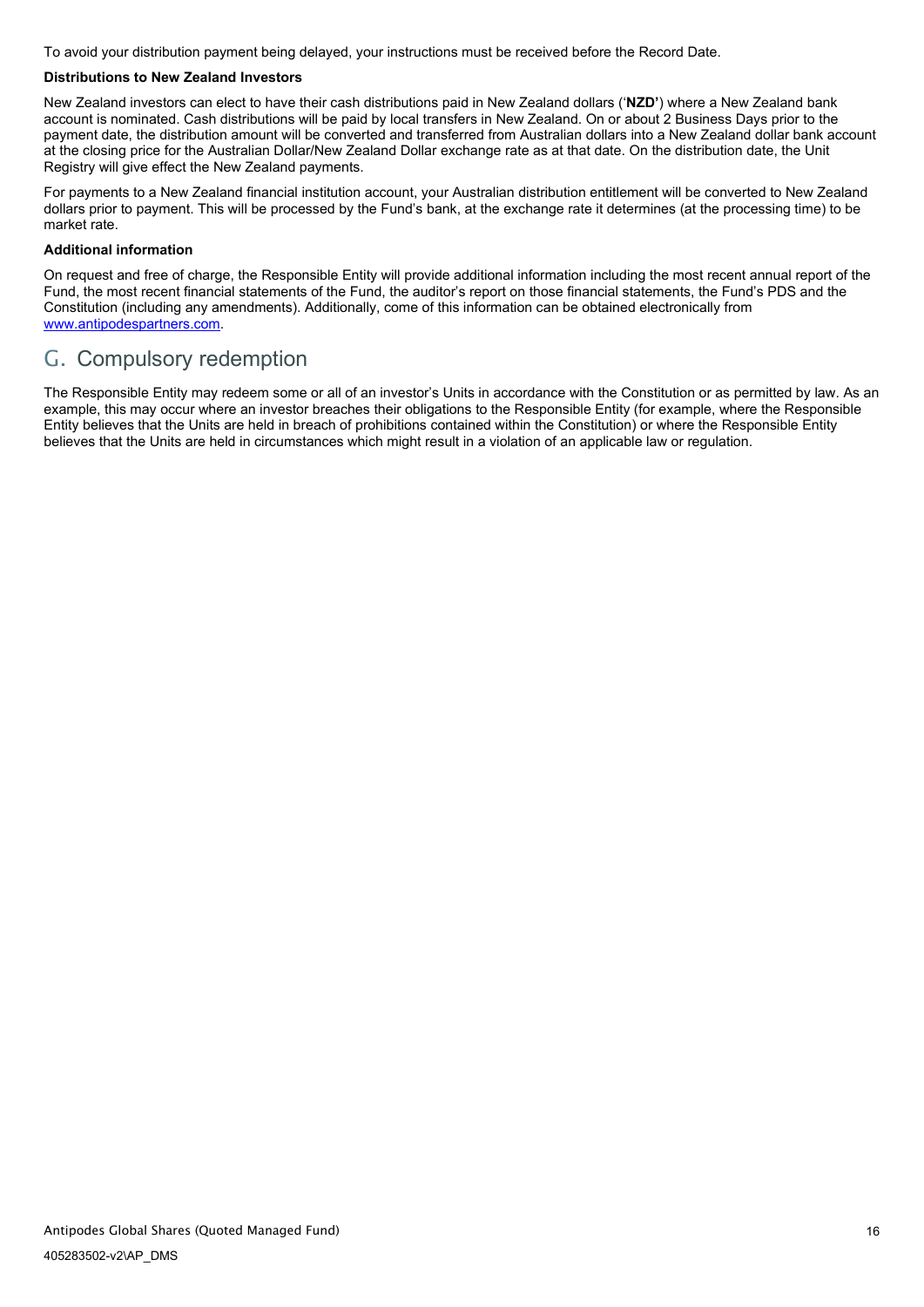To avoid your distribution payment being delayed, your instructions must be received before the Record Date.

### **Distributions to New Zealand Investors**

New Zealand investors can elect to have their cash distributions paid in New Zealand dollars ('**NZD'**) where a New Zealand bank account is nominated. Cash distributions will be paid by local transfers in New Zealand. On or about 2 Business Days prior to the payment date, the distribution amount will be converted and transferred from Australian dollars into a New Zealand dollar bank account at the closing price for the Australian Dollar/New Zealand Dollar exchange rate as at that date. On the distribution date, the Unit Registry will give effect the New Zealand payments.

For payments to a New Zealand financial institution account, your Australian distribution entitlement will be converted to New Zealand dollars prior to payment. This will be processed by the Fund's bank, at the exchange rate it determines (at the processing time) to be market rate.

### **Additional information**

On request and free of charge, the Responsible Entity will provide additional information including the most recent annual report of the Fund, the most recent financial statements of the Fund, the auditor's report on those financial statements, the Fund's PDS and the Constitution (including any amendments). Additionally, come of this information can be obtained electronically from [www.antipodespartners.com.](https://antipodespartners.com/)

# <span id="page-18-0"></span>G. Compulsory redemption

The Responsible Entity may redeem some or all of an investor's Units in accordance with the Constitution or as permitted by law. As an example, this may occur where an investor breaches their obligations to the Responsible Entity (for example, where the Responsible Entity believes that the Units are held in breach of prohibitions contained within the Constitution) or where the Responsible Entity believes that the Units are held in circumstances which might result in a violation of an applicable law or regulation.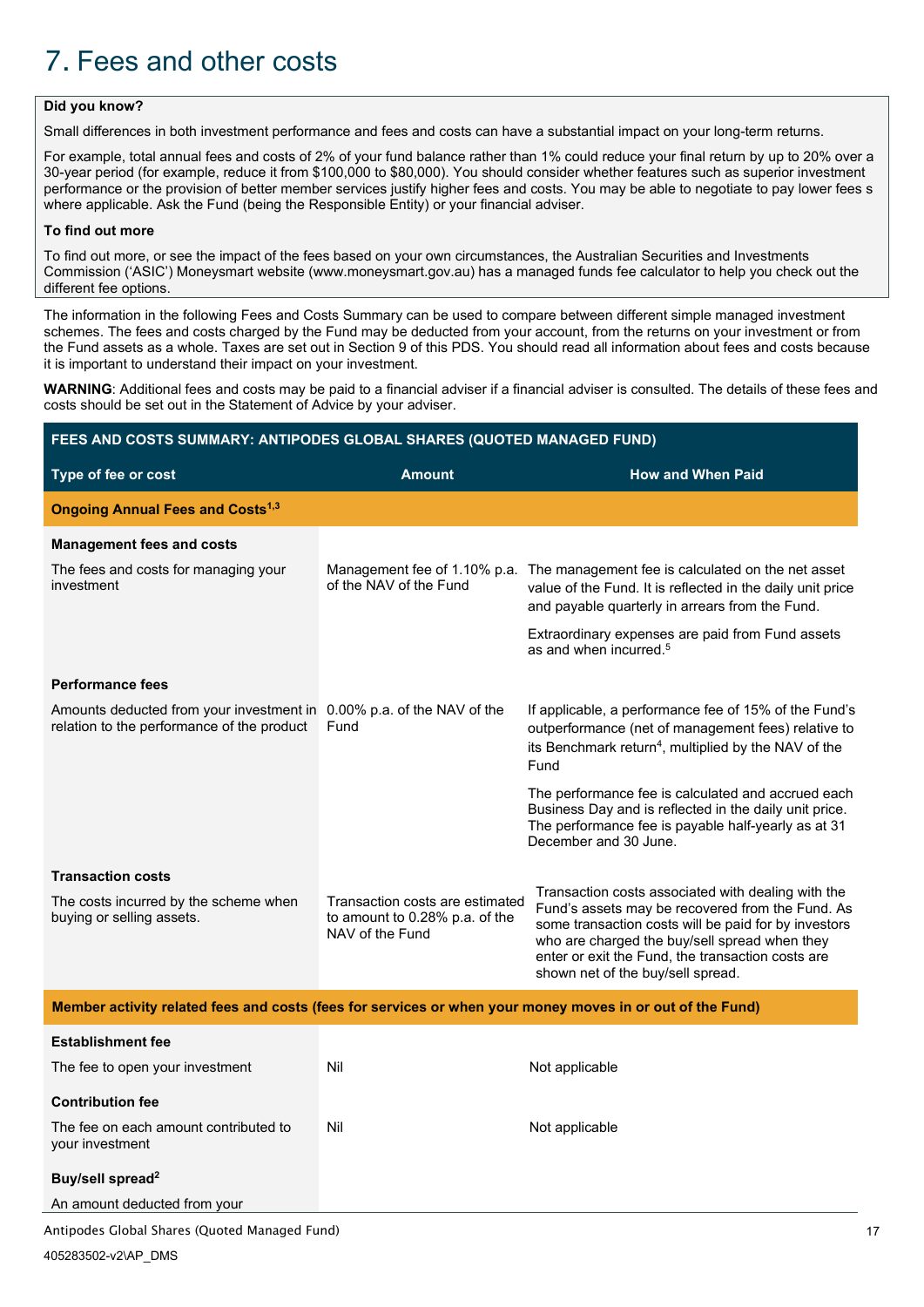# <span id="page-19-0"></span>7. Fees and other costs

## **Did you know?**

Small differences in both investment performance and fees and costs can have a substantial impact on your long-term returns.

For example, total annual fees and costs of 2% of your fund balance rather than 1% could reduce your final return by up to 20% over a 30-year period (for example, reduce it from \$100,000 to \$80,000). You should consider whether features such as superior investment performance or the provision of better member services justify higher fees and costs. You may be able to negotiate to pay lower fees s where applicable. Ask the Fund (being the Responsible Entity) or your financial adviser.

#### **To find out more**

To find out more, or see the impact of the fees based on your own circumstances, the Australian Securities and Investments Commission ('ASIC') Moneysmart website (www.moneysmart.gov.au) has a managed funds fee calculator to help you check out the different fee options.

The information in the following Fees and Costs Summary can be used to compare between different simple managed investment schemes. The fees and costs charged by the Fund may be deducted from your account, from the returns on your investment or from the Fund assets as a whole. Taxes are set out in Section [9](#page-25-0) of this PDS. You should read all information about fees and costs because it is important to understand their impact on your investment.

WARNING: Additional fees and costs may be paid to a financial adviser if a financial adviser is consulted. The details of these fees and costs should be set out in the Statement of Advice by your adviser.

| FEES AND COSTS SUMMARY: ANTIPODES GLOBAL SHARES (QUOTED MANAGED FUND)                                     |                                                                                      |                                                                                                                                                                                                                                                                                                           |  |  |
|-----------------------------------------------------------------------------------------------------------|--------------------------------------------------------------------------------------|-----------------------------------------------------------------------------------------------------------------------------------------------------------------------------------------------------------------------------------------------------------------------------------------------------------|--|--|
| Type of fee or cost                                                                                       | <b>Amount</b>                                                                        | <b>How and When Paid</b>                                                                                                                                                                                                                                                                                  |  |  |
| <b>Ongoing Annual Fees and Costs<sup>1,3</sup></b>                                                        |                                                                                      |                                                                                                                                                                                                                                                                                                           |  |  |
| <b>Management fees and costs</b>                                                                          |                                                                                      |                                                                                                                                                                                                                                                                                                           |  |  |
| The fees and costs for managing your<br>investment                                                        | of the NAV of the Fund                                                               | Management fee of 1.10% p.a. The management fee is calculated on the net asset<br>value of the Fund. It is reflected in the daily unit price<br>and payable quarterly in arrears from the Fund.                                                                                                           |  |  |
|                                                                                                           |                                                                                      | Extraordinary expenses are paid from Fund assets<br>as and when incurred. <sup>5</sup>                                                                                                                                                                                                                    |  |  |
| <b>Performance fees</b>                                                                                   |                                                                                      |                                                                                                                                                                                                                                                                                                           |  |  |
| Amounts deducted from your investment in<br>relation to the performance of the product                    | 0.00% p.a. of the NAV of the<br>Fund                                                 | If applicable, a performance fee of 15% of the Fund's<br>outperformance (net of management fees) relative to<br>its Benchmark return <sup>4</sup> , multiplied by the NAV of the<br>Fund                                                                                                                  |  |  |
|                                                                                                           |                                                                                      | The performance fee is calculated and accrued each<br>Business Day and is reflected in the daily unit price.<br>The performance fee is payable half-yearly as at 31<br>December and 30 June.                                                                                                              |  |  |
| <b>Transaction costs</b>                                                                                  |                                                                                      |                                                                                                                                                                                                                                                                                                           |  |  |
| The costs incurred by the scheme when<br>buying or selling assets.                                        | Transaction costs are estimated<br>to amount to 0.28% p.a. of the<br>NAV of the Fund | Transaction costs associated with dealing with the<br>Fund's assets may be recovered from the Fund. As<br>some transaction costs will be paid for by investors<br>who are charged the buy/sell spread when they<br>enter or exit the Fund, the transaction costs are<br>shown net of the buy/sell spread. |  |  |
| Member activity related fees and costs (fees for services or when your money moves in or out of the Fund) |                                                                                      |                                                                                                                                                                                                                                                                                                           |  |  |
| <b>Establishment fee</b>                                                                                  |                                                                                      |                                                                                                                                                                                                                                                                                                           |  |  |
| The fee to open your investment                                                                           | Nil                                                                                  | Not applicable                                                                                                                                                                                                                                                                                            |  |  |
| <b>Contribution fee</b>                                                                                   |                                                                                      |                                                                                                                                                                                                                                                                                                           |  |  |
| The fee on each amount contributed to<br>your investment                                                  | Nil                                                                                  | Not applicable                                                                                                                                                                                                                                                                                            |  |  |
| Buy/sell spread <sup>2</sup>                                                                              |                                                                                      |                                                                                                                                                                                                                                                                                                           |  |  |
| An amount deducted from your                                                                              |                                                                                      |                                                                                                                                                                                                                                                                                                           |  |  |
| Antipodes Global Shares (Quoted Managed Fund)                                                             |                                                                                      |                                                                                                                                                                                                                                                                                                           |  |  |
| 405283502-v2\AP DMS                                                                                       |                                                                                      |                                                                                                                                                                                                                                                                                                           |  |  |

17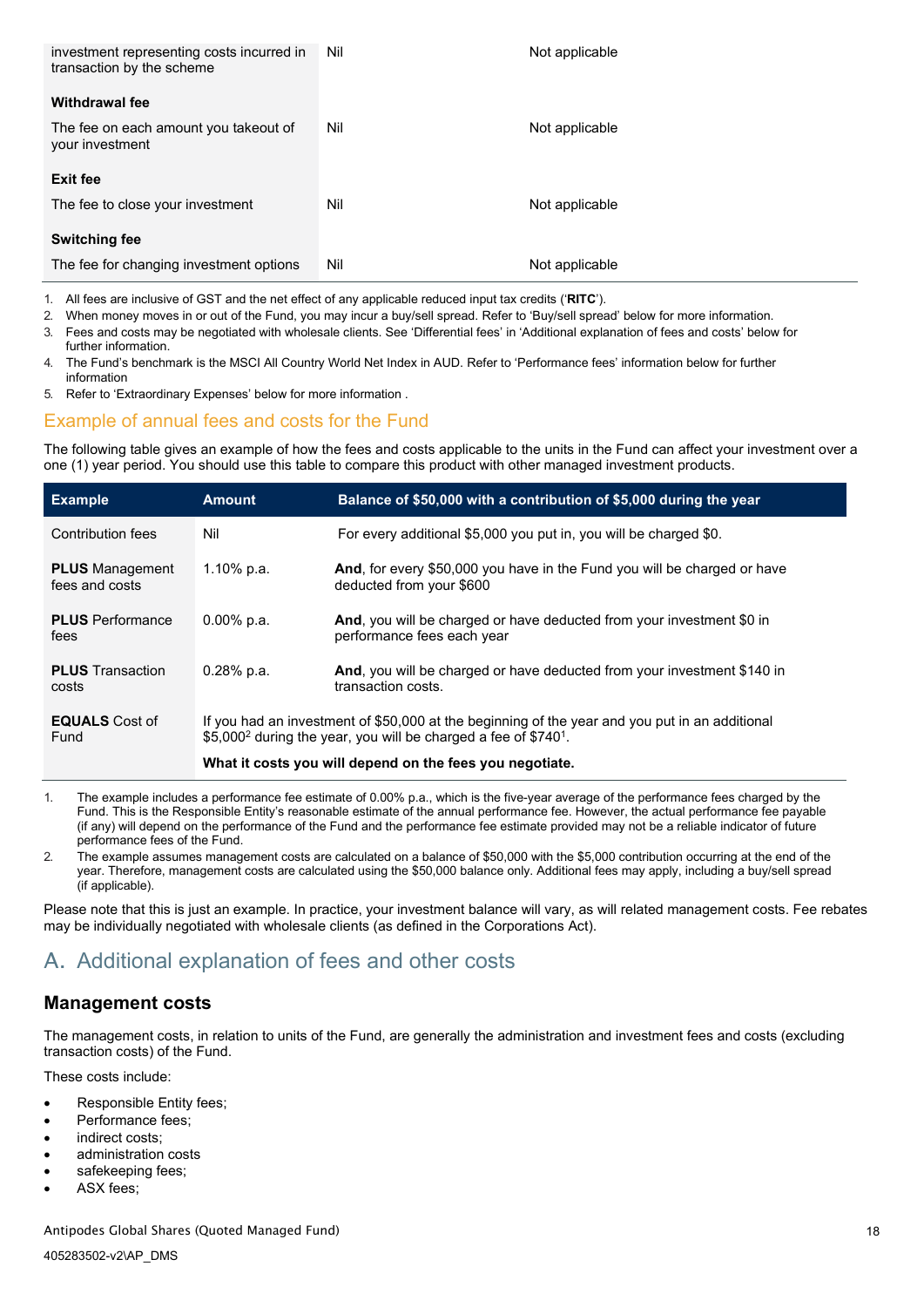| investment representing costs incurred in<br>transaction by the scheme | Nil | Not applicable |
|------------------------------------------------------------------------|-----|----------------|
| Withdrawal fee                                                         |     |                |
| The fee on each amount you takeout of<br>your investment               | Nil | Not applicable |
| <b>Exit fee</b>                                                        |     |                |
|                                                                        |     |                |
| The fee to close your investment                                       | Nil | Not applicable |
| <b>Switching fee</b>                                                   |     |                |

1. All fees are inclusive of GST and the net effect of any applicable reduced input tax credits ('**RITC**').

2. When money moves in or out of the Fund, you may incur a buy/sell spread. Refer to 'Buy/sell spread' below for more information.

3. Fees and costs may be negotiated with wholesale clients. See 'Differential fees' in 'Additional explanation of fees and costs' below for further information.

4. The Fund's benchmark is the MSCI All Country World Net Index in AUD. Refer to 'Performance fees' information below for further information

5. Refer to 'Extraordinary Expenses' below for more information .

## Example of annual fees and costs for the Fund

The following table gives an example of how the fees and costs applicable to the units in the Fund can affect your investment over a one (1) year period. You should use this table to compare this product with other managed investment products.

| <b>Example</b>                           | <b>Amount</b>                                                                                                                                                                             | Balance of \$50,000 with a contribution of \$5,000 during the year                                          |
|------------------------------------------|-------------------------------------------------------------------------------------------------------------------------------------------------------------------------------------------|-------------------------------------------------------------------------------------------------------------|
| Contribution fees                        | Nil                                                                                                                                                                                       | For every additional \$5,000 you put in, you will be charged \$0.                                           |
| <b>PLUS</b> Management<br>fees and costs | 1.10% p.a.                                                                                                                                                                                | <b>And, for every \$50,000 you have in the Fund you will be charged or have</b><br>deducted from your \$600 |
| <b>PLUS</b> Performance<br>fees          | $0.00\%$ p.a.                                                                                                                                                                             | And, you will be charged or have deducted from your investment \$0 in<br>performance fees each year         |
| <b>PLUS</b> Transaction<br>costs         | $0.28%$ p.a.                                                                                                                                                                              | And, you will be charged or have deducted from your investment \$140 in<br>transaction costs.               |
| <b>EQUALS</b> Cost of<br>Fund            | If you had an investment of \$50,000 at the beginning of the year and you put in an additional<br>\$5,000 <sup>2</sup> during the year, you will be charged a fee of \$740 <sup>1</sup> . |                                                                                                             |
|                                          | What it costs you will depend on the fees you negotiate.                                                                                                                                  |                                                                                                             |

1. The example includes a performance fee estimate of 0.00% p.a., which is the five-year average of the performance fees charged by the Fund. This is the Responsible Entity's reasonable estimate of the annual performance fee. However, the actual performance fee payable (if any) will depend on the performance of the Fund and the performance fee estimate provided may not be a reliable indicator of future performance fees of the Fund.

2. The example assumes management costs are calculated on a balance of \$50,000 with the \$5,000 contribution occurring at the end of the year. Therefore, management costs are calculated using the \$50,000 balance only. Additional fees may apply, including a buy/sell spread (if applicable).

Please note that this is just an example. In practice, your investment balance will vary, as will related management costs. Fee rebates may be individually negotiated with wholesale clients (as defined in the Corporations Act).

# <span id="page-20-0"></span>A. Additional explanation of fees and other costs

## **Management costs**

The management costs, in relation to units of the Fund, are generally the administration and investment fees and costs (excluding transaction costs) of the Fund.

These costs include:

- Responsible Entity fees;
- Performance fees:
- indirect costs:
- administration costs
- safekeeping fees;
- ASX fees: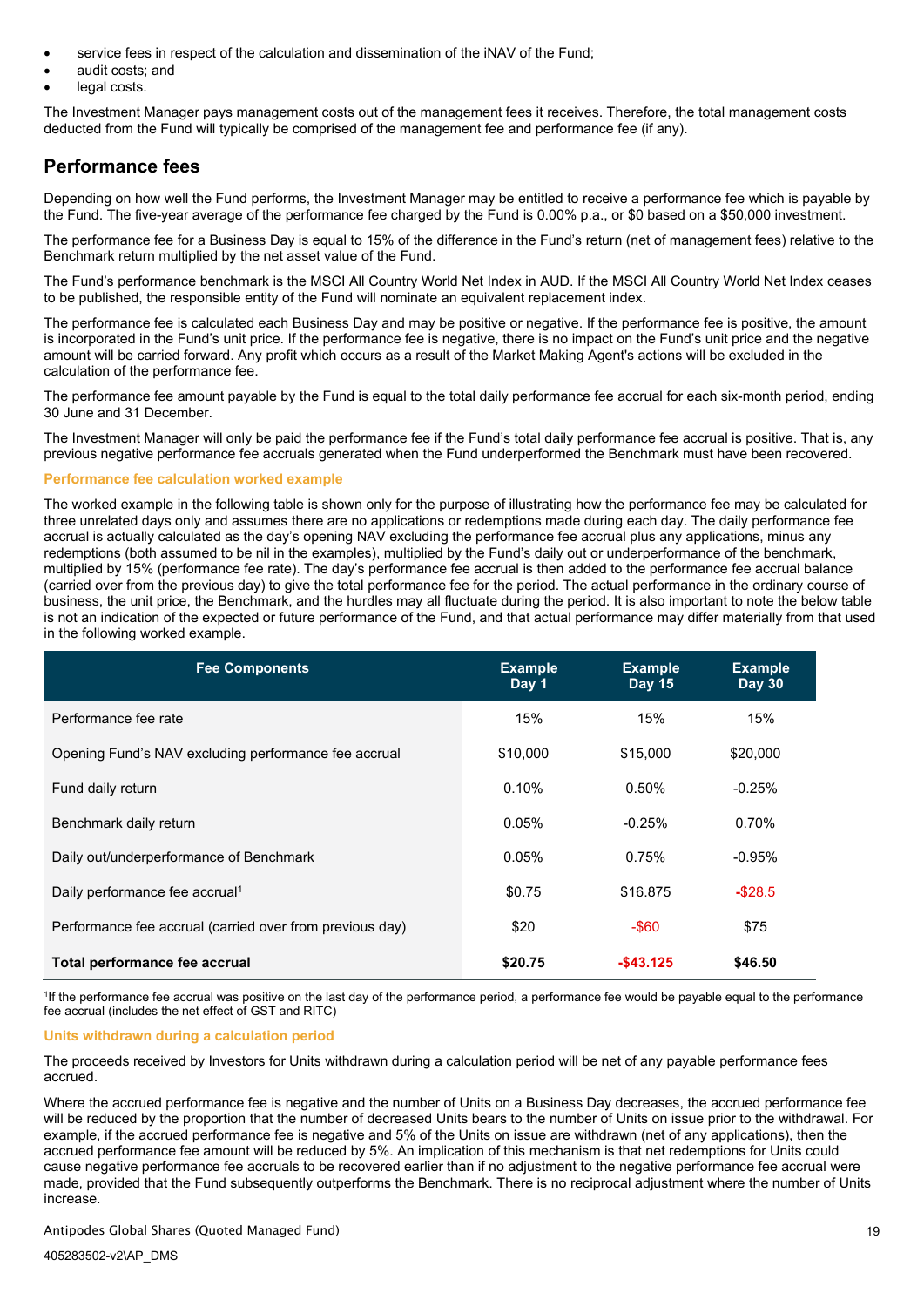- service fees in respect of the calculation and dissemination of the iNAV of the Fund;
- audit costs; and
- legal costs.

The Investment Manager pays management costs out of the management fees it receives. Therefore, the total management costs deducted from the Fund will typically be comprised of the management fee and performance fee (if any).

# **Performance fees**

Depending on how well the Fund performs, the Investment Manager may be entitled to receive a performance fee which is payable by the Fund. The five-year average of the performance fee charged by the Fund is 0.00% p.a., or \$0 based on a \$50,000 investment.

The performance fee for a Business Day is equal to 15% of the difference in the Fund's return (net of management fees) relative to the Benchmark return multiplied by the net asset value of the Fund.

The Fund's performance benchmark is the MSCI All Country World Net Index in AUD. If the MSCI All Country World Net Index ceases to be published, the responsible entity of the Fund will nominate an equivalent replacement index.

The performance fee is calculated each Business Day and may be positive or negative. If the performance fee is positive, the amount is incorporated in the Fund's unit price. If the performance fee is negative, there is no impact on the Fund's unit price and the negative amount will be carried forward. Any profit which occurs as a result of the Market Making Agent's actions will be excluded in the calculation of the performance fee.

The performance fee amount payable by the Fund is equal to the total daily performance fee accrual for each six-month period, ending 30 June and 31 December.

The Investment Manager will only be paid the performance fee if the Fund's total daily performance fee accrual is positive. That is, any previous negative performance fee accruals generated when the Fund underperformed the Benchmark must have been recovered.

### **Performance fee calculation worked example**

The worked example in the following table is shown only for the purpose of illustrating how the performance fee may be calculated for three unrelated days only and assumes there are no applications or redemptions made during each day. The daily performance fee accrual is actually calculated as the day's opening NAV excluding the performance fee accrual plus any applications, minus any redemptions (both assumed to be nil in the examples), multiplied by the Fund's daily out or underperformance of the benchmark, multiplied by 15% (performance fee rate). The day's performance fee accrual is then added to the performance fee accrual balance (carried over from the previous day) to give the total performance fee for the period. The actual performance in the ordinary course of business, the unit price, the Benchmark, and the hurdles may all fluctuate during the period. It is also important to note the below table is not an indication of the expected or future performance of the Fund, and that actual performance may differ materially from that used in the following worked example.

| <b>Fee Components</b>                                    | <b>Example</b><br>Day 1 | <b>Example</b><br><b>Day 15</b> | <b>Example</b><br><b>Day 30</b> |
|----------------------------------------------------------|-------------------------|---------------------------------|---------------------------------|
| Performance fee rate                                     | 15%                     | 15%                             | 15%                             |
| Opening Fund's NAV excluding performance fee accrual     | \$10,000                | \$15,000                        | \$20,000                        |
| Fund daily return                                        | 0.10%                   | $0.50\%$                        | $-0.25%$                        |
| Benchmark daily return                                   | 0.05%                   | $-0.25%$                        | 0.70%                           |
| Daily out/underperformance of Benchmark                  | 0.05%                   | 0.75%                           | $-0.95%$                        |
| Daily performance fee accrual <sup>1</sup>               | \$0.75                  | \$16,875                        | $-$28.5$                        |
| Performance fee accrual (carried over from previous day) | \$20                    | -\$60                           | \$75                            |
| Total performance fee accrual                            | \$20.75                 | $-$ \$43.125                    | \$46.50                         |

1 If the performance fee accrual was positive on the last day of the performance period, a performance fee would be payable equal to the performance fee accrual (includes the net effect of GST and RITC)

### **Units withdrawn during a calculation period**

The proceeds received by Investors for Units withdrawn during a calculation period will be net of any payable performance fees accrued.

Where the accrued performance fee is negative and the number of Units on a Business Day decreases, the accrued performance fee will be reduced by the proportion that the number of decreased Units bears to the number of Units on issue prior to the withdrawal. For example, if the accrued performance fee is negative and 5% of the Units on issue are withdrawn (net of any applications), then the accrued performance fee amount will be reduced by 5%. An implication of this mechanism is that net redemptions for Units could cause negative performance fee accruals to be recovered earlier than if no adjustment to the negative performance fee accrual were made, provided that the Fund subsequently outperforms the Benchmark. There is no reciprocal adjustment where the number of Units increase.

#### Antipodes Global Shares (Quoted Managed Fund)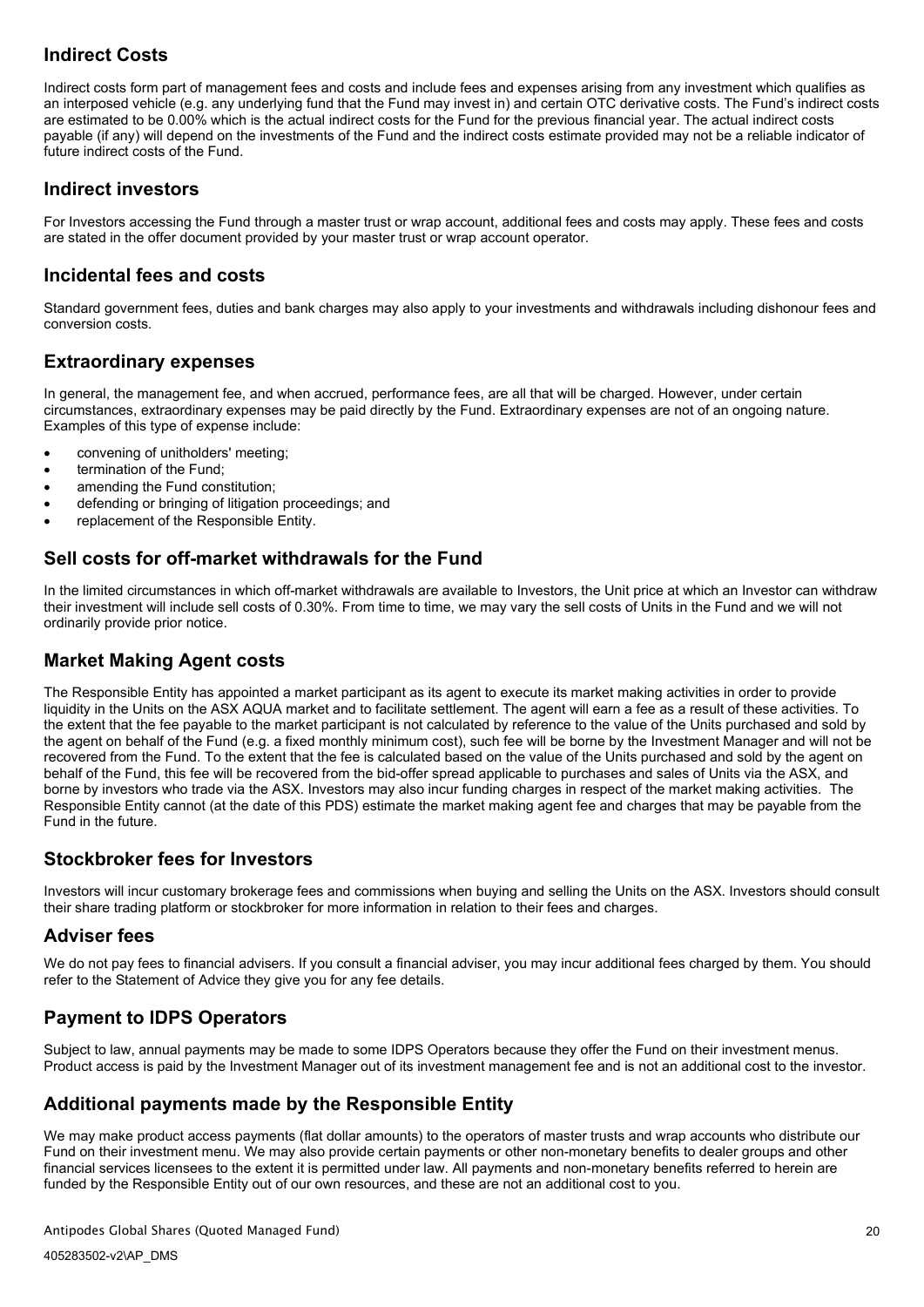# **Indirect Costs**

Indirect costs form part of management fees and costs and include fees and expenses arising from any investment which qualifies as an interposed vehicle (e.g. any underlying fund that the Fund may invest in) and certain OTC derivative costs. The Fund's indirect costs are estimated to be 0.00% which is the actual indirect costs for the Fund for the previous financial year. The actual indirect costs payable (if any) will depend on the investments of the Fund and the indirect costs estimate provided may not be a reliable indicator of future indirect costs of the Fund.

## **Indirect investors**

For Investors accessing the Fund through a master trust or wrap account, additional fees and costs may apply. These fees and costs are stated in the offer document provided by your master trust or wrap account operator.

## **Incidental fees and costs**

Standard government fees, duties and bank charges may also apply to your investments and withdrawals including dishonour fees and conversion costs.

## **Extraordinary expenses**

In general, the management fee, and when accrued, performance fees, are all that will be charged. However, under certain circumstances, extraordinary expenses may be paid directly by the Fund. Extraordinary expenses are not of an ongoing nature. Examples of this type of expense include:

- convening of unitholders' meeting;
- termination of the Fund:
- amending the Fund constitution:
- defending or bringing of litigation proceedings; and
- replacement of the Responsible Entity.

# **Sell costs for off-market withdrawals for the Fund**

In the limited circumstances in which off-market withdrawals are available to Investors, the Unit price at which an Investor can withdraw their investment will include sell costs of 0.30%. From time to time, we may vary the sell costs of Units in the Fund and we will not ordinarily provide prior notice.

# **Market Making Agent costs**

The Responsible Entity has appointed a market participant as its agent to execute its market making activities in order to provide liquidity in the Units on the ASX AQUA market and to facilitate settlement. The agent will earn a fee as a result of these activities. To the extent that the fee payable to the market participant is not calculated by reference to the value of the Units purchased and sold by the agent on behalf of the Fund (e.g. a fixed monthly minimum cost), such fee will be borne by the Investment Manager and will not be recovered from the Fund. To the extent that the fee is calculated based on the value of the Units purchased and sold by the agent on behalf of the Fund, this fee will be recovered from the bid-offer spread applicable to purchases and sales of Units via the ASX, and borne by investors who trade via the ASX. Investors may also incur funding charges in respect of the market making activities. The Responsible Entity cannot (at the date of this PDS) estimate the market making agent fee and charges that may be payable from the Fund in the future.

# **Stockbroker fees for Investors**

Investors will incur customary brokerage fees and commissions when buying and selling the Units on the ASX. Investors should consult their share trading platform or stockbroker for more information in relation to their fees and charges.

## **Adviser fees**

We do not pay fees to financial advisers. If you consult a financial adviser, you may incur additional fees charged by them. You should refer to the Statement of Advice they give you for any fee details.

# **Payment to IDPS Operators**

Subject to law, annual payments may be made to some IDPS Operators because they offer the Fund on their investment menus. Product access is paid by the Investment Manager out of its investment management fee and is not an additional cost to the investor.

# **Additional payments made by the Responsible Entity**

We may make product access payments (flat dollar amounts) to the operators of master trusts and wrap accounts who distribute our Fund on their investment menu. We may also provide certain payments or other non-monetary benefits to dealer groups and other financial services licensees to the extent it is permitted under law. All payments and non-monetary benefits referred to herein are funded by the Responsible Entity out of our own resources, and these are not an additional cost to you.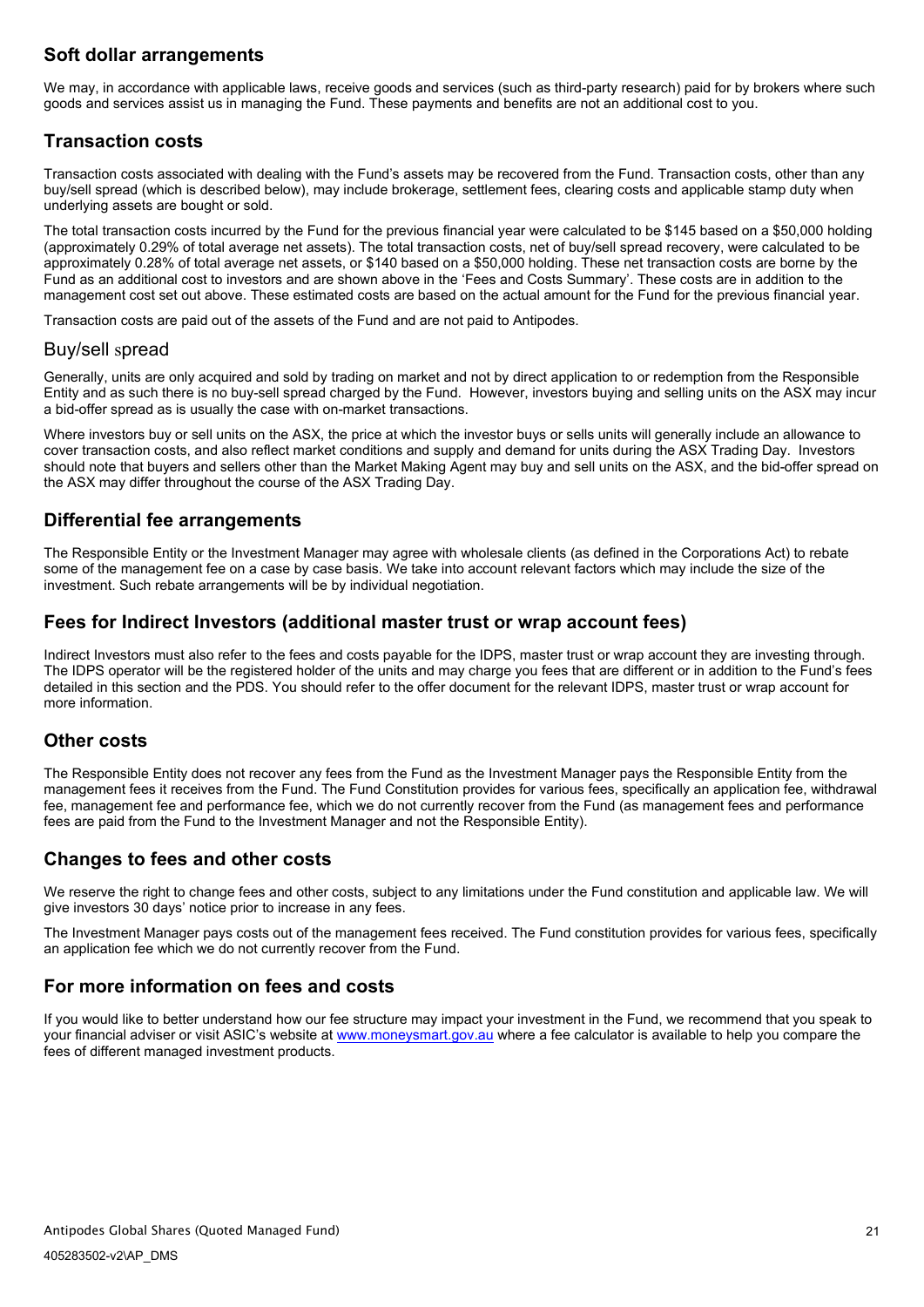# **Soft dollar arrangements**

We may, in accordance with applicable laws, receive goods and services (such as third-party research) paid for by brokers where such goods and services assist us in managing the Fund. These payments and benefits are not an additional cost to you.

# **Transaction costs**

Transaction costs associated with dealing with the Fund's assets may be recovered from the Fund. Transaction costs, other than any buy/sell spread (which is described below), may include brokerage, settlement fees, clearing costs and applicable stamp duty when underlying assets are bought or sold.

The total transaction costs incurred by the Fund for the previous financial year were calculated to be \$145 based on a \$50,000 holding (approximately 0.29% of total average net assets). The total transaction costs, net of buy/sell spread recovery, were calculated to be approximately 0.28% of total average net assets, or \$140 based on a \$50,000 holding. These net transaction costs are borne by the Fund as an additional cost to investors and are shown above in the 'Fees and Costs Summary'. These costs are in addition to the management cost set out above. These estimated costs are based on the actual amount for the Fund for the previous financial year.

Transaction costs are paid out of the assets of the Fund and are not paid to Antipodes.

## Buy/sell spread

Generally, units are only acquired and sold by trading on market and not by direct application to or redemption from the Responsible Entity and as such there is no buy-sell spread charged by the Fund. However, investors buying and selling units on the ASX may incur a bid-offer spread as is usually the case with on-market transactions.

Where investors buy or sell units on the ASX, the price at which the investor buys or sells units will generally include an allowance to cover transaction costs, and also reflect market conditions and supply and demand for units during the ASX Trading Day. Investors should note that buyers and sellers other than the Market Making Agent may buy and sell units on the ASX, and the bid-offer spread on the ASX may differ throughout the course of the ASX Trading Day.

## **Differential fee arrangements**

The Responsible Entity or the Investment Manager may agree with wholesale clients (as defined in the Corporations Act) to rebate some of the management fee on a case by case basis. We take into account relevant factors which may include the size of the investment. Such rebate arrangements will be by individual negotiation.

## **Fees for Indirect Investors (additional master trust or wrap account fees)**

Indirect Investors must also refer to the fees and costs payable for the IDPS, master trust or wrap account they are investing through. The IDPS operator will be the registered holder of the units and may charge you fees that are different or in addition to the Fund's fees detailed in this section and the PDS. You should refer to the offer document for the relevant IDPS, master trust or wrap account for more information.

## **Other costs**

The Responsible Entity does not recover any fees from the Fund as the Investment Manager pays the Responsible Entity from the management fees it receives from the Fund. The Fund Constitution provides for various fees, specifically an application fee, withdrawal fee, management fee and performance fee, which we do not currently recover from the Fund (as management fees and performance fees are paid from the Fund to the Investment Manager and not the Responsible Entity).

# **Changes to fees and other costs**

We reserve the right to change fees and other costs, subject to any limitations under the Fund constitution and applicable law. We will give investors 30 days' notice prior to increase in any fees.

The Investment Manager pays costs out of the management fees received. The Fund constitution provides for various fees, specifically an application fee which we do not currently recover from the Fund.

# **For more information on fees and costs**

If you would like to better understand how our fee structure may impact your investment in the Fund, we recommend that you speak to your financial adviser or visit ASIC's website at [www.moneysmart.gov.au](http://www.moneysmart.gov.au/) where a fee calculator is available to help you compare the fees of different managed investment products.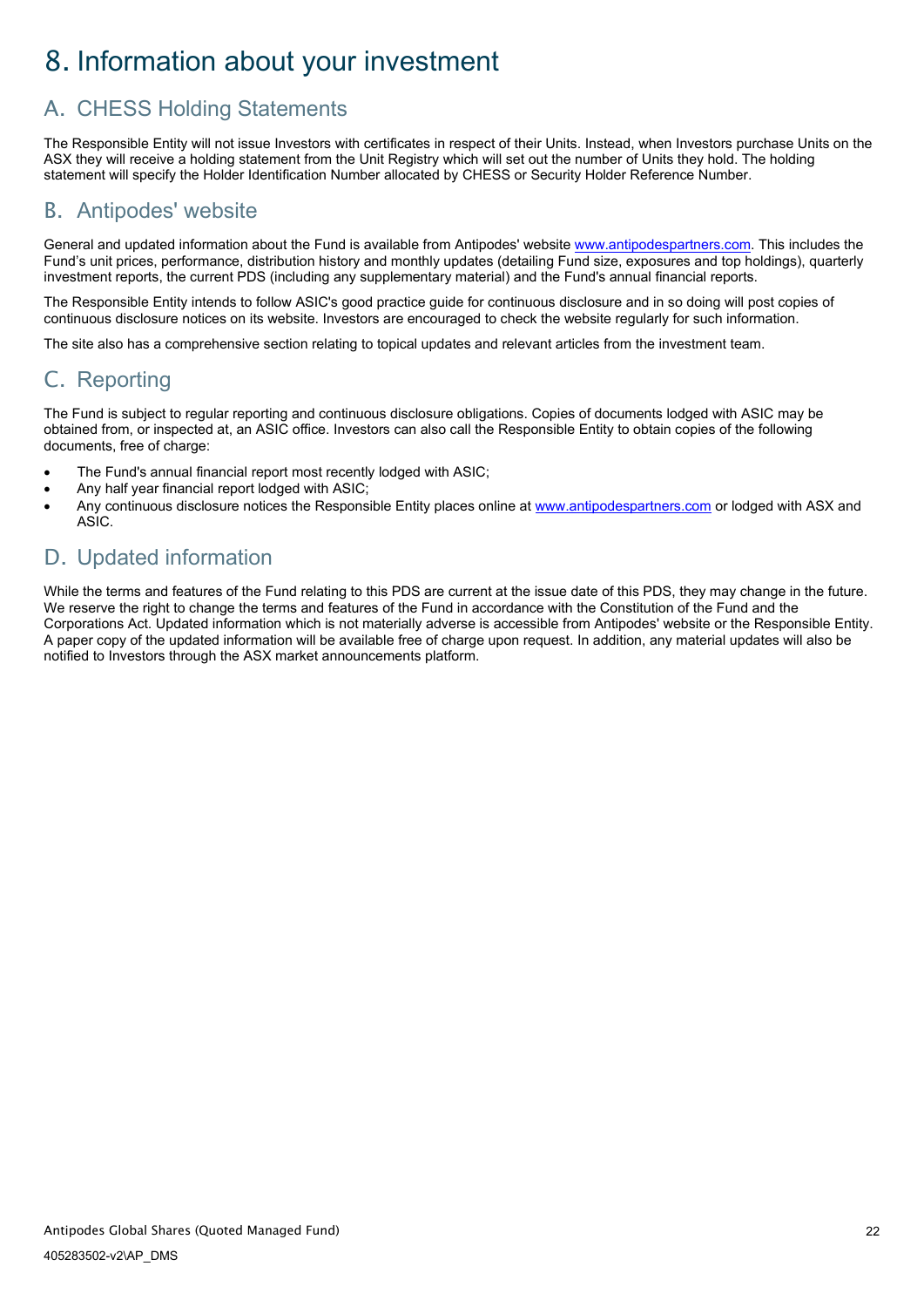# <span id="page-24-0"></span>8. Information about your investment

# <span id="page-24-1"></span>A. CHESS Holding Statements

The Responsible Entity will not issue Investors with certificates in respect of their Units. Instead, when Investors purchase Units on the ASX they will receive a holding statement from the Unit Registry which will set out the number of Units they hold. The holding statement will specify the Holder Identification Number allocated by CHESS or Security Holder Reference Number.

# <span id="page-24-2"></span>B. Antipodes' website

General and updated information about the Fund is available from Antipodes' website [www.antipodespartners.com.](https://antipodespartners.com/) This includes the Fund's unit prices, performance, distribution history and monthly updates (detailing Fund size, exposures and top holdings), quarterly investment reports, the current PDS (including any supplementary material) and the Fund's annual financial reports.

The Responsible Entity intends to follow ASIC's good practice guide for continuous disclosure and in so doing will post copies of continuous disclosure notices on its website. Investors are encouraged to check the website regularly for such information.

The site also has a comprehensive section relating to topical updates and relevant articles from the investment team.

# <span id="page-24-3"></span>C. Reporting

The Fund is subject to regular reporting and continuous disclosure obligations. Copies of documents lodged with ASIC may be obtained from, or inspected at, an ASIC office. Investors can also call the Responsible Entity to obtain copies of the following documents, free of charge:

- The Fund's annual financial report most recently lodged with ASIC;
- Any half year financial report lodged with ASIC;
- Any continuous disclosure notices the Responsible Entity places online at [www.antipodespartners.com](https://antipodespartners.com/) or lodged with ASX and ASIC.

# <span id="page-24-4"></span>D. Updated information

While the terms and features of the Fund relating to this PDS are current at the issue date of this PDS, they may change in the future. We reserve the right to change the terms and features of the Fund in accordance with the Constitution of the Fund and the Corporations Act. Updated information which is not materially adverse is accessible from Antipodes' website or the Responsible Entity. A paper copy of the updated information will be available free of charge upon request. In addition, any material updates will also be notified to Investors through the ASX market announcements platform.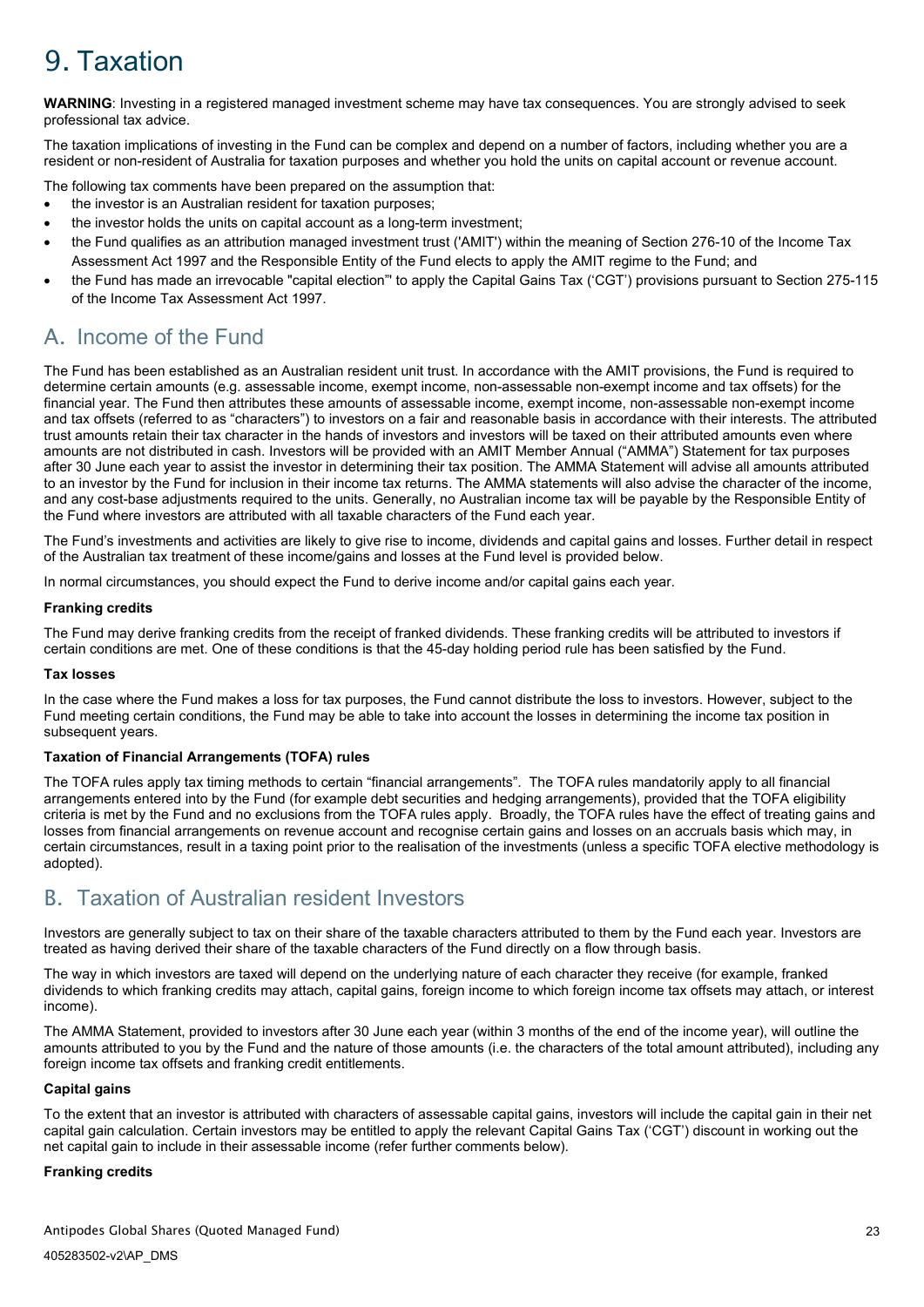# <span id="page-25-0"></span>9. Taxation

**WARNING**: Investing in a registered managed investment scheme may have tax consequences. You are strongly advised to seek professional tax advice.

The taxation implications of investing in the Fund can be complex and depend on a number of factors, including whether you are a resident or non-resident of Australia for taxation purposes and whether you hold the units on capital account or revenue account.

The following tax comments have been prepared on the assumption that:

- the investor is an Australian resident for taxation purposes;
- the investor holds the units on capital account as a long-term investment;
- the Fund qualifies as an attribution managed investment trust ('AMIT') within the meaning of Section 276-10 of the Income Tax Assessment Act 1997 and the Responsible Entity of the Fund elects to apply the AMIT regime to the Fund; and
- the Fund has made an irrevocable "capital election" to apply the Capital Gains Tax ('CGT') provisions pursuant to Section 275-115 of the Income Tax Assessment Act 1997.

# <span id="page-25-1"></span>A. Income of the Fund

The Fund has been established as an Australian resident unit trust. In accordance with the AMIT provisions, the Fund is required to determine certain amounts (e.g. assessable income, exempt income, non-assessable non-exempt income and tax offsets) for the financial year. The Fund then attributes these amounts of assessable income, exempt income, non-assessable non-exempt income and tax offsets (referred to as "characters") to investors on a fair and reasonable basis in accordance with their interests. The attributed trust amounts retain their tax character in the hands of investors and investors will be taxed on their attributed amounts even where amounts are not distributed in cash. Investors will be provided with an AMIT Member Annual ("AMMA") Statement for tax purposes after 30 June each year to assist the investor in determining their tax position. The AMMA Statement will advise all amounts attributed to an investor by the Fund for inclusion in their income tax returns. The AMMA statements will also advise the character of the income, and any cost-base adjustments required to the units. Generally, no Australian income tax will be payable by the Responsible Entity of the Fund where investors are attributed with all taxable characters of the Fund each year.

The Fund's investments and activities are likely to give rise to income, dividends and capital gains and losses. Further detail in respect of the Australian tax treatment of these income/gains and losses at the Fund level is provided below.

In normal circumstances, you should expect the Fund to derive income and/or capital gains each year.

### **Franking credits**

The Fund may derive franking credits from the receipt of franked dividends. These franking credits will be attributed to investors if certain conditions are met. One of these conditions is that the 45-day holding period rule has been satisfied by the Fund.

### **Tax losses**

In the case where the Fund makes a loss for tax purposes, the Fund cannot distribute the loss to investors. However, subject to the Fund meeting certain conditions, the Fund may be able to take into account the losses in determining the income tax position in subsequent years.

### **Taxation of Financial Arrangements (TOFA) rules**

The TOFA rules apply tax timing methods to certain "financial arrangements". The TOFA rules mandatorily apply to all financial arrangements entered into by the Fund (for example debt securities and hedging arrangements), provided that the TOFA eligibility criteria is met by the Fund and no exclusions from the TOFA rules apply. Broadly, the TOFA rules have the effect of treating gains and losses from financial arrangements on revenue account and recognise certain gains and losses on an accruals basis which may, in certain circumstances, result in a taxing point prior to the realisation of the investments (unless a specific TOFA elective methodology is adopted).

# <span id="page-25-2"></span>B. Taxation of Australian resident Investors

Investors are generally subject to tax on their share of the taxable characters attributed to them by the Fund each year. Investors are treated as having derived their share of the taxable characters of the Fund directly on a flow through basis.

The way in which investors are taxed will depend on the underlying nature of each character they receive (for example, franked dividends to which franking credits may attach, capital gains, foreign income to which foreign income tax offsets may attach, or interest income).

The AMMA Statement, provided to investors after 30 June each year (within 3 months of the end of the income year), will outline the amounts attributed to you by the Fund and the nature of those amounts (i.e. the characters of the total amount attributed), including any foreign income tax offsets and franking credit entitlements.

### **Capital gains**

To the extent that an investor is attributed with characters of assessable capital gains, investors will include the capital gain in their net capital gain calculation. Certain investors may be entitled to apply the relevant Capital Gains Tax ('CGT') discount in working out the net capital gain to include in their assessable income (refer further comments below).

### **Franking credits**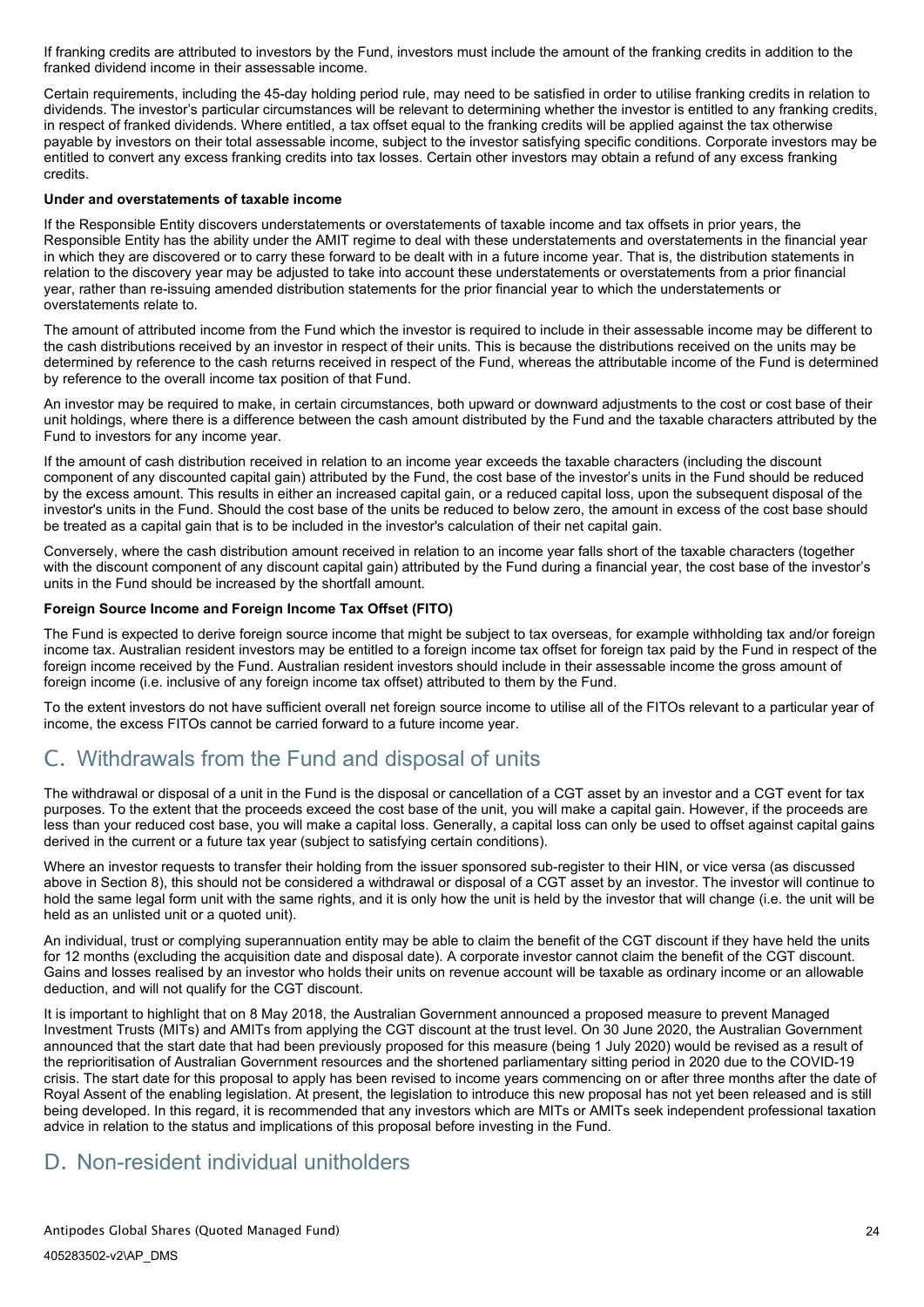If franking credits are attributed to investors by the Fund, investors must include the amount of the franking credits in addition to the franked dividend income in their assessable income.

Certain requirements, including the 45-day holding period rule, may need to be satisfied in order to utilise franking credits in relation to dividends. The investor's particular circumstances will be relevant to determining whether the investor is entitled to any franking credits, in respect of franked dividends. Where entitled, a tax offset equal to the franking credits will be applied against the tax otherwise payable by investors on their total assessable income, subject to the investor satisfying specific conditions. Corporate investors may be entitled to convert any excess franking credits into tax losses. Certain other investors may obtain a refund of any excess franking credits.

### **Under and overstatements of taxable income**

If the Responsible Entity discovers understatements or overstatements of taxable income and tax offsets in prior years, the Responsible Entity has the ability under the AMIT regime to deal with these understatements and overstatements in the financial year in which they are discovered or to carry these forward to be dealt with in a future income year. That is, the distribution statements in relation to the discovery year may be adjusted to take into account these understatements or overstatements from a prior financial year, rather than re-issuing amended distribution statements for the prior financial year to which the understatements or overstatements relate to.

The amount of attributed income from the Fund which the investor is required to include in their assessable income may be different to the cash distributions received by an investor in respect of their units. This is because the distributions received on the units may be determined by reference to the cash returns received in respect of the Fund, whereas the attributable income of the Fund is determined by reference to the overall income tax position of that Fund.

An investor may be required to make, in certain circumstances, both upward or downward adjustments to the cost or cost base of their unit holdings, where there is a difference between the cash amount distributed by the Fund and the taxable characters attributed by the Fund to investors for any income year.

If the amount of cash distribution received in relation to an income year exceeds the taxable characters (including the discount component of any discounted capital gain) attributed by the Fund, the cost base of the investor's units in the Fund should be reduced by the excess amount. This results in either an increased capital gain, or a reduced capital loss, upon the subsequent disposal of the investor's units in the Fund. Should the cost base of the units be reduced to below zero, the amount in excess of the cost base should be treated as a capital gain that is to be included in the investor's calculation of their net capital gain.

Conversely, where the cash distribution amount received in relation to an income year falls short of the taxable characters (together with the discount component of any discount capital gain) attributed by the Fund during a financial year, the cost base of the investor's units in the Fund should be increased by the shortfall amount.

#### **Foreign Source Income and Foreign Income Tax Offset (FITO)**

The Fund is expected to derive foreign source income that might be subject to tax overseas, for example withholding tax and/or foreign income tax. Australian resident investors may be entitled to a foreign income tax offset for foreign tax paid by the Fund in respect of the foreign income received by the Fund. Australian resident investors should include in their assessable income the gross amount of foreign income (i.e. inclusive of any foreign income tax offset) attributed to them by the Fund.

To the extent investors do not have sufficient overall net foreign source income to utilise all of the FITOs relevant to a particular year of income, the excess FITOs cannot be carried forward to a future income year.

# <span id="page-26-0"></span>C. Withdrawals from the Fund and disposal of units

The withdrawal or disposal of a unit in the Fund is the disposal or cancellation of a CGT asset by an investor and a CGT event for tax purposes. To the extent that the proceeds exceed the cost base of the unit, you will make a capital gain. However, if the proceeds are less than your reduced cost base, you will make a capital loss. Generally, a capital loss can only be used to offset against capital gains derived in the current or a future tax year (subject to satisfying certain conditions).

Where an investor requests to transfer their holding from the issuer sponsored sub-register to their HIN, or vice versa (as discussed above in Section 8), this should not be considered a withdrawal or disposal of a CGT asset by an investor. The investor will continue to hold the same legal form unit with the same rights, and it is only how the unit is held by the investor that will change (i.e. the unit will be held as an unlisted unit or a quoted unit).

An individual, trust or complying superannuation entity may be able to claim the benefit of the CGT discount if they have held the units for 12 months (excluding the acquisition date and disposal date). A corporate investor cannot claim the benefit of the CGT discount. Gains and losses realised by an investor who holds their units on revenue account will be taxable as ordinary income or an allowable deduction, and will not qualify for the CGT discount.

It is important to highlight that on 8 May 2018, the Australian Government announced a proposed measure to prevent Managed Investment Trusts (MITs) and AMITs from applying the CGT discount at the trust level. On 30 June 2020, the Australian Government announced that the start date that had been previously proposed for this measure (being 1 July 2020) would be revised as a result of the reprioritisation of Australian Government resources and the shortened parliamentary sitting period in 2020 due to the COVID-19 crisis. The start date for this proposal to apply has been revised to income years commencing on or after three months after the date of Royal Assent of the enabling legislation. At present, the legislation to introduce this new proposal has not yet been released and is still being developed. In this regard, it is recommended that any investors which are MITs or AMITs seek independent professional taxation advice in relation to the status and implications of this proposal before investing in the Fund.

# <span id="page-26-1"></span>D. Non-resident individual unitholders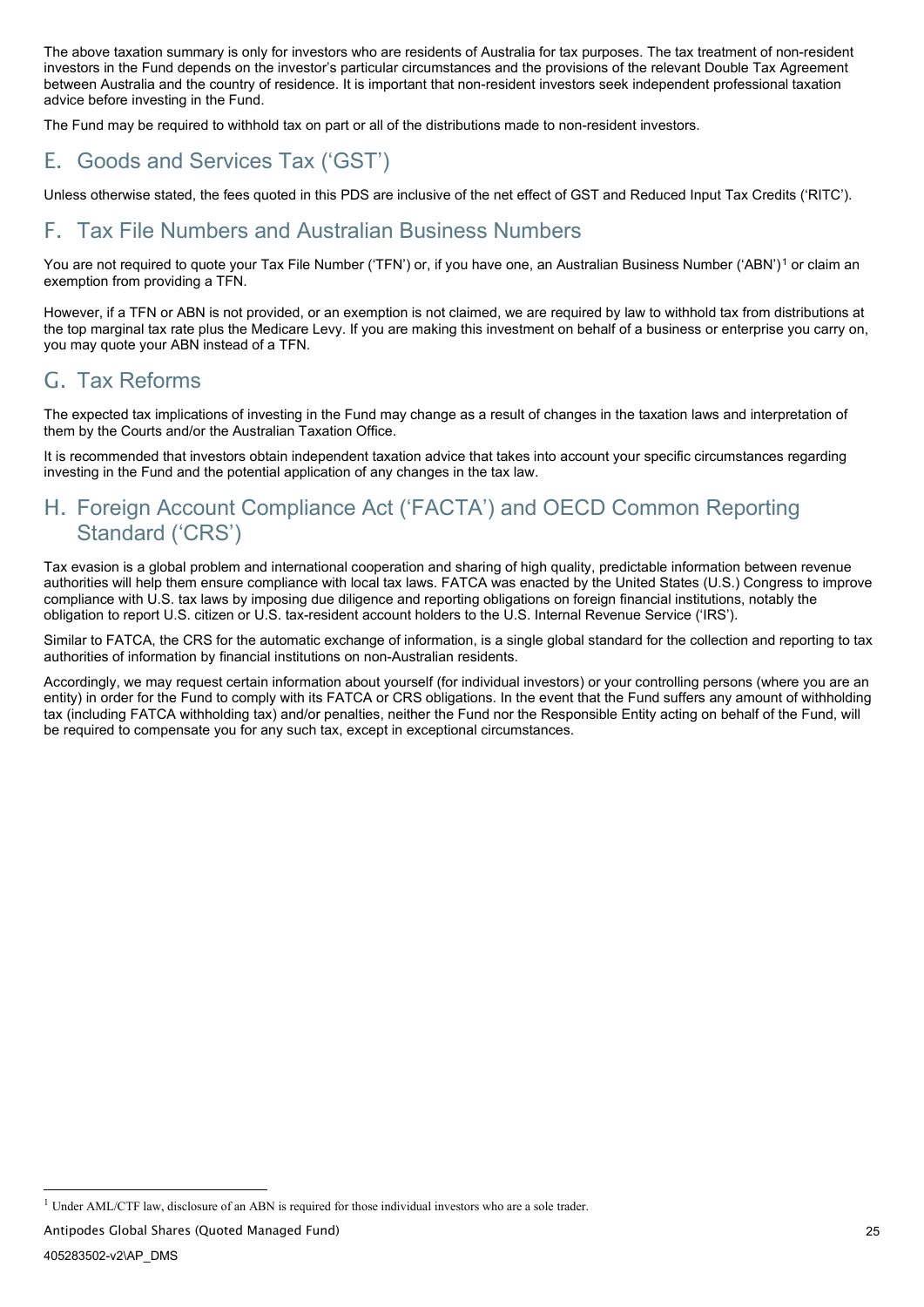The above taxation summary is only for investors who are residents of Australia for tax purposes. The tax treatment of non-resident investors in the Fund depends on the investor's particular circumstances and the provisions of the relevant Double Tax Agreement between Australia and the country of residence. It is important that non-resident investors seek independent professional taxation advice before investing in the Fund.

<span id="page-27-1"></span><span id="page-27-0"></span>The Fund may be required to withhold tax on part or all of the distributions made to non-resident investors.

# E. Goods and Services Tax ('GST')

<span id="page-27-2"></span>Unless otherwise stated, the fees quoted in this PDS are inclusive of the net effect of GST and Reduced Input Tax Credits ('RITC').

# F. Tax File Numbers and Australian Business Numbers

You are not required to quote your Tax File Number ('TFN') or, if you have one, an Australian Business Number ('ABN')<sup>[1](#page-32-1)</sup> or claim an exemption from providing a TFN.

However, if a TFN or ABN is not provided, or an exemption is not claimed, we are required by law to withhold tax from distributions at the top marginal tax rate plus the Medicare Levy. If you are making this investment on behalf of a business or enterprise you carry on, you may quote your ABN instead of a TFN.

# <span id="page-27-3"></span>G. Tax Reforms

The expected tax implications of investing in the Fund may change as a result of changes in the taxation laws and interpretation of them by the Courts and/or the Australian Taxation Office.

It is recommended that investors obtain independent taxation advice that takes into account your specific circumstances regarding investing in the Fund and the potential application of any changes in the tax law.

# <span id="page-27-4"></span>H. Foreign Account Compliance Act ('FACTA') and OECD Common Reporting Standard ('CRS')

Tax evasion is a global problem and international cooperation and sharing of high quality, predictable information between revenue authorities will help them ensure compliance with local tax laws. FATCA was enacted by the United States (U.S.) Congress to improve compliance with U.S. tax laws by imposing due diligence and reporting obligations on foreign financial institutions, notably the obligation to report U.S. citizen or U.S. tax-resident account holders to the U.S. Internal Revenue Service ('IRS').

Similar to FATCA, the CRS for the automatic exchange of information, is a single global standard for the collection and reporting to tax authorities of information by financial institutions on non-Australian residents.

Accordingly, we may request certain information about yourself (for individual investors) or your controlling persons (where you are an entity) in order for the Fund to comply with its FATCA or CRS obligations. In the event that the Fund suffers any amount of withholding tax (including FATCA withholding tax) and/or penalties, neither the Fund nor the Responsible Entity acting on behalf of the Fund, will be required to compensate you for any such tax, except in exceptional circumstances.

Antipodes Global Shares (Quoted Managed Fund)

<sup>&</sup>lt;sup>1</sup> Under AML/CTF law, disclosure of an ABN is required for those individual investors who are a sole trader.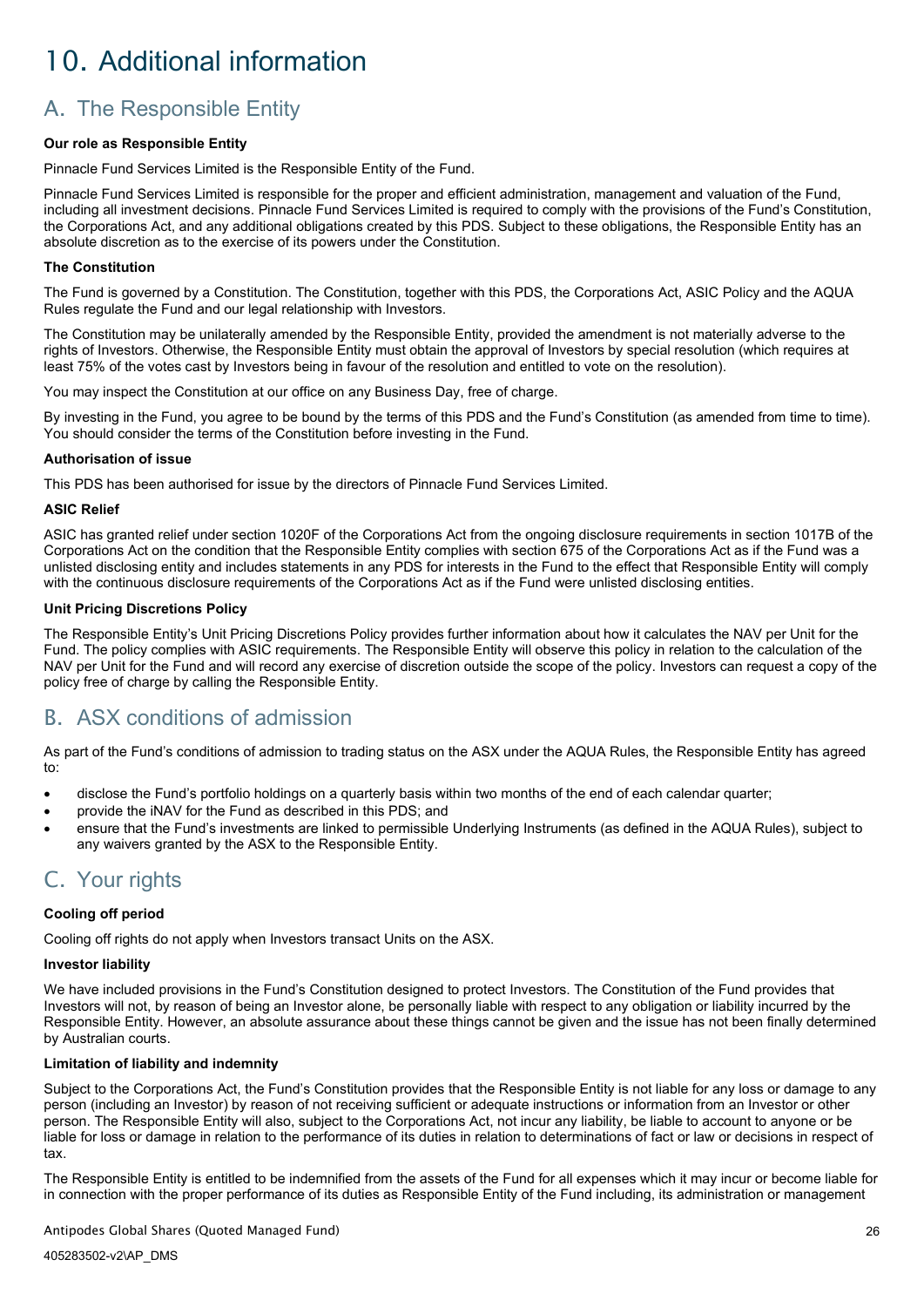# <span id="page-28-0"></span>10. Additional information

# <span id="page-28-1"></span>A. The Responsible Entity

## **Our role as Responsible Entity**

Pinnacle Fund Services Limited is the Responsible Entity of the Fund.

Pinnacle Fund Services Limited is responsible for the proper and efficient administration, management and valuation of the Fund, including all investment decisions. Pinnacle Fund Services Limited is required to comply with the provisions of the Fund's Constitution, the Corporations Act, and any additional obligations created by this PDS. Subject to these obligations, the Responsible Entity has an absolute discretion as to the exercise of its powers under the Constitution.

#### **The Constitution**

The Fund is governed by a Constitution. The Constitution, together with this PDS, the Corporations Act, ASIC Policy and the AQUA Rules regulate the Fund and our legal relationship with Investors.

The Constitution may be unilaterally amended by the Responsible Entity, provided the amendment is not materially adverse to the rights of Investors. Otherwise, the Responsible Entity must obtain the approval of Investors by special resolution (which requires at least 75% of the votes cast by Investors being in favour of the resolution and entitled to vote on the resolution).

You may inspect the Constitution at our office on any Business Day, free of charge.

By investing in the Fund, you agree to be bound by the terms of this PDS and the Fund's Constitution (as amended from time to time). You should consider the terms of the Constitution before investing in the Fund.

#### **Authorisation of issue**

This PDS has been authorised for issue by the directors of Pinnacle Fund Services Limited.

#### **ASIC Relief**

ASIC has granted relief under section 1020F of the Corporations Act from the ongoing disclosure requirements in section 1017B of the Corporations Act on the condition that the Responsible Entity complies with section 675 of the Corporations Act as if the Fund was a unlisted disclosing entity and includes statements in any PDS for interests in the Fund to the effect that Responsible Entity will comply with the continuous disclosure requirements of the Corporations Act as if the Fund were unlisted disclosing entities.

#### **Unit Pricing Discretions Policy**

The Responsible Entity's Unit Pricing Discretions Policy provides further information about how it calculates the NAV per Unit for the Fund. The policy complies with ASIC requirements. The Responsible Entity will observe this policy in relation to the calculation of the NAV per Unit for the Fund and will record any exercise of discretion outside the scope of the policy. Investors can request a copy of the policy free of charge by calling the Responsible Entity.

# <span id="page-28-2"></span>B. ASX conditions of admission

As part of the Fund's conditions of admission to trading status on the ASX under the AQUA Rules, the Responsible Entity has agreed to:

- disclose the Fund's portfolio holdings on a quarterly basis within two months of the end of each calendar quarter;
- provide the iNAV for the Fund as described in this PDS; and
- ensure that the Fund's investments are linked to permissible Underlying Instruments (as defined in the AQUA Rules), subject to any waivers granted by the ASX to the Responsible Entity.

# <span id="page-28-3"></span>C. Your rights

### **Cooling off period**

Cooling off rights do not apply when Investors transact Units on the ASX.

#### **Investor liability**

We have included provisions in the Fund's Constitution designed to protect Investors. The Constitution of the Fund provides that Investors will not, by reason of being an Investor alone, be personally liable with respect to any obligation or liability incurred by the Responsible Entity. However, an absolute assurance about these things cannot be given and the issue has not been finally determined by Australian courts.

## **Limitation of liability and indemnity**

Subject to the Corporations Act, the Fund's Constitution provides that the Responsible Entity is not liable for any loss or damage to any person (including an Investor) by reason of not receiving sufficient or adequate instructions or information from an Investor or other person. The Responsible Entity will also, subject to the Corporations Act, not incur any liability, be liable to account to anyone or be liable for loss or damage in relation to the performance of its duties in relation to determinations of fact or law or decisions in respect of tax.

The Responsible Entity is entitled to be indemnified from the assets of the Fund for all expenses which it may incur or become liable for in connection with the proper performance of its duties as Responsible Entity of the Fund including, its administration or management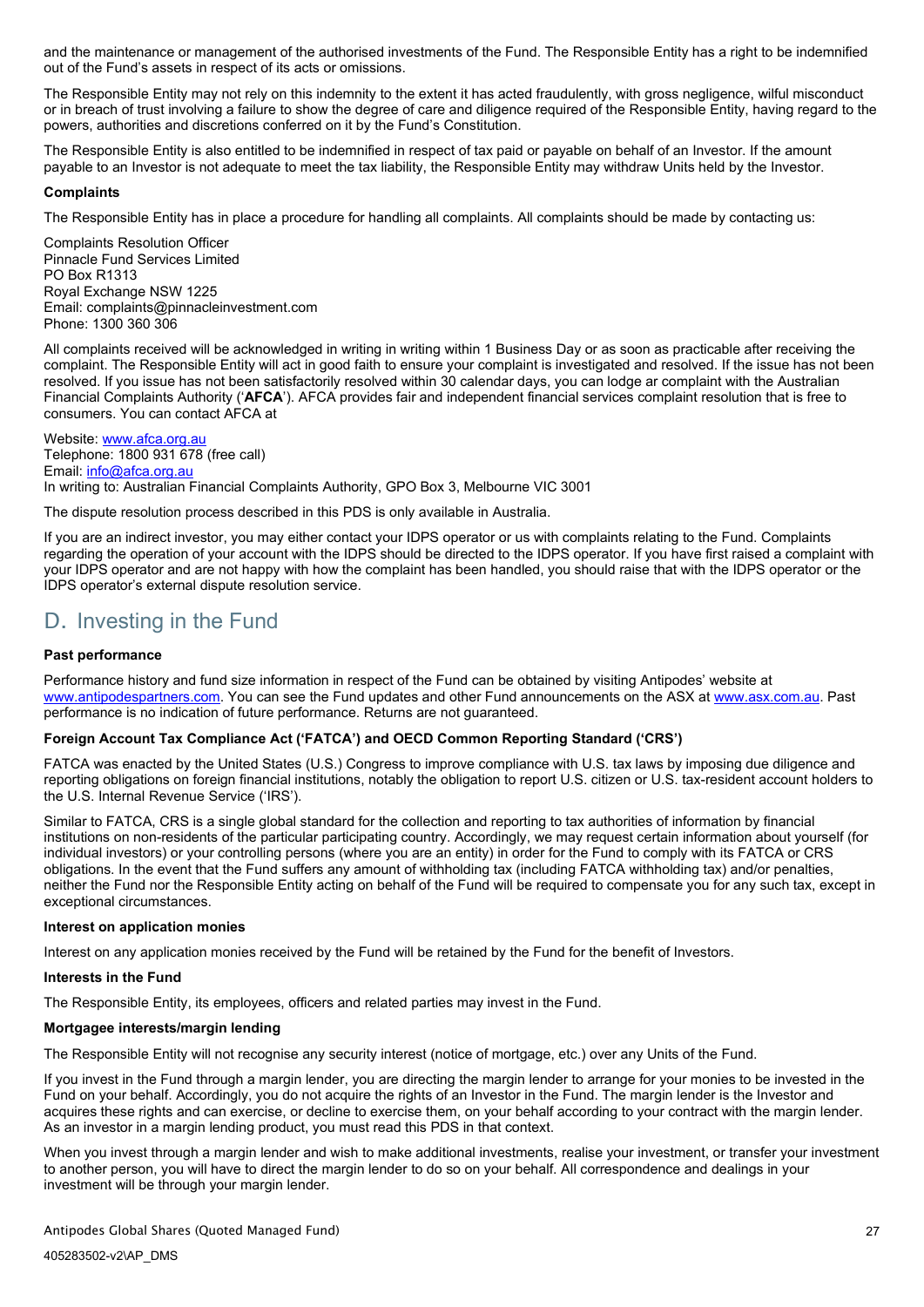and the maintenance or management of the authorised investments of the Fund. The Responsible Entity has a right to be indemnified out of the Fund's assets in respect of its acts or omissions.

The Responsible Entity may not rely on this indemnity to the extent it has acted fraudulently, with gross negligence, wilful misconduct or in breach of trust involving a failure to show the degree of care and diligence required of the Responsible Entity, having regard to the powers, authorities and discretions conferred on it by the Fund's Constitution.

The Responsible Entity is also entitled to be indemnified in respect of tax paid or payable on behalf of an Investor. If the amount payable to an Investor is not adequate to meet the tax liability, the Responsible Entity may withdraw Units held by the Investor.

#### **Complaints**

The Responsible Entity has in place a procedure for handling all complaints. All complaints should be made by contacting us:

Complaints Resolution Officer Pinnacle Fund Services Limited PO Box R1313 Royal Exchange NSW 1225 Email: [complaints@pinnacleinvestment.com](mailto:teamcompliance@pinnacleinvestment.com) Phone: 1300 360 306

All complaints received will be acknowledged in writing in writing within 1 Business Day or as soon as practicable after receiving the complaint. The Responsible Entity will act in good faith to ensure your complaint is investigated and resolved. If the issue has not been resolved. If you issue has not been satisfactorily resolved within 30 calendar days, you can lodge ar complaint with the Australian Financial Complaints Authority ('**AFCA**'). AFCA provides fair and independent financial services complaint resolution that is free to consumers. You can contact AFCA at

Website: [www.afca.org.au](http://www.afca.org.au/) Telephone: 1800 931 678 (free call) Email: [info@afca.org.au](mailto:info@afca.org.au) In writing to: Australian Financial Complaints Authority, GPO Box 3, Melbourne VIC 3001

The dispute resolution process described in this PDS is only available in Australia.

If you are an indirect investor, you may either contact your IDPS operator or us with complaints relating to the Fund. Complaints regarding the operation of your account with the IDPS should be directed to the IDPS operator. If you have first raised a complaint with your IDPS operator and are not happy with how the complaint has been handled, you should raise that with the IDPS operator or the IDPS operator's external dispute resolution service.

# <span id="page-29-0"></span>D. Investing in the Fund

## **Past performance**

Performance history and fund size information in respect of the Fund can be obtained by visiting Antipodes' website at [www.antipodespartners.com.](https://antipodespartners.com/) You can see the Fund updates and other Fund announcements on the ASX at [www.asx.com.au.](https://www2.asx.com.au/) Past performance is no indication of future performance. Returns are not guaranteed.

#### **Foreign Account Tax Compliance Act ('FATCA') and OECD Common Reporting Standard ('CRS')**

FATCA was enacted by the United States (U.S.) Congress to improve compliance with U.S. tax laws by imposing due diligence and reporting obligations on foreign financial institutions, notably the obligation to report U.S. citizen or U.S. tax-resident account holders to the U.S. Internal Revenue Service ('IRS').

Similar to FATCA, CRS is a single global standard for the collection and reporting to tax authorities of information by financial institutions on non-residents of the particular participating country. Accordingly, we may request certain information about yourself (for individual investors) or your controlling persons (where you are an entity) in order for the Fund to comply with its FATCA or CRS obligations. In the event that the Fund suffers any amount of withholding tax (including FATCA withholding tax) and/or penalties, neither the Fund nor the Responsible Entity acting on behalf of the Fund will be required to compensate you for any such tax, except in exceptional circumstances.

#### **Interest on application monies**

Interest on any application monies received by the Fund will be retained by the Fund for the benefit of Investors.

## **Interests in the Fund**

The Responsible Entity, its employees, officers and related parties may invest in the Fund.

## **Mortgagee interests/margin lending**

The Responsible Entity will not recognise any security interest (notice of mortgage, etc.) over any Units of the Fund.

If you invest in the Fund through a margin lender, you are directing the margin lender to arrange for your monies to be invested in the Fund on your behalf. Accordingly, you do not acquire the rights of an Investor in the Fund. The margin lender is the Investor and acquires these rights and can exercise, or decline to exercise them, on your behalf according to your contract with the margin lender. As an investor in a margin lending product, you must read this PDS in that context.

When you invest through a margin lender and wish to make additional investments, realise your investment, or transfer your investment to another person, you will have to direct the margin lender to do so on your behalf. All correspondence and dealings in your investment will be through your margin lender.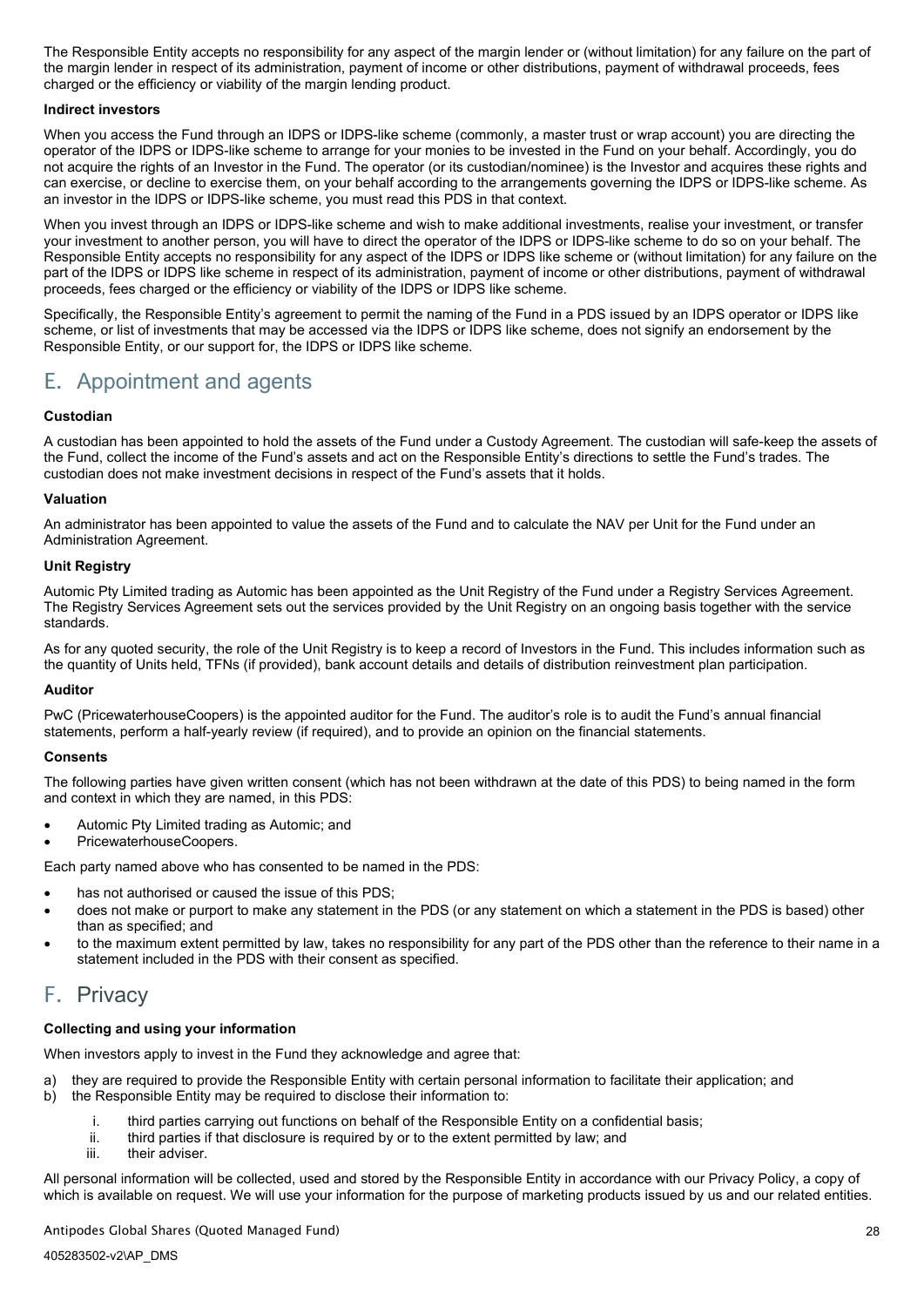The Responsible Entity accepts no responsibility for any aspect of the margin lender or (without limitation) for any failure on the part of the margin lender in respect of its administration, payment of income or other distributions, payment of withdrawal proceeds, fees charged or the efficiency or viability of the margin lending product.

#### **Indirect investors**

When you access the Fund through an IDPS or IDPS-like scheme (commonly, a master trust or wrap account) you are directing the operator of the IDPS or IDPS-like scheme to arrange for your monies to be invested in the Fund on your behalf. Accordingly, you do not acquire the rights of an Investor in the Fund. The operator (or its custodian/nominee) is the Investor and acquires these rights and can exercise, or decline to exercise them, on your behalf according to the arrangements governing the IDPS or IDPS-like scheme. As an investor in the IDPS or IDPS-like scheme, you must read this PDS in that context.

When you invest through an IDPS or IDPS-like scheme and wish to make additional investments, realise your investment, or transfer your investment to another person, you will have to direct the operator of the IDPS or IDPS-like scheme to do so on your behalf. The Responsible Entity accepts no responsibility for any aspect of the IDPS or IDPS like scheme or (without limitation) for any failure on the part of the IDPS or IDPS like scheme in respect of its administration, payment of income or other distributions, payment of withdrawal proceeds, fees charged or the efficiency or viability of the IDPS or IDPS like scheme.

Specifically, the Responsible Entity's agreement to permit the naming of the Fund in a PDS issued by an IDPS operator or IDPS like scheme, or list of investments that may be accessed via the IDPS or IDPS like scheme, does not signify an endorsement by the Responsible Entity, or our support for, the IDPS or IDPS like scheme.

# <span id="page-30-0"></span>E. Appointment and agents

## **Custodian**

A custodian has been appointed to hold the assets of the Fund under a Custody Agreement. The custodian will safe-keep the assets of the Fund, collect the income of the Fund's assets and act on the Responsible Entity's directions to settle the Fund's trades. The custodian does not make investment decisions in respect of the Fund's assets that it holds.

### **Valuation**

An administrator has been appointed to value the assets of the Fund and to calculate the NAV per Unit for the Fund under an Administration Agreement.

#### **Unit Registry**

Automic Pty Limited trading as Automic has been appointed as the Unit Registry of the Fund under a Registry Services Agreement. The Registry Services Agreement sets out the services provided by the Unit Registry on an ongoing basis together with the service standards.

As for any quoted security, the role of the Unit Registry is to keep a record of Investors in the Fund. This includes information such as the quantity of Units held, TFNs (if provided), bank account details and details of distribution reinvestment plan participation.

#### **Auditor**

PwC (PricewaterhouseCoopers) is the appointed auditor for the Fund. The auditor's role is to audit the Fund's annual financial statements, perform a half-yearly review (if required), and to provide an opinion on the financial statements.

#### **Consents**

The following parties have given written consent (which has not been withdrawn at the date of this PDS) to being named in the form and context in which they are named, in this PDS:

- Automic Pty Limited trading as Automic; and
- PricewaterhouseCoopers.
- Each party named above who has consented to be named in the PDS:
- has not authorised or caused the issue of this PDS:
- does not make or purport to make any statement in the PDS (or any statement on which a statement in the PDS is based) other than as specified; and
- to the maximum extent permitted by law, takes no responsibility for any part of the PDS other than the reference to their name in a statement included in the PDS with their consent as specified.

# <span id="page-30-1"></span>F. Privacy

## **Collecting and using your information**

When investors apply to invest in the Fund they acknowledge and agree that:

- a) they are required to provide the Responsible Entity with certain personal information to facilitate their application; and
- b) the Responsible Entity may be required to disclose their information to:
	- i. third parties carrying out functions on behalf of the Responsible Entity on a confidential basis;
	- ii. third parties if that disclosure is required by or to the extent permitted by law; and<br>iii. their adviser.
	- their adviser.

All personal information will be collected, used and stored by the Responsible Entity in accordance with our Privacy Policy, a copy of which is available on request. We will use your information for the purpose of marketing products issued by us and our related entities.

Antipodes Global Shares (Quoted Managed Fund)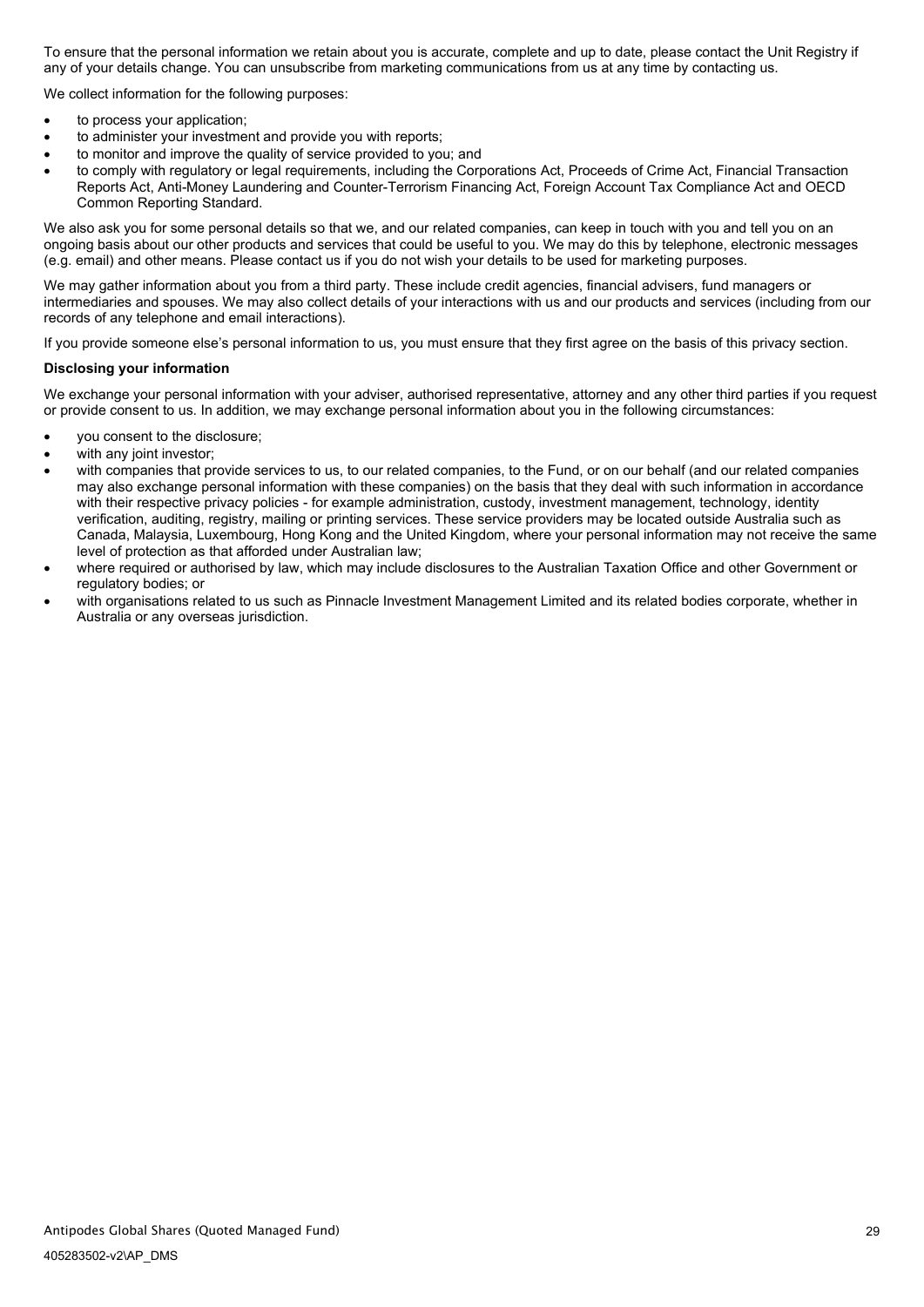To ensure that the personal information we retain about you is accurate, complete and up to date, please contact the Unit Registry if any of your details change. You can unsubscribe from marketing communications from us at any time by contacting us.

We collect information for the following purposes:

- to process your application;
- to administer your investment and provide you with reports;
- to monitor and improve the quality of service provided to you; and
- to comply with regulatory or legal requirements, including the Corporations Act, Proceeds of Crime Act, Financial Transaction Reports Act, Anti-Money Laundering and Counter-Terrorism Financing Act, Foreign Account Tax Compliance Act and OECD Common Reporting Standard.

We also ask you for some personal details so that we, and our related companies, can keep in touch with you and tell you on an ongoing basis about our other products and services that could be useful to you. We may do this by telephone, electronic messages (e.g. email) and other means. Please contact us if you do not wish your details to be used for marketing purposes.

We may gather information about you from a third party. These include credit agencies, financial advisers, fund managers or intermediaries and spouses. We may also collect details of your interactions with us and our products and services (including from our records of any telephone and email interactions).

If you provide someone else's personal information to us, you must ensure that they first agree on the basis of this privacy section.

#### **Disclosing your information**

We exchange your personal information with your adviser, authorised representative, attorney and any other third parties if you request or provide consent to us. In addition, we may exchange personal information about you in the following circumstances:

- you consent to the disclosure;
- with any joint investor:
- with companies that provide services to us, to our related companies, to the Fund, or on our behalf (and our related companies may also exchange personal information with these companies) on the basis that they deal with such information in accordance with their respective privacy policies - for example administration, custody, investment management, technology, identity verification, auditing, registry, mailing or printing services. These service providers may be located outside Australia such as Canada, Malaysia, Luxembourg, Hong Kong and the United Kingdom, where your personal information may not receive the same level of protection as that afforded under Australian law;
- where required or authorised by law, which may include disclosures to the Australian Taxation Office and other Government or regulatory bodies; or
- with organisations related to us such as Pinnacle Investment Management Limited and its related bodies corporate, whether in Australia or any overseas jurisdiction.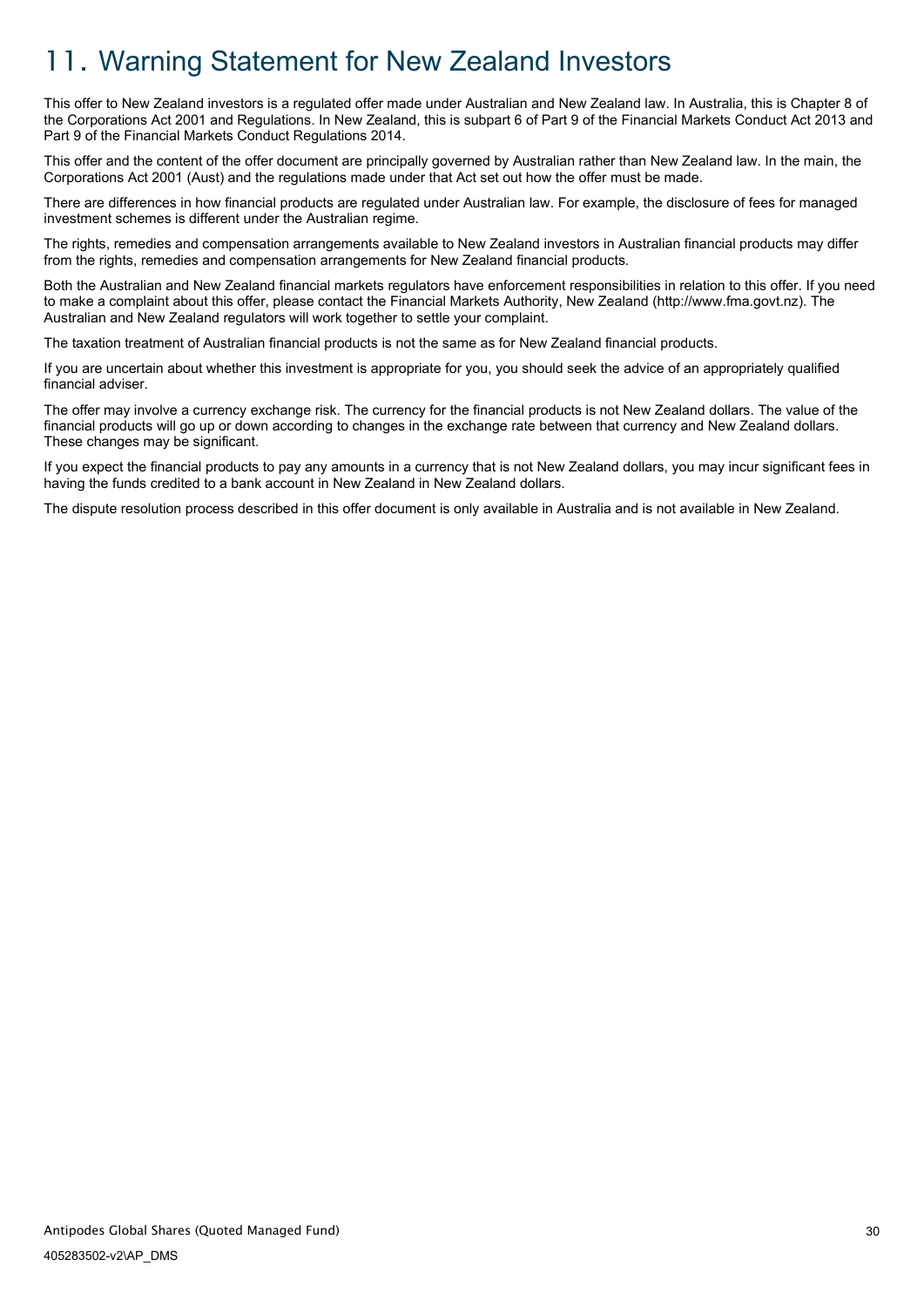# <span id="page-32-0"></span>11. Warning Statement for New Zealand Investors

This offer to New Zealand investors is a regulated offer made under Australian and New Zealand law. In Australia, this is Chapter 8 of the Corporations Act 2001 and Regulations. In New Zealand, this is subpart 6 of Part 9 of the Financial Markets Conduct Act 2013 and Part 9 of the Financial Markets Conduct Regulations 2014.

This offer and the content of the offer document are principally governed by Australian rather than New Zealand law. In the main, the Corporations Act 2001 (Aust) and the regulations made under that Act set out how the offer must be made.

There are differences in how financial products are regulated under Australian law. For example, the disclosure of fees for managed investment schemes is different under the Australian regime.

The rights, remedies and compensation arrangements available to New Zealand investors in Australian financial products may differ from the rights, remedies and compensation arrangements for New Zealand financial products.

Both the Australian and New Zealand financial markets regulators have enforcement responsibilities in relation to this offer. If you need to make a complaint about this offer, please contact the Financial Markets Authority, New Zealand (http://www.fma.govt.nz). The Australian and New Zealand regulators will work together to settle your complaint.

The taxation treatment of Australian financial products is not the same as for New Zealand financial products.

If you are uncertain about whether this investment is appropriate for you, you should seek the advice of an appropriately qualified financial adviser.

The offer may involve a currency exchange risk. The currency for the financial products is not New Zealand dollars. The value of the financial products will go up or down according to changes in the exchange rate between that currency and New Zealand dollars. These changes may be significant.

If you expect the financial products to pay any amounts in a currency that is not New Zealand dollars, you may incur significant fees in having the funds credited to a bank account in New Zealand in New Zealand dollars.

<span id="page-32-1"></span>The dispute resolution process described in this offer document is only available in Australia and is not available in New Zealand.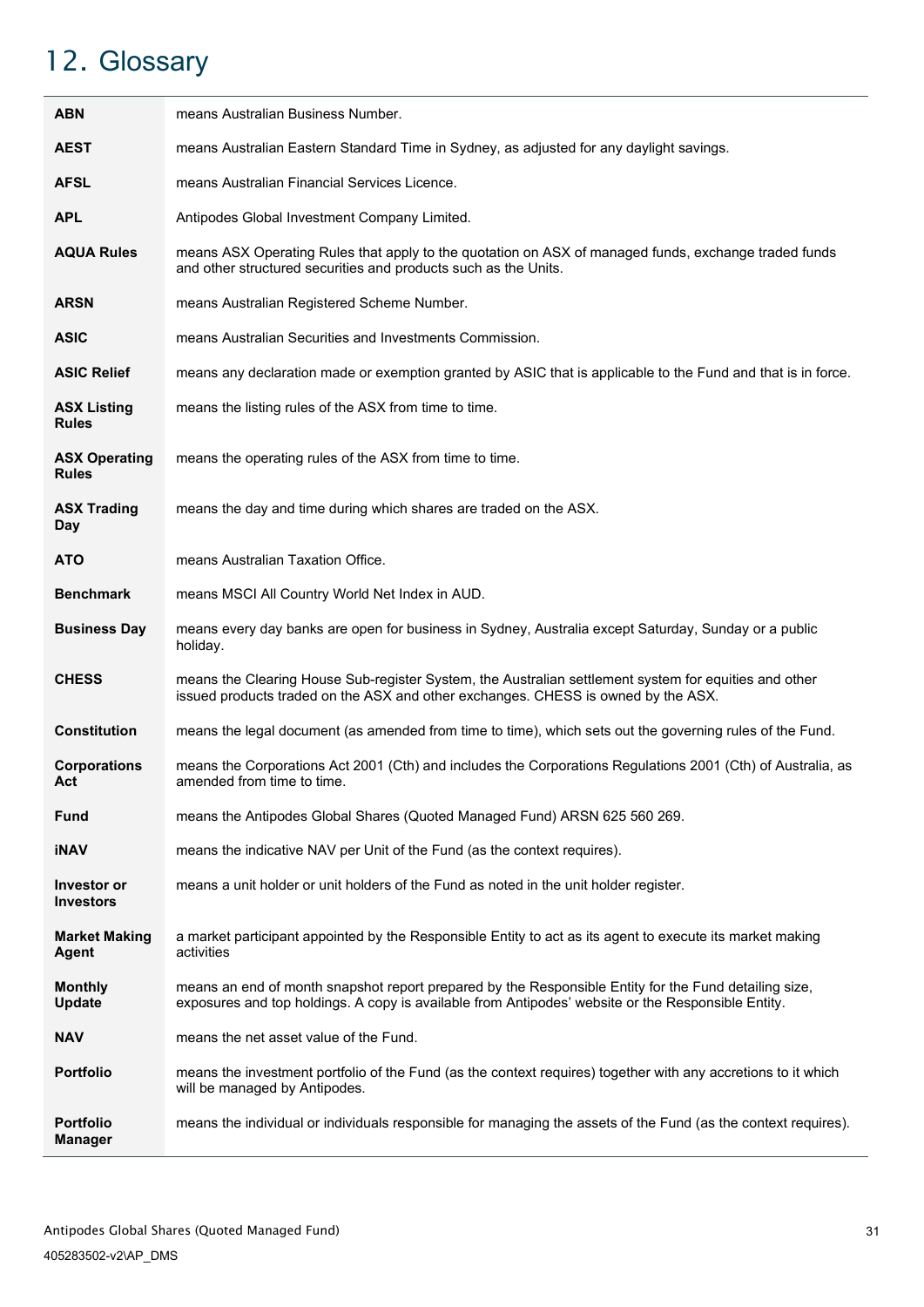# <span id="page-33-0"></span>12. Glossary

| <b>ABN</b>                           | means Australian Business Number.                                                                                                                                                                           |
|--------------------------------------|-------------------------------------------------------------------------------------------------------------------------------------------------------------------------------------------------------------|
| <b>AEST</b>                          | means Australian Eastern Standard Time in Sydney, as adjusted for any daylight savings.                                                                                                                     |
| <b>AFSL</b>                          | means Australian Financial Services Licence.                                                                                                                                                                |
| <b>APL</b>                           | Antipodes Global Investment Company Limited.                                                                                                                                                                |
| <b>AQUA Rules</b>                    | means ASX Operating Rules that apply to the quotation on ASX of managed funds, exchange traded funds<br>and other structured securities and products such as the Units.                                     |
| <b>ARSN</b>                          | means Australian Registered Scheme Number.                                                                                                                                                                  |
| <b>ASIC</b>                          | means Australian Securities and Investments Commission.                                                                                                                                                     |
| <b>ASIC Relief</b>                   | means any declaration made or exemption granted by ASIC that is applicable to the Fund and that is in force.                                                                                                |
| <b>ASX Listing</b><br><b>Rules</b>   | means the listing rules of the ASX from time to time.                                                                                                                                                       |
| <b>ASX Operating</b><br><b>Rules</b> | means the operating rules of the ASX from time to time.                                                                                                                                                     |
| <b>ASX Trading</b><br>Day            | means the day and time during which shares are traded on the ASX.                                                                                                                                           |
| <b>ATO</b>                           | means Australian Taxation Office.                                                                                                                                                                           |
| <b>Benchmark</b>                     | means MSCI All Country World Net Index in AUD.                                                                                                                                                              |
| <b>Business Day</b>                  | means every day banks are open for business in Sydney, Australia except Saturday, Sunday or a public<br>holiday.                                                                                            |
| <b>CHESS</b>                         | means the Clearing House Sub-register System, the Australian settlement system for equities and other<br>issued products traded on the ASX and other exchanges. CHESS is owned by the ASX.                  |
| <b>Constitution</b>                  | means the legal document (as amended from time to time), which sets out the governing rules of the Fund.                                                                                                    |
| <b>Corporations</b><br>Act           | means the Corporations Act 2001 (Cth) and includes the Corporations Regulations 2001 (Cth) of Australia, as<br>amended from time to time.                                                                   |
| Fund                                 | means the Antipodes Global Shares (Quoted Managed Fund) ARSN 625 560 269.                                                                                                                                   |
| <b>iNAV</b>                          | means the indicative NAV per Unit of the Fund (as the context requires).                                                                                                                                    |
| Investor or<br><b>Investors</b>      | means a unit holder or unit holders of the Fund as noted in the unit holder register.                                                                                                                       |
| <b>Market Making</b><br>Agent        | a market participant appointed by the Responsible Entity to act as its agent to execute its market making<br>activities                                                                                     |
| <b>Monthly</b><br>Update             | means an end of month snapshot report prepared by the Responsible Entity for the Fund detailing size,<br>exposures and top holdings. A copy is available from Antipodes' website or the Responsible Entity. |
| <b>NAV</b>                           | means the net asset value of the Fund.                                                                                                                                                                      |
| <b>Portfolio</b>                     | means the investment portfolio of the Fund (as the context requires) together with any accretions to it which<br>will be managed by Antipodes.                                                              |
| <b>Portfolio</b><br><b>Manager</b>   | means the individual or individuals responsible for managing the assets of the Fund (as the context requires).                                                                                              |